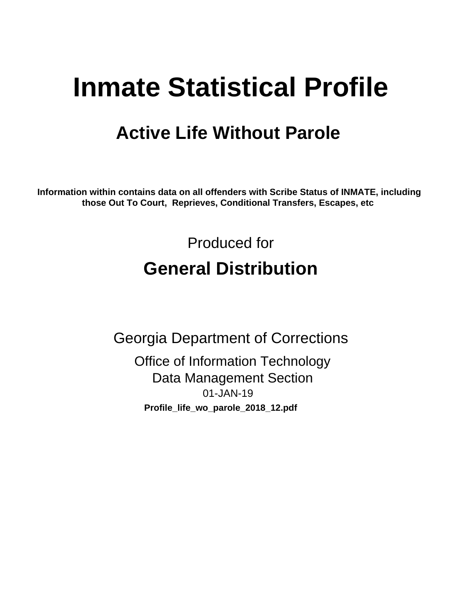# **Inmate Statistical Profile**

# **Active Life Without Parole**

Information within contains data on all offenders with Scribe Status of INMATE, including those Out To Court, Reprieves, Conditional Transfers, Escapes, etc

> Produced for **General Distribution**

**Georgia Department of Corrections Office of Information Technology Data Management Section** 01-JAN-19 Profile\_life\_wo\_parole\_2018\_12.pdf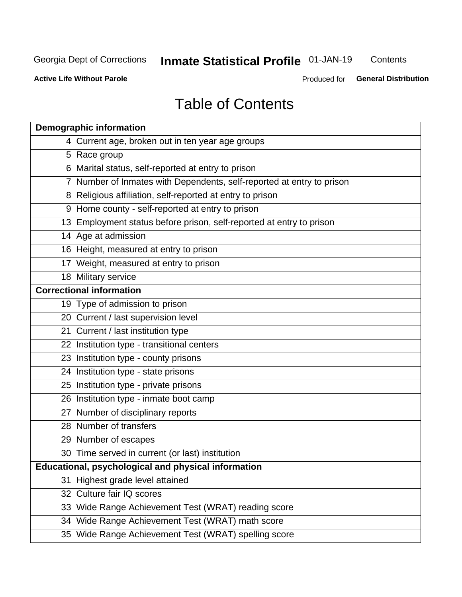# **Inmate Statistical Profile 01-JAN-19**

Contents

**Active Life Without Parole** 

Produced for General Distribution

# **Table of Contents**

|    | <b>Demographic information</b>                                        |
|----|-----------------------------------------------------------------------|
|    | 4 Current age, broken out in ten year age groups                      |
|    | 5 Race group                                                          |
|    | 6 Marital status, self-reported at entry to prison                    |
|    | 7 Number of Inmates with Dependents, self-reported at entry to prison |
|    | 8 Religious affiliation, self-reported at entry to prison             |
|    | 9 Home county - self-reported at entry to prison                      |
|    | 13 Employment status before prison, self-reported at entry to prison  |
|    | 14 Age at admission                                                   |
|    | 16 Height, measured at entry to prison                                |
|    | 17 Weight, measured at entry to prison                                |
|    | 18 Military service                                                   |
|    | <b>Correctional information</b>                                       |
|    | 19 Type of admission to prison                                        |
|    | 20 Current / last supervision level                                   |
|    | 21 Current / last institution type                                    |
|    | 22 Institution type - transitional centers                            |
|    | 23 Institution type - county prisons                                  |
|    | 24 Institution type - state prisons                                   |
|    | 25 Institution type - private prisons                                 |
|    | 26 Institution type - inmate boot camp                                |
|    | 27 Number of disciplinary reports                                     |
|    | 28 Number of transfers                                                |
|    | 29 Number of escapes                                                  |
|    | 30 Time served in current (or last) institution                       |
|    | Educational, psychological and physical information                   |
| 31 | Highest grade level attained                                          |
|    | 32 Culture fair IQ scores                                             |
|    | 33 Wide Range Achievement Test (WRAT) reading score                   |
|    | 34 Wide Range Achievement Test (WRAT) math score                      |
|    | 35 Wide Range Achievement Test (WRAT) spelling score                  |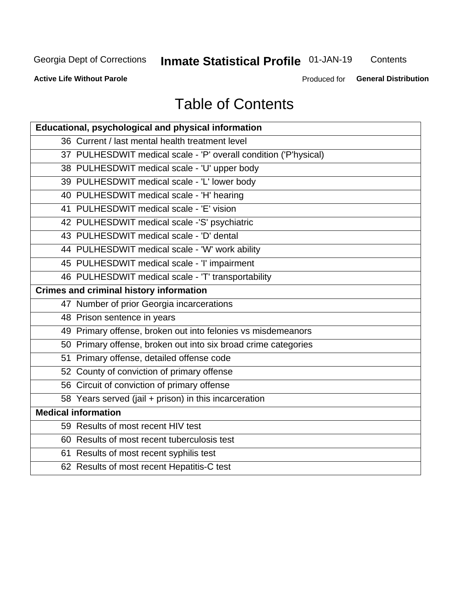# **Inmate Statistical Profile 01-JAN-19**

Contents

**Active Life Without Parole** 

Produced for General Distribution

# **Table of Contents**

| Educational, psychological and physical information              |
|------------------------------------------------------------------|
| 36 Current / last mental health treatment level                  |
| 37 PULHESDWIT medical scale - 'P' overall condition ('P'hysical) |
| 38 PULHESDWIT medical scale - 'U' upper body                     |
| 39 PULHESDWIT medical scale - 'L' lower body                     |
| 40 PULHESDWIT medical scale - 'H' hearing                        |
| 41 PULHESDWIT medical scale - 'E' vision                         |
| 42 PULHESDWIT medical scale -'S' psychiatric                     |
| 43 PULHESDWIT medical scale - 'D' dental                         |
| 44 PULHESDWIT medical scale - 'W' work ability                   |
| 45 PULHESDWIT medical scale - 'I' impairment                     |
| 46 PULHESDWIT medical scale - 'T' transportability               |
| <b>Crimes and criminal history information</b>                   |
| 47 Number of prior Georgia incarcerations                        |
| 48 Prison sentence in years                                      |
| 49 Primary offense, broken out into felonies vs misdemeanors     |
| 50 Primary offense, broken out into six broad crime categories   |
| 51 Primary offense, detailed offense code                        |
| 52 County of conviction of primary offense                       |
| 56 Circuit of conviction of primary offense                      |
| 58 Years served (jail + prison) in this incarceration            |
| <b>Medical information</b>                                       |
| 59 Results of most recent HIV test                               |
| 60 Results of most recent tuberculosis test                      |
| 61 Results of most recent syphilis test                          |
| 62 Results of most recent Hepatitis-C test                       |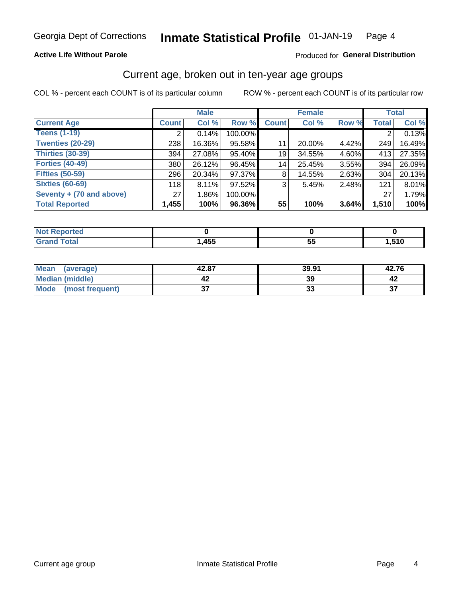### **Active Life Without Parole**

### Produced for General Distribution

# Current age, broken out in ten-year age groups

COL % - percent each COUNT is of its particular column

|                          | <b>Male</b>  |          |         | <b>Female</b> |        |       | <b>Total</b> |        |
|--------------------------|--------------|----------|---------|---------------|--------|-------|--------------|--------|
| <b>Current Age</b>       | <b>Count</b> | Col %    | Row %   | <b>Count</b>  | Col %  | Row % | <b>Total</b> | Col %  |
| <b>Teens (1-19)</b>      | ⌒            | 0.14%    | 100.00% |               |        |       | 2            | 0.13%  |
| <b>Twenties (20-29)</b>  | 238          | 16.36%   | 95.58%  | 11            | 20.00% | 4.42% | 249          | 16.49% |
| Thirties (30-39)         | 394          | 27.08%   | 95.40%  | 19            | 34.55% | 4.60% | 413          | 27.35% |
| <b>Forties (40-49)</b>   | 380          | 26.12%   | 96.45%  | 14            | 25.45% | 3.55% | 394          | 26.09% |
| <b>Fifties (50-59)</b>   | 296          | 20.34%   | 97.37%  | 8             | 14.55% | 2.63% | 304          | 20.13% |
| <b>Sixties (60-69)</b>   | 118          | 8.11%    | 97.52%  | 3             | 5.45%  | 2.48% | 121          | 8.01%  |
| Seventy + (70 and above) | 27           | $1.86\%$ | 100.00% |               |        |       | 27           | 1.79%  |
| <b>Total Reported</b>    | 1,455        | 100%     | 96.36%  | 55            | 100%   | 3.64% | 1,510        | 100%   |

| orted<br>NO1<br>. <b>.</b> |      |          |       |
|----------------------------|------|----------|-------|
| <b>Total</b>               | ,455 | --<br>vu | 1,510 |

| <b>Mean</b><br>(average) | 42.87  | 39.91    | 42.76    |
|--------------------------|--------|----------|----------|
| Median (middle)          |        | 39       |          |
| Mode<br>(most frequent)  | ^<br>◡ | n.<br>JJ | ^¬<br>J. |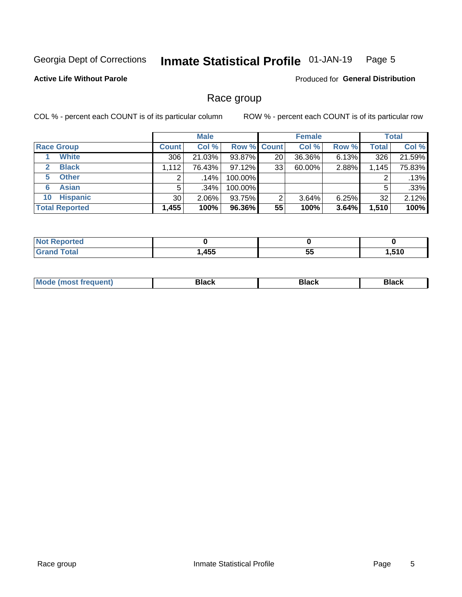#### Inmate Statistical Profile 01-JAN-19 Page 5

### **Active Life Without Parole**

Produced for General Distribution

# Race group

COL % - percent each COUNT is of its particular column

|                              |              | <b>Male</b> |                    |    | <b>Female</b> |       |              | <b>Total</b> |  |
|------------------------------|--------------|-------------|--------------------|----|---------------|-------|--------------|--------------|--|
| <b>Race Group</b>            | <b>Count</b> | Col %       | <b>Row % Count</b> |    | Col %         | Row % | <b>Total</b> | Col %        |  |
| <b>White</b>                 | 306          | 21.03%      | 93.87%             | 20 | 36.36%        | 6.13% | 326          | 21.59%       |  |
| <b>Black</b><br>$\mathbf{2}$ | 1,112        | 76.43%      | 97.12%             | 33 | 60.00%        | 2.88% | 1,145        | 75.83%       |  |
| <b>Other</b><br>5.           |              | $.14\%$     | 100.00%            |    |               |       | 2            | .13%         |  |
| <b>Asian</b><br>6            | 5            | $.34\%$     | 100.00%            |    |               |       | 5            | .33%         |  |
| <b>Hispanic</b><br>10        | 30           | $2.06\%$    | 93.75%             | 2  | 3.64%         | 6.25% | 32           | 2.12%        |  |
| <b>Total Reported</b>        | 1,455        | 100%        | 96.36%             | 55 | 100%          | 3.64% | 1,510        | 100%         |  |

| and an anti-<br>reto   |      |         |     |
|------------------------|------|---------|-----|
| <b>Total</b><br>______ | ,455 | --<br>ು | E40 |

| –•••• |  | M |  |  |  |
|-------|--|---|--|--|--|
|-------|--|---|--|--|--|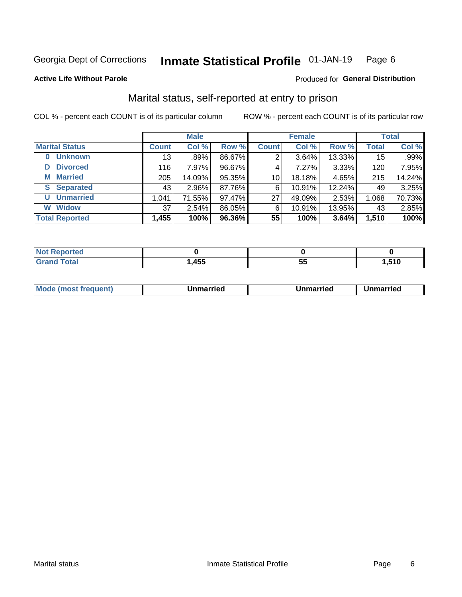#### Inmate Statistical Profile 01-JAN-19 Page 6

### **Active Life Without Parole**

### Produced for General Distribution

# Marital status, self-reported at entry to prison

COL % - percent each COUNT is of its particular column

|                            | <b>Male</b>     |        |        |              | <b>Female</b> | <b>Total</b> |              |        |
|----------------------------|-----------------|--------|--------|--------------|---------------|--------------|--------------|--------|
| <b>Marital Status</b>      | <b>Count</b>    | Col %  | Row %  | <b>Count</b> | Col %         | Row %        | <b>Total</b> | Col %  |
| <b>Unknown</b><br>$\bf{0}$ | 13 <sub>1</sub> | .89%   | 86.67% | 2            | 3.64%         | 13.33%       | 15           | .99%   |
| <b>Divorced</b><br>D       | 116             | 7.97%  | 96.67% | 4            | 7.27%         | 3.33%        | 120          | 7.95%  |
| <b>Married</b><br>М        | 205             | 14.09% | 95.35% | 10           | 18.18%        | 4.65%        | 215          | 14.24% |
| <b>Separated</b><br>S.     | 43              | 2.96%  | 87.76% | 6            | 10.91%        | 12.24%       | 49           | 3.25%  |
| <b>Unmarried</b><br>U      | 1,041           | 71.55% | 97.47% | 27           | 49.09%        | 2.53%        | 1,068        | 70.73% |
| <b>Widow</b><br>W          | 37              | 2.54%  | 86.05% | 6            | 10.91%        | 13.95%       | 43           | 2.85%  |
| <b>Total Reported</b>      | 1,455           | 100%   | 96.36% | 55           | 100%          | 3.64%        | 1,510        | 100%   |

| <b>Not Reported</b><br>. <b>.</b> |       |    |       |
|-----------------------------------|-------|----|-------|
| <b>Total</b>                      | .,455 | J. | .510، |

|--|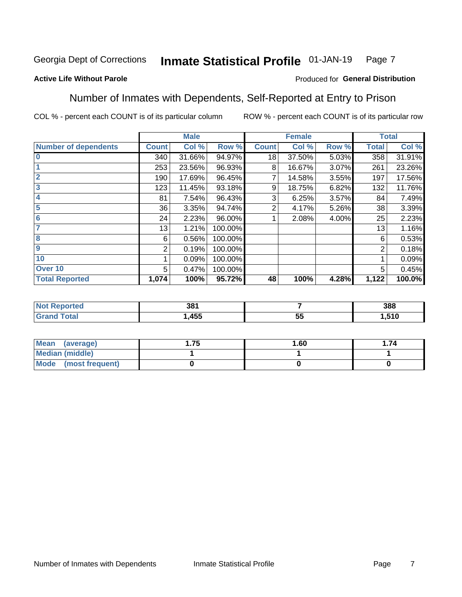#### Inmate Statistical Profile 01-JAN-19 Page 7

### **Active Life Without Parole**

### Produced for General Distribution

# Number of Inmates with Dependents, Self-Reported at Entry to Prison

COL % - percent each COUNT is of its particular column

|                             |              | <b>Male</b> |         |              | <b>Female</b> |       |              | <b>Total</b> |
|-----------------------------|--------------|-------------|---------|--------------|---------------|-------|--------------|--------------|
| <b>Number of dependents</b> | <b>Count</b> | Col %       | Row %   | <b>Count</b> | Col %         | Row % | <b>Total</b> | Col %        |
| $\bf{0}$                    | 340          | 31.66%      | 94.97%  | 18           | 37.50%        | 5.03% | 358          | 31.91%       |
|                             | 253          | 23.56%      | 96.93%  | 8            | 16.67%        | 3.07% | 261          | 23.26%       |
| $\overline{2}$              | 190          | 17.69%      | 96.45%  | 7            | 14.58%        | 3.55% | 197          | 17.56%       |
| 3                           | 123          | 11.45%      | 93.18%  | 9            | 18.75%        | 6.82% | 132          | 11.76%       |
| 4                           | 81           | 7.54%       | 96.43%  | 3            | 6.25%         | 3.57% | 84           | 7.49%        |
| 5                           | 36           | 3.35%       | 94.74%  | 2            | 4.17%         | 5.26% | 38           | 3.39%        |
| $6\phantom{1}6$             | 24           | 2.23%       | 96.00%  |              | 2.08%         | 4.00% | 25           | 2.23%        |
| 7                           | 13           | 1.21%       | 100.00% |              |               |       | 13           | 1.16%        |
| $\overline{\mathbf{8}}$     | 6            | 0.56%       | 100.00% |              |               |       | 6            | 0.53%        |
| $\boldsymbol{9}$            | 2            | 0.19%       | 100.00% |              |               |       | 2            | 0.18%        |
| 10                          |              | 0.09%       | 100.00% |              |               |       |              | 0.09%        |
| Over 10                     | 5            | 0.47%       | 100.00% |              |               |       | 5            | 0.45%        |
| <b>Total Reported</b>       | 1,074        | 100%        | 95.72%  | 48           | 100%          | 4.28% | 1,122        | 100.0%       |

| ים פ<br>აი |         | 388  |
|------------|---------|------|
| .455       | --<br>◡ | .510 |

| Mean (average)         | l.75 | 1.60 | . 74 |
|------------------------|------|------|------|
| <b>Median (middle)</b> |      |      |      |
| Mode (most frequent)   |      |      |      |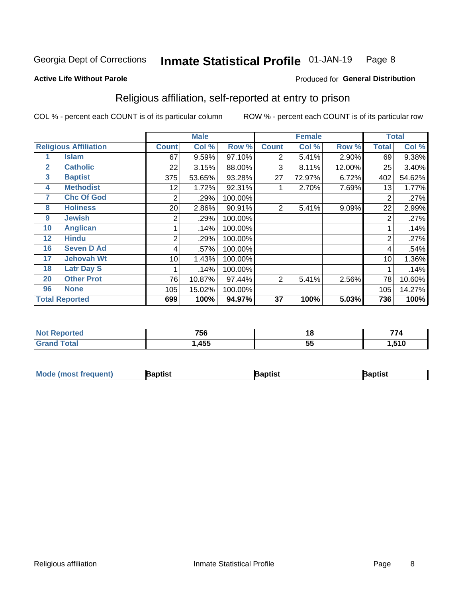#### **Inmate Statistical Profile 01-JAN-19** Page 8

### **Active Life Without Parole**

### Produced for General Distribution

# Religious affiliation, self-reported at entry to prison

COL % - percent each COUNT is of its particular column

|              |                              |              | <b>Male</b> |         |              | <b>Female</b> |        |                | <b>Total</b> |
|--------------|------------------------------|--------------|-------------|---------|--------------|---------------|--------|----------------|--------------|
|              | <b>Religious Affiliation</b> | <b>Count</b> | Col %       | Row %   | <b>Count</b> | Col %         | Row %  | <b>Total</b>   | Col %        |
|              | <b>Islam</b>                 | 67           | 9.59%       | 97.10%  | 2            | 5.41%         | 2.90%  | 69             | 9.38%        |
| $\mathbf{2}$ | <b>Catholic</b>              | 22           | 3.15%       | 88.00%  | 3            | 8.11%         | 12.00% | 25             | 3.40%        |
| 3            | <b>Baptist</b>               | 375          | 53.65%      | 93.28%  | 27           | 72.97%        | 6.72%  | 402            | 54.62%       |
| 4            | <b>Methodist</b>             | 12           | 1.72%       | 92.31%  |              | 2.70%         | 7.69%  | 13             | 1.77%        |
| 7            | <b>Chc Of God</b>            | 2            | .29%        | 100.00% |              |               |        | 2              | .27%         |
| 8            | <b>Holiness</b>              | 20           | 2.86%       | 90.91%  | 2            | 5.41%         | 9.09%  | 22             | 2.99%        |
| 9            | <b>Jewish</b>                | 2            | .29%        | 100.00% |              |               |        | $\overline{2}$ | .27%         |
| 10           | <b>Anglican</b>              |              | .14%        | 100.00% |              |               |        |                | .14%         |
| 12           | <b>Hindu</b>                 | 2            | .29%        | 100.00% |              |               |        | $\overline{2}$ | .27%         |
| 16           | <b>Seven D Ad</b>            | 4            | .57%        | 100.00% |              |               |        | 4              | .54%         |
| 17           | <b>Jehovah Wt</b>            | 10           | 1.43%       | 100.00% |              |               |        | 10             | 1.36%        |
| 18           | <b>Latr Day S</b>            |              | .14%        | 100.00% |              |               |        |                | .14%         |
| 20           | <b>Other Prot</b>            | 76           | 10.87%      | 97.44%  | 2            | 5.41%         | 2.56%  | 78             | 10.60%       |
| 96           | <b>None</b>                  | 105          | 15.02%      | 100.00% |              |               |        | 105            | 14.27%       |
|              | <b>Total Reported</b>        | 699          | 100%        | 94.97%  | 37           | 100%          | 5.03%  | 736            | 100%         |

| ı teu  | 75c  | 10       | ---        |
|--------|------|----------|------------|
| $\sim$ | סכ   |          | . .        |
| ______ | ,455 | --<br>v. | <b>EAO</b> |

| <b>Mode (most frequent)</b> | 3aptist | 3aptist | Baptist |
|-----------------------------|---------|---------|---------|
|-----------------------------|---------|---------|---------|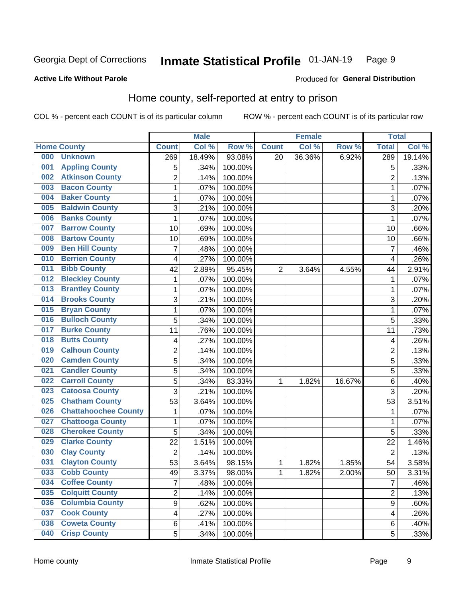#### Inmate Statistical Profile 01-JAN-19 Page 9

### **Active Life Without Parole**

### Produced for General Distribution

# Home county, self-reported at entry to prison

COL % - percent each COUNT is of its particular column

|     |                             |                | <b>Male</b> |         |              | <b>Female</b> |        | <b>Total</b>   |        |
|-----|-----------------------------|----------------|-------------|---------|--------------|---------------|--------|----------------|--------|
|     | <b>Home County</b>          | <b>Count</b>   | Col %       | Row %   | <b>Count</b> | Col %         | Row %  | <b>Total</b>   | Col %  |
| 000 | <b>Unknown</b>              | 269            | 18.49%      | 93.08%  | 20           | 36.36%        | 6.92%  | 289            | 19.14% |
| 001 | <b>Appling County</b>       | 5              | .34%        | 100.00% |              |               |        | 5              | .33%   |
| 002 | <b>Atkinson County</b>      | $\overline{2}$ | .14%        | 100.00% |              |               |        | $\overline{2}$ | .13%   |
| 003 | <b>Bacon County</b>         | 1              | .07%        | 100.00% |              |               |        | 1              | .07%   |
| 004 | <b>Baker County</b>         | $\mathbf 1$    | .07%        | 100.00% |              |               |        | 1              | .07%   |
| 005 | <b>Baldwin County</b>       | 3              | .21%        | 100.00% |              |               |        | 3              | .20%   |
| 006 | <b>Banks County</b>         | $\mathbf 1$    | .07%        | 100.00% |              |               |        | 1              | .07%   |
| 007 | <b>Barrow County</b>        | 10             | .69%        | 100.00% |              |               |        | 10             | .66%   |
| 008 | <b>Bartow County</b>        | 10             | .69%        | 100.00% |              |               |        | 10             | .66%   |
| 009 | <b>Ben Hill County</b>      | $\overline{7}$ | .48%        | 100.00% |              |               |        | 7              | .46%   |
| 010 | <b>Berrien County</b>       | 4              | .27%        | 100.00% |              |               |        | 4              | .26%   |
| 011 | <b>Bibb County</b>          | 42             | 2.89%       | 95.45%  | 2            | 3.64%         | 4.55%  | 44             | 2.91%  |
| 012 | <b>Bleckley County</b>      | 1              | .07%        | 100.00% |              |               |        | 1              | .07%   |
| 013 | <b>Brantley County</b>      | 1              | .07%        | 100.00% |              |               |        | 1              | .07%   |
| 014 | <b>Brooks County</b>        | 3              | .21%        | 100.00% |              |               |        | 3              | .20%   |
| 015 | <b>Bryan County</b>         | 1              | .07%        | 100.00% |              |               |        | 1              | .07%   |
| 016 | <b>Bulloch County</b>       | 5              | .34%        | 100.00% |              |               |        | 5              | .33%   |
| 017 | <b>Burke County</b>         | 11             | .76%        | 100.00% |              |               |        | 11             | .73%   |
| 018 | <b>Butts County</b>         | 4              | .27%        | 100.00% |              |               |        | 4              | .26%   |
| 019 | <b>Calhoun County</b>       | 2              | .14%        | 100.00% |              |               |        | $\overline{2}$ | .13%   |
| 020 | <b>Camden County</b>        | 5              | .34%        | 100.00% |              |               |        | 5              | .33%   |
| 021 | <b>Candler County</b>       | 5              | .34%        | 100.00% |              |               |        | 5              | .33%   |
| 022 | <b>Carroll County</b>       | 5              | .34%        | 83.33%  | 1            | 1.82%         | 16.67% | 6              | .40%   |
| 023 | <b>Catoosa County</b>       | 3              | .21%        | 100.00% |              |               |        | 3              | .20%   |
| 025 | <b>Chatham County</b>       | 53             | 3.64%       | 100.00% |              |               |        | 53             | 3.51%  |
| 026 | <b>Chattahoochee County</b> | 1              | .07%        | 100.00% |              |               |        | 1              | .07%   |
| 027 | <b>Chattooga County</b>     | 1              | .07%        | 100.00% |              |               |        | 1              | .07%   |
| 028 | <b>Cherokee County</b>      | 5              | .34%        | 100.00% |              |               |        | 5              | .33%   |
| 029 | <b>Clarke County</b>        | 22             | 1.51%       | 100.00% |              |               |        | 22             | 1.46%  |
| 030 | <b>Clay County</b>          | $\overline{2}$ | .14%        | 100.00% |              |               |        | $\overline{2}$ | .13%   |
| 031 | <b>Clayton County</b>       | 53             | 3.64%       | 98.15%  | 1            | 1.82%         | 1.85%  | 54             | 3.58%  |
| 033 | <b>Cobb County</b>          | 49             | 3.37%       | 98.00%  | 1            | 1.82%         | 2.00%  | 50             | 3.31%  |
| 034 | <b>Coffee County</b>        | $\overline{7}$ | .48%        | 100.00% |              |               |        | 7              | .46%   |
| 035 | <b>Colquitt County</b>      | $\overline{2}$ | .14%        | 100.00% |              |               |        | $\overline{2}$ | .13%   |
| 036 | <b>Columbia County</b>      | $\overline{9}$ | .62%        | 100.00% |              |               |        | $\mathsf g$    | .60%   |
| 037 | <b>Cook County</b>          | 4              | .27%        | 100.00% |              |               |        | 4              | .26%   |
| 038 | <b>Coweta County</b>        | 6              | .41%        | 100.00% |              |               |        | 6              | .40%   |
| 040 | <b>Crisp County</b>         | 5              | .34%        | 100.00% |              |               |        | 5              | .33%   |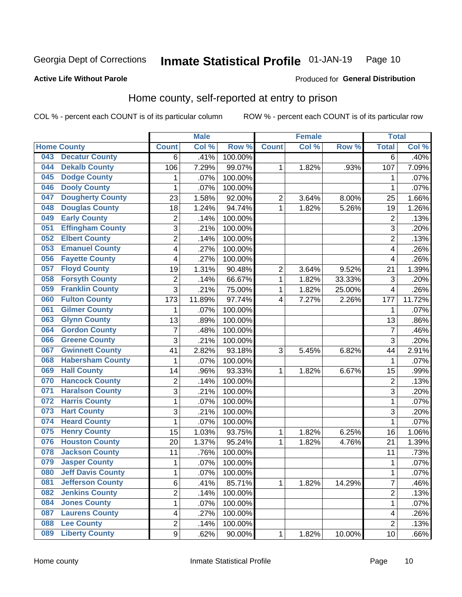#### Inmate Statistical Profile 01-JAN-19 Page 10

Produced for General Distribution

### **Active Life Without Parole**

# Home county, self-reported at entry to prison

COL % - percent each COUNT is of its particular column

|     |                          |                         | <b>Male</b> |         |                | <b>Female</b> |        | <b>Total</b>   |         |
|-----|--------------------------|-------------------------|-------------|---------|----------------|---------------|--------|----------------|---------|
|     | <b>Home County</b>       | <b>Count</b>            | Col %       | Row %   | <b>Count</b>   | Col%          | Row %  | <b>Total</b>   | Col %   |
| 043 | <b>Decatur County</b>    | 6                       | .41%        | 100.00% |                |               |        | 6              | .40%    |
| 044 | <b>Dekalb County</b>     | 106                     | 7.29%       | 99.07%  | 1              | 1.82%         | .93%   | 107            | 7.09%   |
| 045 | <b>Dodge County</b>      | 1                       | .07%        | 100.00% |                |               |        | 1              | .07%    |
| 046 | <b>Dooly County</b>      | $\mathbf 1$             | .07%        | 100.00% |                |               |        | 1              | .07%    |
| 047 | <b>Dougherty County</b>  | 23                      | 1.58%       | 92.00%  | $\overline{2}$ | 3.64%         | 8.00%  | 25             | 1.66%   |
| 048 | <b>Douglas County</b>    | 18                      | 1.24%       | 94.74%  | 1              | 1.82%         | 5.26%  | 19             | 1.26%   |
| 049 | <b>Early County</b>      | 2                       | .14%        | 100.00% |                |               |        | $\overline{2}$ | .13%    |
| 051 | <b>Effingham County</b>  | 3                       | .21%        | 100.00% |                |               |        | 3              | .20%    |
| 052 | <b>Elbert County</b>     | $\overline{c}$          | .14%        | 100.00% |                |               |        | $\overline{2}$ | .13%    |
| 053 | <b>Emanuel County</b>    | 4                       | .27%        | 100.00% |                |               |        | 4              | .26%    |
| 056 | <b>Fayette County</b>    | 4                       | .27%        | 100.00% |                |               |        | $\overline{4}$ | .26%    |
| 057 | <b>Floyd County</b>      | 19                      | 1.31%       | 90.48%  | $\overline{2}$ | 3.64%         | 9.52%  | 21             | 1.39%   |
| 058 | <b>Forsyth County</b>    | $\overline{\mathbf{c}}$ | .14%        | 66.67%  | 1              | 1.82%         | 33.33% | 3              | .20%    |
| 059 | <b>Franklin County</b>   | 3                       | .21%        | 75.00%  | 1              | 1.82%         | 25.00% | $\overline{4}$ | .26%    |
| 060 | <b>Fulton County</b>     | 173                     | 11.89%      | 97.74%  | 4              | 7.27%         | 2.26%  | 177            | 11.72%  |
| 061 | <b>Gilmer County</b>     | 1                       | .07%        | 100.00% |                |               |        | $\mathbf 1$    | .07%    |
| 063 | <b>Glynn County</b>      | 13                      | .89%        | 100.00% |                |               |        | 13             | .86%    |
| 064 | <b>Gordon County</b>     | $\overline{7}$          | .48%        | 100.00% |                |               |        | $\overline{7}$ | .46%    |
| 066 | <b>Greene County</b>     | 3                       | .21%        | 100.00% |                |               |        | 3              | .20%    |
| 067 | <b>Gwinnett County</b>   | 41                      | 2.82%       | 93.18%  | 3              | 5.45%         | 6.82%  | 44             | 2.91%   |
| 068 | <b>Habersham County</b>  | $\mathbf{1}$            | .07%        | 100.00% |                |               |        | 1              | .07%    |
| 069 | <b>Hall County</b>       | 14                      | .96%        | 93.33%  | 1              | 1.82%         | 6.67%  | 15             | .99%    |
| 070 | <b>Hancock County</b>    | 2                       | .14%        | 100.00% |                |               |        | $\overline{2}$ | .13%    |
| 071 | <b>Haralson County</b>   | 3                       | .21%        | 100.00% |                |               |        | 3              | .20%    |
| 072 | <b>Harris County</b>     | $\mathbf 1$             | .07%        | 100.00% |                |               |        | 1              | .07%    |
| 073 | <b>Hart County</b>       | 3                       | .21%        | 100.00% |                |               |        | 3              | .20%    |
| 074 | <b>Heard County</b>      | 1                       | .07%        | 100.00% |                |               |        | 1              | .07%    |
| 075 | <b>Henry County</b>      | 15                      | 1.03%       | 93.75%  | 1              | 1.82%         | 6.25%  | 16             | 1.06%   |
| 076 | <b>Houston County</b>    | 20                      | 1.37%       | 95.24%  | 1              | 1.82%         | 4.76%  | 21             | 1.39%   |
| 078 | <b>Jackson County</b>    | 11                      | .76%        | 100.00% |                |               |        | 11             | .73%    |
| 079 | <b>Jasper County</b>     | $\mathbf{1}$            | .07%        | 100.00% |                |               |        | 1              | .07%    |
| 080 | <b>Jeff Davis County</b> | 1                       | .07%        | 100.00% |                |               |        | 1              | $.07\%$ |
| 081 | <b>Jefferson County</b>  | 6                       | .41%        | 85.71%  | $\mathbf{1}$   | 1.82%         | 14.29% | 7              | .46%    |
| 082 | <b>Jenkins County</b>    | $\overline{c}$          | .14%        | 100.00% |                |               |        | $\overline{c}$ | .13%    |
| 084 | <b>Jones County</b>      | 1                       | .07%        | 100.00% |                |               |        | 1              | .07%    |
| 087 | <b>Laurens County</b>    | $\overline{\mathbf{4}}$ | .27%        | 100.00% |                |               |        | 4              | .26%    |
| 088 | <b>Lee County</b>        | $\overline{2}$          | .14%        | 100.00% |                |               |        | $\overline{2}$ | .13%    |
| 089 | <b>Liberty County</b>    | $\overline{9}$          | .62%        | 90.00%  | 1              | 1.82%         | 10.00% | 10             | .66%    |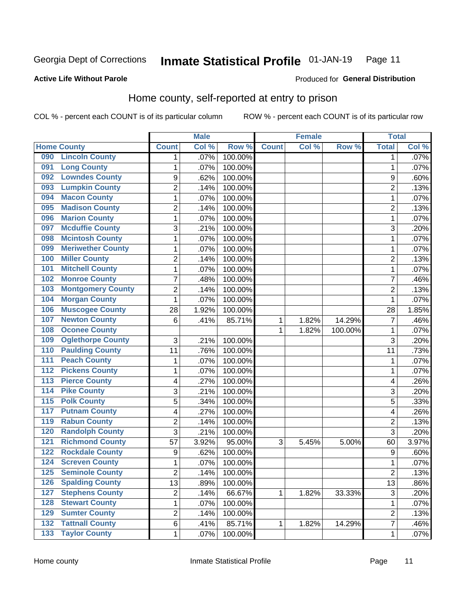#### **Inmate Statistical Profile 01-JAN-19** Page 11

Produced for General Distribution

### **Active Life Without Parole**

# Home county, self-reported at entry to prison

COL % - percent each COUNT is of its particular column

|                  |                          |                | <b>Male</b> |         |              | <b>Female</b> |         | <b>Total</b>   |         |
|------------------|--------------------------|----------------|-------------|---------|--------------|---------------|---------|----------------|---------|
|                  | <b>Home County</b>       | <b>Count</b>   | Col %       | Row %   | <b>Count</b> | Col %         | Row %   | <b>Total</b>   | Col %   |
| 090              | <b>Lincoln County</b>    | 1              | .07%        | 100.00% |              |               |         | 1              | $.07\%$ |
| 091              | <b>Long County</b>       | 1              | .07%        | 100.00% |              |               |         | 1              | .07%    |
| 092              | <b>Lowndes County</b>    | 9              | .62%        | 100.00% |              |               |         | 9              | .60%    |
| 093              | <b>Lumpkin County</b>    | $\overline{c}$ | .14%        | 100.00% |              |               |         | $\overline{2}$ | .13%    |
| 094              | <b>Macon County</b>      | $\mathbf 1$    | .07%        | 100.00% |              |               |         | 1              | .07%    |
| 095              | <b>Madison County</b>    | $\overline{c}$ | .14%        | 100.00% |              |               |         | $\overline{2}$ | .13%    |
| 096              | <b>Marion County</b>     | $\mathbf 1$    | .07%        | 100.00% |              |               |         | 1              | .07%    |
| 097              | <b>Mcduffie County</b>   | 3              | .21%        | 100.00% |              |               |         | 3              | .20%    |
| 098              | <b>Mcintosh County</b>   | 1              | .07%        | 100.00% |              |               |         | 1              | .07%    |
| 099              | <b>Meriwether County</b> | 1              | .07%        | 100.00% |              |               |         | 1              | .07%    |
| 100              | <b>Miller County</b>     | $\overline{2}$ | .14%        | 100.00% |              |               |         | $\overline{2}$ | .13%    |
| 101              | <b>Mitchell County</b>   | $\mathbf 1$    | .07%        | 100.00% |              |               |         | 1              | .07%    |
| 102              | <b>Monroe County</b>     | $\overline{7}$ | .48%        | 100.00% |              |               |         | 7              | .46%    |
| 103              | <b>Montgomery County</b> | $\overline{c}$ | .14%        | 100.00% |              |               |         | $\overline{2}$ | .13%    |
| 104              | <b>Morgan County</b>     | $\mathbf{1}$   | .07%        | 100.00% |              |               |         | 1              | .07%    |
| 106              | <b>Muscogee County</b>   | 28             | 1.92%       | 100.00% |              |               |         | 28             | 1.85%   |
| 107              | <b>Newton County</b>     | 6              | .41%        | 85.71%  | 1            | 1.82%         | 14.29%  | 7              | .46%    |
| 108              | <b>Oconee County</b>     |                |             |         | 1            | 1.82%         | 100.00% | 1              | .07%    |
| 109              | <b>Oglethorpe County</b> | 3              | .21%        | 100.00% |              |               |         | 3              | .20%    |
| 110              | <b>Paulding County</b>   | 11             | .76%        | 100.00% |              |               |         | 11             | .73%    |
| 111              | <b>Peach County</b>      | 1              | .07%        | 100.00% |              |               |         | 1              | .07%    |
| $\overline{112}$ | <b>Pickens County</b>    | 1              | .07%        | 100.00% |              |               |         | 1              | .07%    |
| 113              | <b>Pierce County</b>     | 4              | .27%        | 100.00% |              |               |         | 4              | .26%    |
| 114              | <b>Pike County</b>       | 3              | .21%        | 100.00% |              |               |         | 3              | .20%    |
| $\overline{115}$ | <b>Polk County</b>       | 5              | .34%        | 100.00% |              |               |         | 5              | .33%    |
| 117              | <b>Putnam County</b>     | 4              | .27%        | 100.00% |              |               |         | 4              | .26%    |
| 119              | <b>Rabun County</b>      | $\overline{c}$ | .14%        | 100.00% |              |               |         | $\overline{c}$ | .13%    |
| 120              | <b>Randolph County</b>   | 3              | .21%        | 100.00% |              |               |         | 3              | .20%    |
| $121$            | <b>Richmond County</b>   | 57             | 3.92%       | 95.00%  | 3            | 5.45%         | 5.00%   | 60             | 3.97%   |
| 122              | <b>Rockdale County</b>   | 9              | .62%        | 100.00% |              |               |         | 9              | .60%    |
| 124              | <b>Screven County</b>    | 1              | .07%        | 100.00% |              |               |         | 1              | .07%    |
| 125              | <b>Seminole County</b>   | $\overline{c}$ | .14%        | 100.00% |              |               |         | $\overline{2}$ | .13%    |
| 126              | <b>Spalding County</b>   | 13             | .89%        | 100.00% |              |               |         | 13             | .86%    |
| 127              | <b>Stephens County</b>   | $\overline{c}$ | .14%        | 66.67%  | 1            | 1.82%         | 33.33%  | 3              | .20%    |
| 128              | <b>Stewart County</b>    | $\mathbf 1$    | .07%        | 100.00% |              |               |         | 1              | .07%    |
| 129              | <b>Sumter County</b>     | $\overline{c}$ | .14%        | 100.00% |              |               |         | 2              | .13%    |
| 132              | <b>Tattnall County</b>   | 6              | .41%        | 85.71%  | 1            | 1.82%         | 14.29%  | 7              | .46%    |
| 133              | <b>Taylor County</b>     | 1              | .07%        | 100.00% |              |               |         | 1              | .07%    |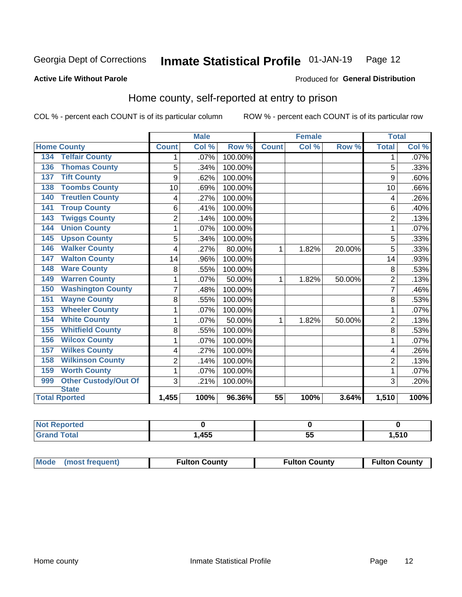#### Inmate Statistical Profile 01-JAN-19 Page 12

Produced for General Distribution

### **Active Life Without Parole**

# Home county, self-reported at entry to prison

COL % - percent each COUNT is of its particular column

|                                    |                | <b>Male</b> |         | <b>Female</b> |       | <b>Total</b> |                |       |
|------------------------------------|----------------|-------------|---------|---------------|-------|--------------|----------------|-------|
| <b>Home County</b>                 | <b>Count</b>   | Col %       | Row %   | <b>Count</b>  | Col % | Row %        | <b>Total</b>   | Col % |
| <b>Telfair County</b><br>134       | 1              | .07%        | 100.00% |               |       |              | 1              | .07%  |
| <b>Thomas County</b><br>136        | 5              | .34%        | 100.00% |               |       |              | 5              | .33%  |
| <b>Tift County</b><br>137          | 9              | .62%        | 100.00% |               |       |              | 9              | .60%  |
| <b>Toombs County</b><br>138        | 10             | .69%        | 100.00% |               |       |              | 10             | .66%  |
| <b>Treutlen County</b><br>140      | 4              | .27%        | 100.00% |               |       |              | 4              | .26%  |
| <b>Troup County</b><br>141         | 6              | .41%        | 100.00% |               |       |              | 6              | .40%  |
| <b>Twiggs County</b><br>143        | $\overline{2}$ | .14%        | 100.00% |               |       |              | $\overline{2}$ | .13%  |
| <b>Union County</b><br>144         | 1              | .07%        | 100.00% |               |       |              | 1              | .07%  |
| <b>Upson County</b><br>145         | 5              | .34%        | 100.00% |               |       |              | 5              | .33%  |
| <b>Walker County</b><br>146        | 4              | .27%        | 80.00%  | 1             | 1.82% | 20.00%       | 5              | .33%  |
| <b>Walton County</b><br>147        | 14             | .96%        | 100.00% |               |       |              | 14             | .93%  |
| <b>Ware County</b><br>148          | 8              | .55%        | 100.00% |               |       |              | 8              | .53%  |
| <b>Warren County</b><br>149        | 1              | .07%        | 50.00%  | 1             | 1.82% | 50.00%       | $\overline{2}$ | .13%  |
| <b>Washington County</b><br>150    | 7              | .48%        | 100.00% |               |       |              | 7              | .46%  |
| <b>Wayne County</b><br>151         | 8              | .55%        | 100.00% |               |       |              | 8              | .53%  |
| <b>Wheeler County</b><br>153       | 1              | .07%        | 100.00% |               |       |              | 1              | .07%  |
| <b>White County</b><br>154         | 1              | .07%        | 50.00%  | 1             | 1.82% | 50.00%       | $\overline{2}$ | .13%  |
| <b>Whitfield County</b><br>155     | 8              | .55%        | 100.00% |               |       |              | 8              | .53%  |
| <b>Wilcox County</b><br>156        | 1              | .07%        | 100.00% |               |       |              |                | .07%  |
| <b>Wilkes County</b><br>157        | 4              | .27%        | 100.00% |               |       |              | 4              | .26%  |
| <b>Wilkinson County</b><br>158     | $\overline{2}$ | .14%        | 100.00% |               |       |              | $\overline{2}$ | .13%  |
| <b>Worth County</b><br>159         | 1              | .07%        | 100.00% |               |       |              | 1              | .07%  |
| <b>Other Custody/Out Of</b><br>999 | 3              | .21%        | 100.00% |               |       |              | 3              | .20%  |
| <b>State</b>                       |                |             |         |               |       |              |                |       |
| <b>Total Rported</b>               | 1,455          | 100%        | 96.36%  | 55            | 100%  | 3.64%        | 1,510          | 100%  |

| <b>Not Reported</b> |      |    |      |
|---------------------|------|----|------|
| Total<br>l Grani    | ,455 | JJ | ,510 |

| Mode (most frequent) | <b>Fulton County</b> | <b>Fulton County</b> | <b>Fulton County</b> |
|----------------------|----------------------|----------------------|----------------------|
|                      |                      |                      |                      |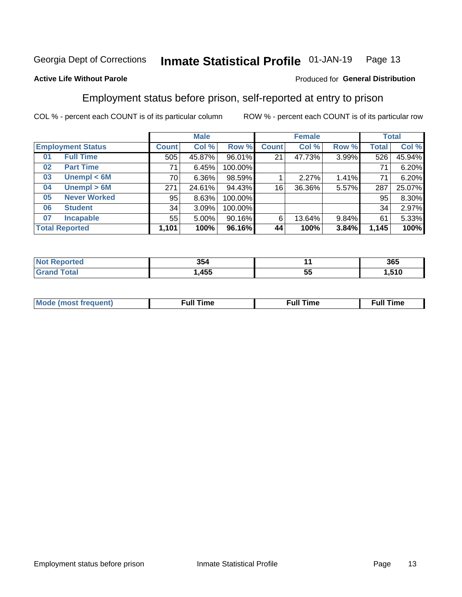#### Inmate Statistical Profile 01-JAN-19 Page 13

### **Active Life Without Parole**

### Produced for General Distribution

# Employment status before prison, self-reported at entry to prison

COL % - percent each COUNT is of its particular column

|                           |              | <b>Male</b> |         |              | <b>Female</b> |       |       | <b>Total</b> |  |
|---------------------------|--------------|-------------|---------|--------------|---------------|-------|-------|--------------|--|
| <b>Employment Status</b>  | <b>Count</b> | Col %       | Row %   | <b>Count</b> | Col %         | Row % | Total | Col %        |  |
| <b>Full Time</b><br>01    | 505          | 45.87%      | 96.01%  | 21           | 47.73%        | 3.99% | 526   | 45.94%       |  |
| <b>Part Time</b><br>02    | 71           | 6.45%       | 100.00% |              |               |       | 71    | 6.20%        |  |
| Unempl $<$ 6M<br>03       | 70           | $6.36\%$    | 98.59%  |              | 2.27%         | 1.41% | 71    | 6.20%        |  |
| Unempl > 6M<br>04         | 271          | 24.61%      | 94.43%  | 16           | 36.36%        | 5.57% | 287   | 25.07%       |  |
| <b>Never Worked</b><br>05 | 95           | 8.63%       | 100.00% |              |               |       | 95    | 8.30%        |  |
| <b>Student</b><br>06      | 34           | 3.09%       | 100.00% |              |               |       | 34    | 2.97%        |  |
| <b>Incapable</b><br>07    | 55           | $5.00\%$    | 90.16%  | 6            | 13.64%        | 9.84% | 61    | 5.33%        |  |
| <b>Total Reported</b>     | 1,101        | 100%        | 96.16%  | 44           | 100%          | 3.84% | 1,145 | 100%         |  |

| 354<br>$ -$ |    | 365           |
|-------------|----|---------------|
| 45F<br>400  | ວະ | E4C<br>7.J IV |

| Mc | ∴ull | ----<br>ıme<br>w |
|----|------|------------------|
|    |      |                  |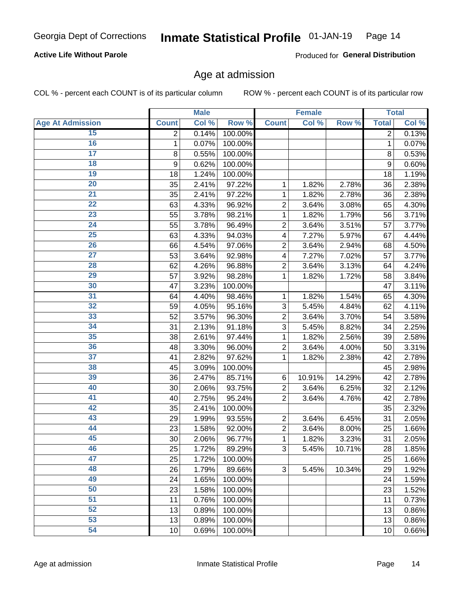### **Active Life Without Parole**

Produced for General Distribution

# Age at admission

COL % - percent each COUNT is of its particular column

|                         |              | <b>Male</b> |         |                | <b>Female</b> |        |              | <b>Total</b> |
|-------------------------|--------------|-------------|---------|----------------|---------------|--------|--------------|--------------|
| <b>Age At Admission</b> | <b>Count</b> | Col %       | Row %   | <b>Count</b>   | Col %         | Row %  | <b>Total</b> | Col %        |
| 15                      | 2            | 0.14%       | 100.00% |                |               |        | 2            | 0.13%        |
| 16                      | 1            | 0.07%       | 100.00% |                |               |        | 1            | 0.07%        |
| $\overline{17}$         | 8            | 0.55%       | 100.00% |                |               |        | 8            | 0.53%        |
| 18                      | 9            | 0.62%       | 100.00% |                |               |        | 9            | 0.60%        |
| 19                      | 18           | 1.24%       | 100.00% |                |               |        | 18           | 1.19%        |
| $\overline{20}$         | 35           | 2.41%       | 97.22%  | 1              | 1.82%         | 2.78%  | 36           | 2.38%        |
| 21                      | 35           | 2.41%       | 97.22%  | 1              | 1.82%         | 2.78%  | 36           | 2.38%        |
| 22                      | 63           | 4.33%       | 96.92%  | $\overline{2}$ | 3.64%         | 3.08%  | 65           | 4.30%        |
| 23                      | 55           | 3.78%       | 98.21%  | 1              | 1.82%         | 1.79%  | 56           | 3.71%        |
| 24                      | 55           | 3.78%       | 96.49%  | $\overline{2}$ | 3.64%         | 3.51%  | 57           | 3.77%        |
| $\overline{25}$         | 63           | 4.33%       | 94.03%  | 4              | 7.27%         | 5.97%  | 67           | 4.44%        |
| 26                      | 66           | 4.54%       | 97.06%  | $\overline{2}$ | 3.64%         | 2.94%  | 68           | 4.50%        |
| $\overline{27}$         | 53           | 3.64%       | 92.98%  | 4              | 7.27%         | 7.02%  | 57           | 3.77%        |
| 28                      | 62           | 4.26%       | 96.88%  | $\overline{2}$ | 3.64%         | 3.13%  | 64           | 4.24%        |
| 29                      | 57           | 3.92%       | 98.28%  | 1              | 1.82%         | 1.72%  | 58           | 3.84%        |
| 30                      | 47           | 3.23%       | 100.00% |                |               |        | 47           | 3.11%        |
| 31                      | 64           | 4.40%       | 98.46%  | 1              | 1.82%         | 1.54%  | 65           | 4.30%        |
| 32                      | 59           | 4.05%       | 95.16%  | 3              | 5.45%         | 4.84%  | 62           | 4.11%        |
| 33                      | 52           | 3.57%       | 96.30%  | $\overline{2}$ | 3.64%         | 3.70%  | 54           | 3.58%        |
| 34                      | 31           | 2.13%       | 91.18%  | 3              | 5.45%         | 8.82%  | 34           | 2.25%        |
| 35                      | 38           | 2.61%       | 97.44%  | 1              | 1.82%         | 2.56%  | 39           | 2.58%        |
| 36                      | 48           | 3.30%       | 96.00%  | $\overline{2}$ | 3.64%         | 4.00%  | 50           | 3.31%        |
| $\overline{37}$         | 41           | 2.82%       | 97.62%  | 1              | 1.82%         | 2.38%  | 42           | 2.78%        |
| 38                      | 45           | 3.09%       | 100.00% |                |               |        | 45           | 2.98%        |
| 39                      | 36           | 2.47%       | 85.71%  | 6              | 10.91%        | 14.29% | 42           | 2.78%        |
| 40                      | 30           | 2.06%       | 93.75%  | $\overline{2}$ | 3.64%         | 6.25%  | 32           | 2.12%        |
| 41                      | 40           | 2.75%       | 95.24%  | $\overline{2}$ | 3.64%         | 4.76%  | 42           | 2.78%        |
| 42                      | 35           | 2.41%       | 100.00% |                |               |        | 35           | 2.32%        |
| 43                      | 29           | 1.99%       | 93.55%  | $\overline{2}$ | 3.64%         | 6.45%  | 31           | 2.05%        |
| 44                      | 23           | 1.58%       | 92.00%  | $\overline{2}$ | 3.64%         | 8.00%  | 25           | 1.66%        |
| 45                      | 30           | 2.06%       | 96.77%  | 1              | 1.82%         | 3.23%  | 31           | 2.05%        |
| 46                      | 25           | 1.72%       | 89.29%  | 3              | 5.45%         | 10.71% | 28           | 1.85%        |
| 47                      | 25           | 1.72%       | 100.00% |                |               |        | 25           | 1.66%        |
| 48                      | 26           | 1.79%       | 89.66%  | 3              | 5.45%         | 10.34% | 29           | 1.92%        |
| 49                      | 24           | 1.65%       | 100.00% |                |               |        | 24           | 1.59%        |
| 50                      | 23           | 1.58%       | 100.00% |                |               |        | 23           | 1.52%        |
| $\overline{51}$         | 11           | 0.76%       | 100.00% |                |               |        | 11           | 0.73%        |
| 52                      | 13           | 0.89%       | 100.00% |                |               |        | 13           | 0.86%        |
| 53                      | 13           | 0.89%       | 100.00% |                |               |        | 13           | 0.86%        |
| 54                      | 10           | 0.69%       | 100.00% |                |               |        | 10           | 0.66%        |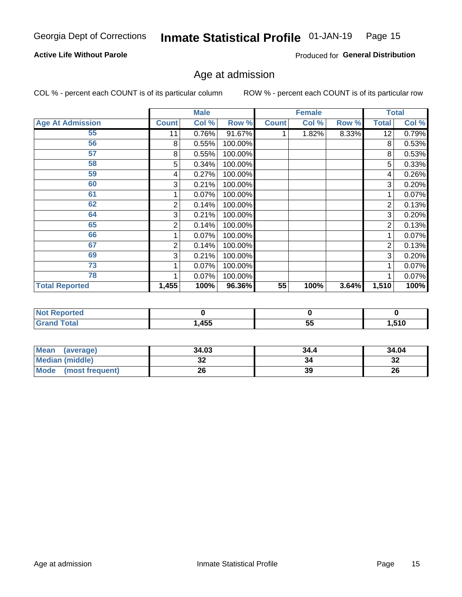#### Inmate Statistical Profile 01-JAN-19 Page 15

### **Active Life Without Parole**

Produced for General Distribution

# Age at admission

COL % - percent each COUNT is of its particular column

|                         |              | <b>Male</b> |         |              | <b>Female</b> |       |       | <b>Total</b>        |
|-------------------------|--------------|-------------|---------|--------------|---------------|-------|-------|---------------------|
| <b>Age At Admission</b> | <b>Count</b> | Col %       | Row %   | <b>Count</b> | Col %         | Row % | Total | Col %               |
| 55                      | 11           | 0.76%       | 91.67%  |              | 1.82%         | 8.33% | 12    | $\overline{0.79\%}$ |
| 56                      | 8            | 0.55%       | 100.00% |              |               |       | 8     | 0.53%               |
| 57                      | 8            | 0.55%       | 100.00% |              |               |       | 8     | 0.53%               |
| 58                      | 5            | 0.34%       | 100.00% |              |               |       | 5     | 0.33%               |
| 59                      | 4            | 0.27%       | 100.00% |              |               |       | 4     | 0.26%               |
| 60                      | 3            | 0.21%       | 100.00% |              |               |       | 3     | 0.20%               |
| 61                      |              | 0.07%       | 100.00% |              |               |       |       | 0.07%               |
| 62                      | 2            | 0.14%       | 100.00% |              |               |       | 2     | 0.13%               |
| 64                      | 3            | 0.21%       | 100.00% |              |               |       | 3     | 0.20%               |
| 65                      | 2            | 0.14%       | 100.00% |              |               |       | 2     | 0.13%               |
| 66                      |              | 0.07%       | 100.00% |              |               |       |       | 0.07%               |
| 67                      | 2            | 0.14%       | 100.00% |              |               |       | 2     | 0.13%               |
| 69                      | 3            | 0.21%       | 100.00% |              |               |       | 3     | 0.20%               |
| 73                      |              | 0.07%       | 100.00% |              |               |       |       | 0.07%               |
| 78                      |              | 0.07%       | 100.00% |              |               |       |       | 0.07%               |
| <b>Total Reported</b>   | 1,455        | 100%        | 96.36%  | 55           | 100%          | 3.64% | 1,510 | 100%                |

| <b>Not Reported</b> |      |           |       |
|---------------------|------|-----------|-------|
| <b>cotal</b>        | ,455 | - -<br>JJ | .510. |

| <b>Mean</b><br>(average) | 34.03   | 34.4 | 34.04   |
|--------------------------|---------|------|---------|
| <b>Median (middle)</b>   | ົ<br>JZ | 34   | ົ<br>∠ت |
| Mode<br>(most frequent)  | 26      | 39   | 26      |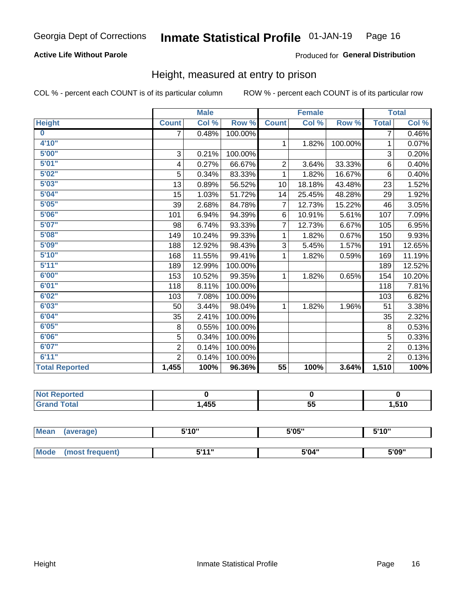### **Active Life Without Parole**

### Produced for General Distribution

# Height, measured at entry to prison

COL % - percent each COUNT is of its particular column

|                       |                           | <b>Male</b> |         |                | <b>Female</b> |         |                | <b>Total</b> |
|-----------------------|---------------------------|-------------|---------|----------------|---------------|---------|----------------|--------------|
| <b>Height</b>         | <b>Count</b>              | Col %       | Row %   | <b>Count</b>   | Col %         | Row %   | <b>Total</b>   | Col %        |
| $\bf{0}$              | $\overline{7}$            | 0.48%       | 100.00% |                |               |         | 7              | 0.46%        |
| 4'10''                |                           |             |         | $\mathbf{1}$   | 1.82%         | 100.00% | 1              | 0.07%        |
| 5'00''                | $\ensuremath{\mathsf{3}}$ | 0.21%       | 100.00% |                |               |         | 3              | 0.20%        |
| 5'01"                 | 4                         | 0.27%       | 66.67%  | $\overline{2}$ | 3.64%         | 33.33%  | 6              | 0.40%        |
| 5'02"                 | 5                         | 0.34%       | 83.33%  | 1              | 1.82%         | 16.67%  | $6\phantom{1}$ | 0.40%        |
| 5'03''                | 13                        | 0.89%       | 56.52%  | 10             | 18.18%        | 43.48%  | 23             | 1.52%        |
| 5'04"                 | 15                        | 1.03%       | 51.72%  | 14             | 25.45%        | 48.28%  | 29             | 1.92%        |
| 5'05"                 | 39                        | 2.68%       | 84.78%  | $\overline{7}$ | 12.73%        | 15.22%  | 46             | 3.05%        |
| 5'06''                | 101                       | 6.94%       | 94.39%  | 6              | 10.91%        | 5.61%   | 107            | 7.09%        |
| 5'07''                | 98                        | 6.74%       | 93.33%  | 7              | 12.73%        | 6.67%   | 105            | 6.95%        |
| 5'08''                | 149                       | 10.24%      | 99.33%  | 1              | 1.82%         | 0.67%   | 150            | 9.93%        |
| 5'09''                | 188                       | 12.92%      | 98.43%  | 3              | 5.45%         | 1.57%   | 191            | 12.65%       |
| 5'10''                | 168                       | 11.55%      | 99.41%  | 1              | 1.82%         | 0.59%   | 169            | 11.19%       |
| 5'11"                 | 189                       | 12.99%      | 100.00% |                |               |         | 189            | 12.52%       |
| 6'00''                | 153                       | 10.52%      | 99.35%  | 1.             | 1.82%         | 0.65%   | 154            | 10.20%       |
| 6'01''                | 118                       | 8.11%       | 100.00% |                |               |         | 118            | 7.81%        |
| 6'02"                 | 103                       | 7.08%       | 100.00% |                |               |         | 103            | 6.82%        |
| 6'03''                | 50                        | 3.44%       | 98.04%  | $\mathbf{1}$   | 1.82%         | 1.96%   | 51             | 3.38%        |
| 6'04"                 | 35                        | 2.41%       | 100.00% |                |               |         | 35             | 2.32%        |
| 6'05"                 | 8                         | 0.55%       | 100.00% |                |               |         | 8              | 0.53%        |
| 6'06''                | 5                         | 0.34%       | 100.00% |                |               |         | 5              | 0.33%        |
| 6'07''                | $\overline{2}$            | 0.14%       | 100.00% |                |               |         | $\overline{2}$ | 0.13%        |
| 6'11''                | $\overline{2}$            | 0.14%       | 100.00% |                |               |         | $\overline{2}$ | 0.13%        |
| <b>Total Reported</b> | 1,455                     | 100%        | 96.36%  | 55             | 100%          | 3.64%   | 1,510          | 100%         |

| тео<br>N |      |           |      |
|----------|------|-----------|------|
|          | ,455 | FБ<br>vv. | .510 |

| Mean | (average)       | 5'10" | 5'05" | 5'10" |  |
|------|-----------------|-------|-------|-------|--|
|      |                 |       |       |       |  |
| Mode | (most frequent) | 544"  | 5'04" | 5'09" |  |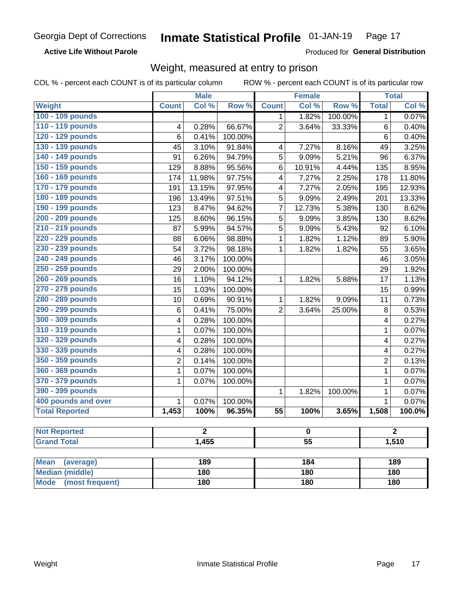**Active Life Without Parole** 

Produced for General Distribution

# Weight, measured at entry to prison

COL % - percent each COUNT is of its particular column

|                                |                             | <b>Male</b> |         |                 | <b>Female</b>   |         |                | <b>Total</b> |  |
|--------------------------------|-----------------------------|-------------|---------|-----------------|-----------------|---------|----------------|--------------|--|
| Weight                         | <b>Count</b>                | Col %       | Row %   | <b>Count</b>    | Col %           | Row %   | <b>Total</b>   | Col %        |  |
| 100 - 109 pounds               |                             |             |         | 1               | 1.82%           | 100.00% | $\mathbf{1}$   | 0.07%        |  |
| 110 - 119 pounds               | 4                           | 0.28%       | 66.67%  | $\overline{2}$  | 3.64%           | 33.33%  | 6              | 0.40%        |  |
| 120 - 129 pounds               | 6                           | $0.41\%$    | 100.00% |                 |                 |         | 6              | 0.40%        |  |
| 130 - 139 pounds               | 45                          | 3.10%       | 91.84%  | 4               | 7.27%           | 8.16%   | 49             | 3.25%        |  |
| 140 - 149 pounds               | 91                          | 6.26%       | 94.79%  | 5               | 9.09%           | 5.21%   | 96             | 6.37%        |  |
| 150 - 159 pounds               | 129                         | 8.88%       | 95.56%  | 6               | 10.91%          | 4.44%   | 135            | 8.95%        |  |
| 160 - 169 pounds               | 174                         | 11.98%      | 97.75%  | 4               | 7.27%           | 2.25%   | 178            | 11.80%       |  |
| 170 - 179 pounds               | 191                         | 13.15%      | 97.95%  | 4               | 7.27%           | 2.05%   | 195            | 12.93%       |  |
| 180 - 189 pounds               | 196                         | 13.49%      | 97.51%  | 5               | 9.09%           | 2.49%   | 201            | 13.33%       |  |
| 190 - 199 pounds               | 123                         | 8.47%       | 94.62%  | 7               | 12.73%          | 5.38%   | 130            | 8.62%        |  |
| 200 - 209 pounds               | 125                         | 8.60%       | 96.15%  | 5               | 9.09%           | 3.85%   | 130            | 8.62%        |  |
| 210 - 219 pounds               | 87                          | 5.99%       | 94.57%  | 5               | 9.09%           | 5.43%   | 92             | 6.10%        |  |
| 220 - 229 pounds               | 88                          | 6.06%       | 98.88%  | 1               | 1.82%           | 1.12%   | 89             | 5.90%        |  |
| 230 - 239 pounds               | 54                          | 3.72%       | 98.18%  | 1               | 1.82%           | 1.82%   | 55             | 3.65%        |  |
| 240 - 249 pounds               | 46                          | 3.17%       | 100.00% |                 |                 |         | 46             | 3.05%        |  |
| 250 - 259 pounds               | 29                          | 2.00%       | 100.00% |                 |                 |         | 29             | 1.92%        |  |
| 260 - 269 pounds               | 16                          | 1.10%       | 94.12%  | 1               | 1.82%           | 5.88%   | 17             | 1.13%        |  |
| 270 - 279 pounds               | 15                          | 1.03%       | 100.00% |                 |                 |         | 15             | 0.99%        |  |
| 280 - 289 pounds               | 10                          | 0.69%       | 90.91%  | 1               | 1.82%           | 9.09%   | 11             | 0.73%        |  |
| 290 - 299 pounds               | 6                           | 0.41%       | 75.00%  | $\overline{2}$  | 3.64%           | 25.00%  | 8              | 0.53%        |  |
| 300 - 309 pounds               | 4                           | 0.28%       | 100.00% |                 |                 |         | 4              | 0.27%        |  |
| 310 - 319 pounds               | 1                           | 0.07%       | 100.00% |                 |                 |         | $\mathbf{1}$   | 0.07%        |  |
| 320 - 329 pounds               | 4                           | 0.28%       | 100.00% |                 |                 |         | 4              | 0.27%        |  |
| 330 - 339 pounds               | 4                           | 0.28%       | 100.00% |                 |                 |         | 4              | 0.27%        |  |
| 350 - 359 pounds               | 2                           | 0.14%       | 100.00% |                 |                 |         | $\overline{2}$ | 0.13%        |  |
| 360 - 369 pounds               | 1                           | 0.07%       | 100.00% |                 |                 |         | 1              | 0.07%        |  |
| 370 - 379 pounds               | 1                           | 0.07%       | 100.00% |                 |                 |         | 1              | 0.07%        |  |
| 390 - 399 pounds               |                             |             |         | 1               | 1.82%           | 100.00% | 1              | 0.07%        |  |
| 400 pounds and over            | 1                           | 0.07%       | 100.00% |                 |                 |         | $\mathbf{1}$   | 0.07%        |  |
| <b>Total Reported</b>          | 1,453                       | 100%        | 96.35%  | $\overline{55}$ | 100%            | 3.65%   | 1,508          | 100.0%       |  |
|                                |                             |             |         |                 |                 |         |                |              |  |
| <b>Not Reported</b>            | $\overline{2}$<br>$\pmb{0}$ |             |         | $\mathbf{z}$    |                 |         |                |              |  |
| <b>Grand Total</b>             |                             | 1,455       |         |                 | $\overline{55}$ |         |                | 1,510        |  |
|                                |                             |             |         |                 |                 |         |                |              |  |
| <b>Mean</b><br>(average)       |                             | 189         |         |                 | 184             |         |                | 189          |  |
| <b>Median (middle)</b>         |                             | 180         |         |                 | 180             |         |                | 180          |  |
| <b>Mode</b><br>(most frequent) |                             | 180         |         | 180             |                 |         | 180            |              |  |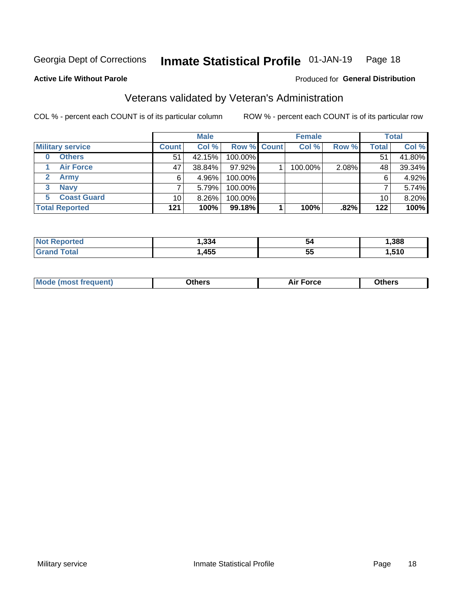#### Inmate Statistical Profile 01-JAN-19 Page 18

### **Active Life Without Parole**

### Produced for General Distribution

# Veterans validated by Veteran's Administration

COL % - percent each COUNT is of its particular column

|                          |              | <b>Male</b> |                    | <b>Female</b> |       |       | <b>Total</b> |
|--------------------------|--------------|-------------|--------------------|---------------|-------|-------|--------------|
| <b>Military service</b>  | <b>Count</b> | Col %       | <b>Row % Count</b> | Col %         | Row % | Total | Col %        |
| <b>Others</b><br>0       | 51           | 42.15%      | 100.00%            |               |       | 51    | 41.80%       |
| <b>Air Force</b>         | 47           | 38.84%      | 97.92%             | 100.00%       | 2.08% | 48    | 39.34%       |
| <b>Army</b>              | 6            | 4.96%       | 100.00%            |               |       | 6     | 4.92%        |
| <b>Navy</b><br>3         |              | 5.79%       | 100.00%            |               |       |       | 5.74%        |
| <b>Coast Guard</b><br>5. | 10           | $8.26\%$    | 100.00%            |               |       | 10    | 8.20%        |
| <b>Total Reported</b>    | $121$        | 100%        | 99.18%             | 100%          | .82%  | 122   | 100%         |

| neo         | ີ<br>40. י | 54 | ,388 |
|-------------|------------|----|------|
| $f$ ata $f$ | <b>A55</b> | -- | .510 |
|             | ャソソ        | ວວ | .    |

| <b>Moo.</b> |
|-------------|
|-------------|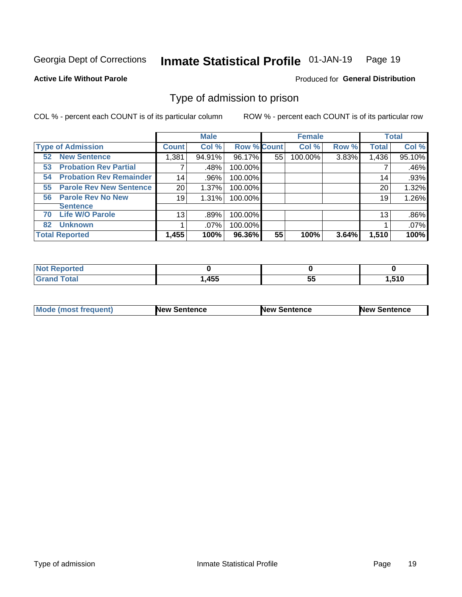#### Inmate Statistical Profile 01-JAN-19 Page 19

**Active Life Without Parole** 

Produced for General Distribution

# Type of admission to prison

COL % - percent each COUNT is of its particular column

|                                      |                 | <b>Male</b> |                    |    | <b>Female</b> |       |              | <b>Total</b> |
|--------------------------------------|-----------------|-------------|--------------------|----|---------------|-------|--------------|--------------|
| <b>Type of Admission</b>             | <b>Count</b>    | Col %       | <b>Row % Count</b> |    | Col %         | Row % | <b>Total</b> | Col %        |
| <b>New Sentence</b><br>52            | 1,381           | 94.91%      | 96.17%             | 55 | 100.00%       | 3.83% | 1,436        | 95.10%       |
| <b>Probation Rev Partial</b><br>53   | 7               | .48%        | 100.00%            |    |               |       |              | .46%         |
| <b>Probation Rev Remainder</b><br>54 | 14              | .96%        | 100.00%            |    |               |       | 14           | .93%         |
| <b>Parole Rev New Sentence</b><br>55 | 20              | 1.37%       | 100.00%            |    |               |       | 20           | 1.32%        |
| <b>Parole Rev No New</b><br>56       | 19              | 1.31%       | 100.00%            |    |               |       | 19           | 1.26%        |
| <b>Sentence</b>                      |                 |             |                    |    |               |       |              |              |
| <b>Life W/O Parole</b><br>70         | 13 <sub>1</sub> | .89%        | 100.00%            |    |               |       | 13           | .86%         |
| <b>Unknown</b><br>82                 |                 | $.07\%$     | 100.00%            |    |               |       |              | .07%         |
| <b>Total Reported</b>                | 1,455           | 100%        | 96.36%             | 55 | 100%          | 3.64% | 1,510        | 100%         |

| <b>eported</b><br><b>NOT</b> |      |          |       |
|------------------------------|------|----------|-------|
| <b>Total</b><br>Gra          | ,455 | --<br>◡◡ | .510، |

| Mode (most frequent) | <b>New Sentence</b> | <b>New Sentence</b> | <b>New Sentence</b> |
|----------------------|---------------------|---------------------|---------------------|
|                      |                     |                     |                     |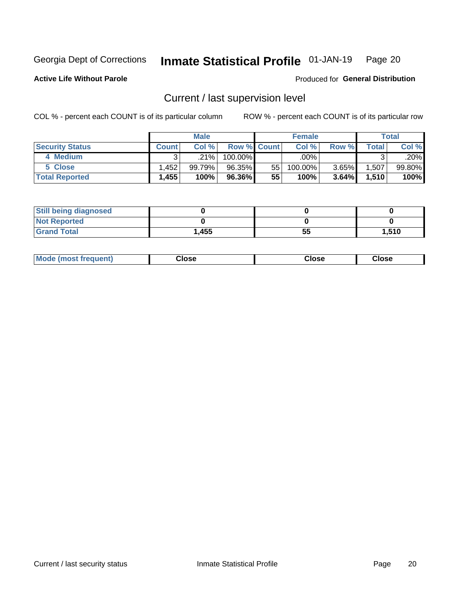#### Inmate Statistical Profile 01-JAN-19 Page 20

**Active Life Without Parole** 

### Produced for General Distribution

# Current / last supervision level

COL % - percent each COUNT is of its particular column

|                        |              | <b>Male</b> |                    |     | <b>Female</b> |          |       | <b>Total</b> |
|------------------------|--------------|-------------|--------------------|-----|---------------|----------|-------|--------------|
| <b>Security Status</b> | <b>Count</b> | Col%        | <b>Row % Count</b> |     | Col %         | Row %    | Total | Col %        |
| 4 Medium               | ົ            | $.21\%$     | $100.00\%$         |     | .00%          |          |       | .20%         |
| 5 Close                | .452         | 99.79%      | 96.35%             | 551 | 100.00%       | 3.65%    | 1,507 | 99.80%       |
| <b>Total Reported</b>  | 1,455        | 100%        | 96.36%             | 55  | 100%          | $3.64\%$ | 1.510 | 100%         |

| <b>Still being diagnosed</b> |       |    |       |
|------------------------------|-------|----|-------|
| <b>Not Reported</b>          |       |    |       |
| <b>Grand Total</b>           | 1,455 | 55 | 1,510 |

| <b>AhoM</b><br>rreauent) | <b>Close</b> | Close | Close |
|--------------------------|--------------|-------|-------|
|                          |              |       |       |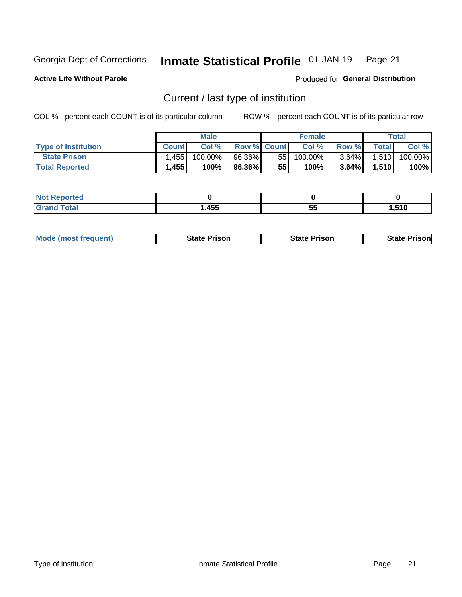#### Inmate Statistical Profile 01-JAN-19 Page 21

**Active Life Without Parole** 

Produced for General Distribution

# Current / last type of institution

COL % - percent each COUNT is of its particular column

|                            |              | <b>Male</b> |                    |    | <b>Female</b> |          |       | Total   |
|----------------------------|--------------|-------------|--------------------|----|---------------|----------|-------|---------|
| <b>Type of Institution</b> | <b>Count</b> | Col%        | <b>Row % Count</b> |    | Col %         | Row %    | Total | Col %   |
| <b>State Prison</b>        | .455         | 100.00%     | 96.36%             | 55 | 100.00%       | $3.64\%$ | 1,510 | 100.00% |
| <b>Total Reported</b>      | 1,455        | 100%        | 96.36%             | 55 | 100%          | $3.64\%$ | 1,510 | 100%    |

| тес |     |    |       |
|-----|-----|----|-------|
|     | 455 | ວະ | 510,ا |

|  | <b>Mode (most frequent)</b> | State Prison | <b>State Prison</b> | <b>State Prison</b> |
|--|-----------------------------|--------------|---------------------|---------------------|
|--|-----------------------------|--------------|---------------------|---------------------|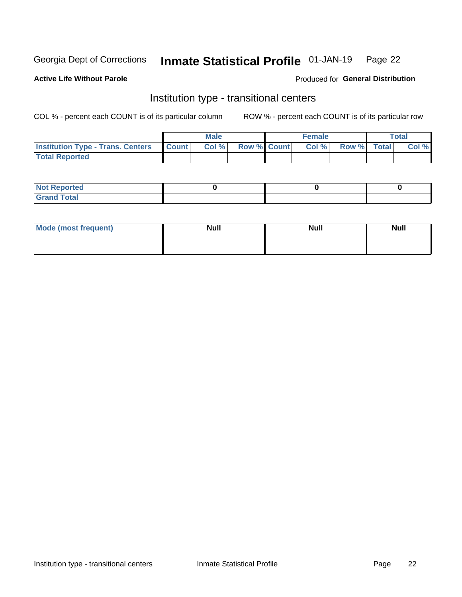#### Inmate Statistical Profile 01-JAN-19 Page 22

### **Active Life Without Parole**

### Produced for General Distribution

# Institution type - transitional centers

COL % - percent each COUNT is of its particular column

|                                                | Male  |                    | <b>Female</b> |                   | Total |
|------------------------------------------------|-------|--------------------|---------------|-------------------|-------|
| <b>Institution Type - Trans. Centers Count</b> | Col % | <b>Row % Count</b> |               | Col % Row % Total | Col % |
| <b>Total Reported</b>                          |       |                    |               |                   |       |

| <b>Reported</b><br><b>NOT</b><br>$\sim$            |  |  |
|----------------------------------------------------|--|--|
| $f$ $f \circ f \circ f$<br>$C = 1$<br><b>TULAI</b> |  |  |

| Mode (most frequent) | <b>Null</b> | <b>Null</b> | <b>Null</b> |
|----------------------|-------------|-------------|-------------|
|                      |             |             |             |
|                      |             |             |             |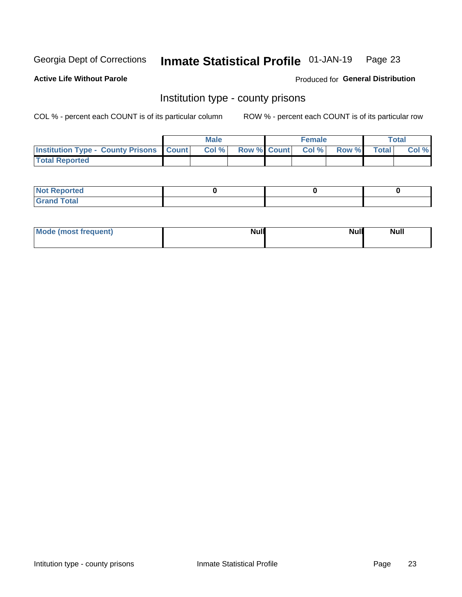#### Inmate Statistical Profile 01-JAN-19 Page 23

**Active Life Without Parole** 

Produced for General Distribution

# Institution type - county prisons

COL % - percent each COUNT is of its particular column

|                                                    | <b>Male</b> |       |                          | <b>Female</b> |  |             | <b>Total</b> |       |  |
|----------------------------------------------------|-------------|-------|--------------------------|---------------|--|-------------|--------------|-------|--|
| <b>Institution Type - County Prisons   Count  </b> |             | Col % | <b>Row % Count Col %</b> |               |  | Row % Total |              | Col % |  |
| <b>Total Reported</b>                              |             |       |                          |               |  |             |              |       |  |

| <b>Not Reported</b>   |  |  |
|-----------------------|--|--|
| <b>Total</b><br>Granc |  |  |

| Mode (most frequent) | <b>Null</b> | <b>Null</b><br><b>Null</b> |
|----------------------|-------------|----------------------------|
|                      |             |                            |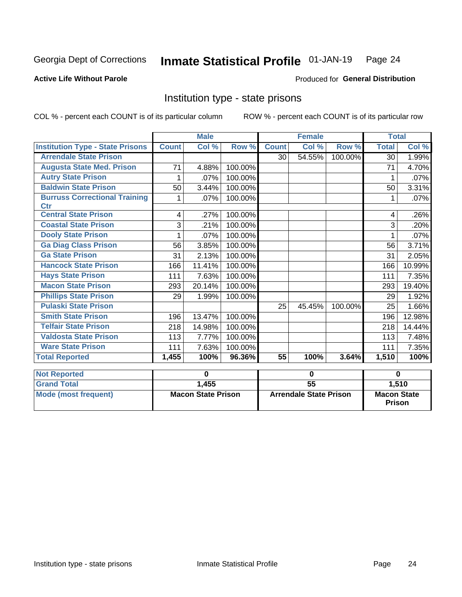#### Inmate Statistical Profile 01-JAN-19 Page 24

### **Active Life Without Parole**

### Produced for General Distribution

# Institution type - state prisons

COL % - percent each COUNT is of its particular column

|                                                    | <b>Male</b>               |        |                               | <b>Female</b>   |        |                                     | <b>Total</b> |        |
|----------------------------------------------------|---------------------------|--------|-------------------------------|-----------------|--------|-------------------------------------|--------------|--------|
| <b>Institution Type - State Prisons</b>            | <b>Count</b>              | Col %  | Row %                         | <b>Count</b>    | Col %  | Row %                               | <b>Total</b> | Col %  |
| <b>Arrendale State Prison</b>                      |                           |        |                               | 30              | 54.55% | 100.00%                             | 30           | 1.99%  |
| <b>Augusta State Med. Prison</b>                   | 71                        | 4.88%  | 100.00%                       |                 |        |                                     | 71           | 4.70%  |
| <b>Autry State Prison</b>                          | 1                         | .07%   | 100.00%                       |                 |        |                                     |              | .07%   |
| <b>Baldwin State Prison</b>                        | 50                        | 3.44%  | 100.00%                       |                 |        |                                     | 50           | 3.31%  |
| <b>Burruss Correctional Training</b><br><b>Ctr</b> | 1                         | .07%   | 100.00%                       |                 |        |                                     | 1            | .07%   |
| <b>Central State Prison</b>                        | 4                         | .27%   | 100.00%                       |                 |        |                                     | 4            | .26%   |
| <b>Coastal State Prison</b>                        | 3                         | .21%   | 100.00%                       |                 |        |                                     | 3            | .20%   |
| <b>Dooly State Prison</b>                          | 1                         | .07%   | 100.00%                       |                 |        |                                     |              | .07%   |
| <b>Ga Diag Class Prison</b>                        | 56                        | 3.85%  | 100.00%                       |                 |        |                                     | 56           | 3.71%  |
| <b>Ga State Prison</b>                             | 31                        | 2.13%  | 100.00%                       |                 |        |                                     | 31           | 2.05%  |
| <b>Hancock State Prison</b>                        | 166                       | 11.41% | 100.00%                       |                 |        |                                     | 166          | 10.99% |
| <b>Hays State Prison</b>                           | 111                       | 7.63%  | 100.00%                       |                 |        |                                     | 111          | 7.35%  |
| <b>Macon State Prison</b>                          | 293                       | 20.14% | 100.00%                       |                 |        |                                     | 293          | 19.40% |
| <b>Phillips State Prison</b>                       | 29                        | 1.99%  | 100.00%                       |                 |        |                                     | 29           | 1.92%  |
| <b>Pulaski State Prison</b>                        |                           |        |                               | 25              | 45.45% | 100.00%                             | 25           | 1.66%  |
| <b>Smith State Prison</b>                          | 196                       | 13.47% | 100.00%                       |                 |        |                                     | 196          | 12.98% |
| <b>Telfair State Prison</b>                        | 218                       | 14.98% | 100.00%                       |                 |        |                                     | 218          | 14.44% |
| <b>Valdosta State Prison</b>                       | 113                       | 7.77%  | 100.00%                       |                 |        |                                     | 113          | 7.48%  |
| <b>Ware State Prison</b>                           | 111                       | 7.63%  | 100.00%                       |                 |        |                                     | 111          | 7.35%  |
| <b>Total Reported</b>                              | 1,455                     | 100%   | 96.36%                        | $\overline{55}$ | 100%   | 3.64%                               | 1,510        | 100%   |
| <b>Not Reported</b>                                | 0                         |        | $\bf{0}$                      |                 |        | $\bf{0}$                            |              |        |
| <b>Grand Total</b>                                 |                           | 1,455  |                               | $\overline{55}$ |        |                                     |              | 1,510  |
| <b>Mode (most frequent)</b>                        | <b>Macon State Prison</b> |        | <b>Arrendale State Prison</b> |                 |        | <b>Macon State</b><br><b>Prison</b> |              |        |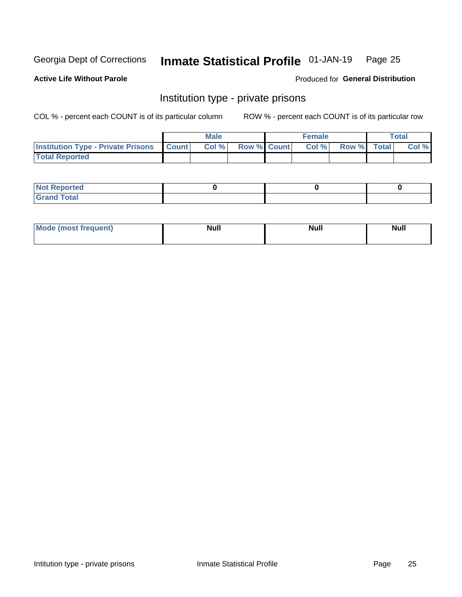#### Inmate Statistical Profile 01-JAN-19 Page 25

**Active Life Without Parole** 

Produced for General Distribution

# Institution type - private prisons

COL % - percent each COUNT is of its particular column

|                                                 | <b>Male</b> |      |                    | <b>Female</b> |       |             | Total |       |
|-------------------------------------------------|-------------|------|--------------------|---------------|-------|-------------|-------|-------|
| <b>Institution Type - Private Prisons Count</b> |             | Col% | <b>Row % Count</b> |               | Col % | Row % Total |       | Col % |
| <b>Total Reported</b>                           |             |      |                    |               |       |             |       |       |

| <b>Not Reported</b>  |  |  |
|----------------------|--|--|
| <b>Total</b><br>C.v. |  |  |

| <b>Mo</b><br>frequent) | <b>Null</b> | <b>Null</b> | . . I *<br><b>IVUII</b> |
|------------------------|-------------|-------------|-------------------------|
|                        |             |             |                         |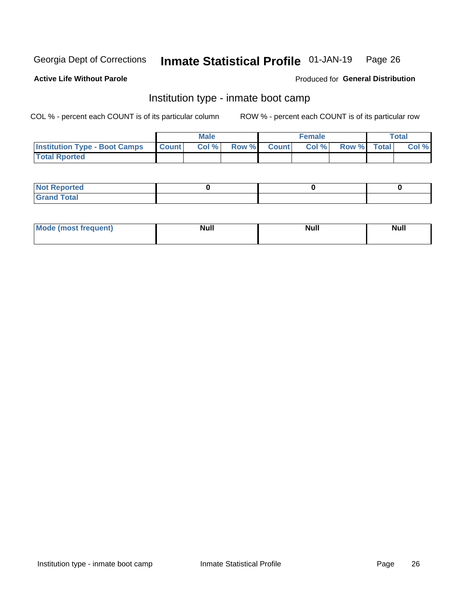#### Inmate Statistical Profile 01-JAN-19 Page 26

### **Active Life Without Parole**

### Produced for General Distribution

# Institution type - inmate boot camp

COL % - percent each COUNT is of its particular column

|                                      | <b>Male</b>  |       |               |              | <b>Female</b> | <b>Total</b> |       |
|--------------------------------------|--------------|-------|---------------|--------------|---------------|--------------|-------|
| <b>Institution Type - Boot Camps</b> | <b>Count</b> | Col % | <b>Row %I</b> | <b>Count</b> | Col %         | Row % Total  | Col % |
| <b>Total Rported</b>                 |              |       |               |              |               |              |       |

| <b>Not Reported</b>            |  |  |
|--------------------------------|--|--|
| <b>Total</b><br>C <sub>r</sub> |  |  |

| Mod<br>uamo | Nul.<br>$- - - - - -$ | <b>Null</b> | <br>uu.<br>------ |
|-------------|-----------------------|-------------|-------------------|
|             |                       |             |                   |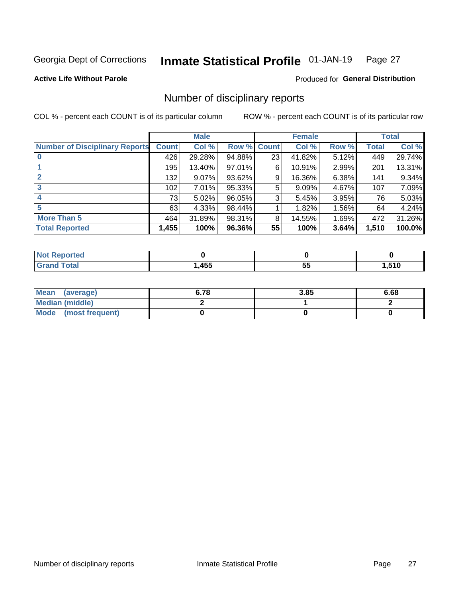#### Inmate Statistical Profile 01-JAN-19 Page 27

**Active Life Without Parole** 

Produced for General Distribution

# Number of disciplinary reports

COL % - percent each COUNT is of its particular column

|                                       | <b>Male</b>  |        |                    |    | <b>Female</b> | <b>Total</b> |       |        |
|---------------------------------------|--------------|--------|--------------------|----|---------------|--------------|-------|--------|
| <b>Number of Disciplinary Reports</b> | <b>Count</b> | Col %  | <b>Row % Count</b> |    | Col %         | Row %        | Total | Col %  |
|                                       | 426          | 29.28% | $94.88\%$          | 23 | 41.82%        | 5.12%        | 449   | 29.74% |
|                                       | 195          | 13.40% | 97.01%             | 6  | 10.91%        | 2.99%        | 201   | 13.31% |
|                                       | 132          | 9.07%  | 93.62%             | 9  | 16.36%        | 6.38%        | 141   | 9.34%  |
| 3                                     | 102          | 7.01%  | 95.33%             | 5  | 9.09%         | 4.67%        | 107   | 7.09%  |
|                                       | 73           | 5.02%  | 96.05%             | 3  | 5.45%         | 3.95%        | 76    | 5.03%  |
| 5                                     | 63           | 4.33%  | 98.44%             |    | 1.82%         | 1.56%        | 64    | 4.24%  |
| <b>More Than 5</b>                    | 464          | 31.89% | 98.31%             | 8  | 14.55%        | 1.69%        | 472   | 31.26% |
| <b>Total Reported</b>                 | 1,455        | 100%   | 96.36%             | 55 | 100%          | 3.64%        | 1,510 | 100.0% |

| wo<br>тес    |                   |   |       |
|--------------|-------------------|---|-------|
| <b>Total</b> | <b>ARF</b><br>ניד | ◡ | .510، |

| Mean (average)       | 6.78 | 3.85 | 6.68 |
|----------------------|------|------|------|
| Median (middle)      |      |      |      |
| Mode (most frequent) |      |      |      |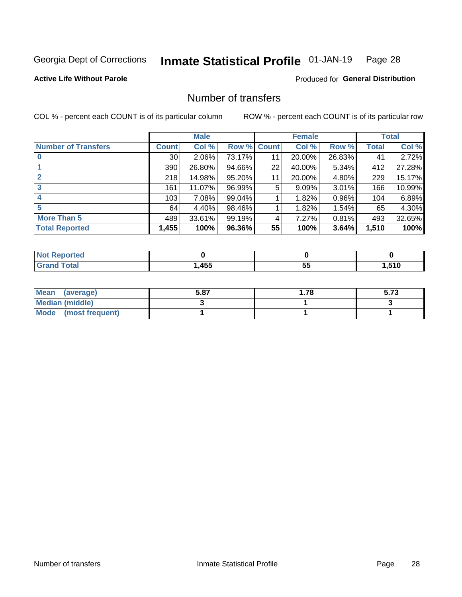#### Inmate Statistical Profile 01-JAN-19 Page 28

### **Active Life Without Parole**

### Produced for General Distribution

# Number of transfers

COL % - percent each COUNT is of its particular column

|                            | <b>Male</b>     |        | <b>Female</b> |              |        | <b>Total</b> |              |        |
|----------------------------|-----------------|--------|---------------|--------------|--------|--------------|--------------|--------|
| <b>Number of Transfers</b> | Count l         | Col %  | Row %         | <b>Count</b> | Col %  | Row %        | <b>Total</b> | Col %  |
|                            | 30 <sub>1</sub> | 2.06%  | 73.17%        | 11           | 20.00% | 26.83%       | 41           | 2.72%  |
|                            | 390             | 26.80% | 94.66%        | 22           | 40.00% | 5.34%        | 412          | 27.28% |
| $\mathbf{2}$               | 218             | 14.98% | 95.20%        | 11           | 20.00% | 4.80%        | 229          | 15.17% |
| 3                          | 161             | 11.07% | 96.99%        | 5            | 9.09%  | $3.01\%$     | 166          | 10.99% |
|                            | 103             | 7.08%  | 99.04%        |              | 1.82%  | 0.96%        | 104          | 6.89%  |
| 5                          | 64              | 4.40%  | 98.46%        |              | 1.82%  | 1.54%        | 65           | 4.30%  |
| <b>More Than 5</b>         | 489             | 33.61% | 99.19%        | 4            | 7.27%  | 0.81%        | 493          | 32.65% |
| <b>Total Reported</b>      | 1,455           | 100%   | $96.36\%$     | 55           | 100%   | 3.64%        | 1,510        | 100%   |

| <b>nted</b><br>NO |                   |    |       |
|-------------------|-------------------|----|-------|
| Total             | <b>ARF</b><br>ຯບບ | JJ | . 510 |

| Mean (average)         | 5.87 | 1.78 | ร |
|------------------------|------|------|---|
| <b>Median (middle)</b> |      |      |   |
| Mode (most frequent)   |      |      |   |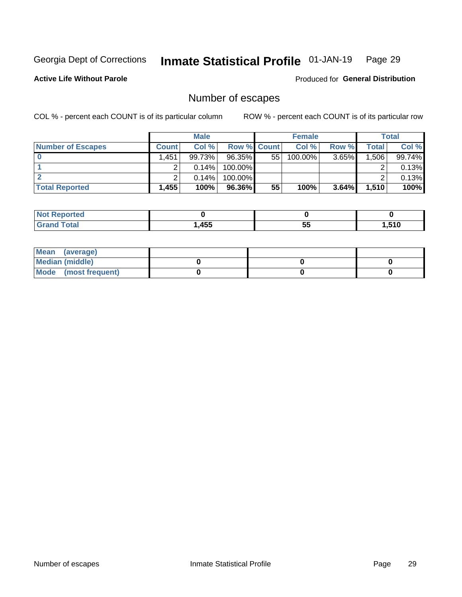#### Inmate Statistical Profile 01-JAN-19 Page 29

### **Active Life Without Parole**

**Produced for General Distribution** 

# Number of escapes

COL % - percent each COUNT is of its particular column

|                          | <b>Male</b>  |          |                    | <b>Female</b> |         |       | <b>Total</b> |        |
|--------------------------|--------------|----------|--------------------|---------------|---------|-------|--------------|--------|
| <b>Number of Escapes</b> | <b>Count</b> | Col%     | <b>Row % Count</b> |               | Col %   | Row % | Total        | Col %  |
|                          | .451         | 99.73%   | 96.35%             | 55            | 100.00% | 3.65% | .506         | 99.74% |
|                          |              | $0.14\%$ | 100.00%            |               |         |       |              | 0.13%  |
|                          |              | 0.14%    | 100.00%            |               |         |       |              | 0.13%  |
| <b>Total Reported</b>    | ,455'        | 100%     | 96.36%             | 55            | 100%    | 3.64% | 1,510        | 100%   |

| rtea<br>NO:                              |            |               |            |
|------------------------------------------|------------|---------------|------------|
| $T \sim$ fol $-$<br>Grand<br><b>Oldi</b> | A5F<br>+ט∪ | . .<br>ы<br>◡ | E40<br>. . |

| Mean (average)       |  |  |
|----------------------|--|--|
| Median (middle)      |  |  |
| Mode (most frequent) |  |  |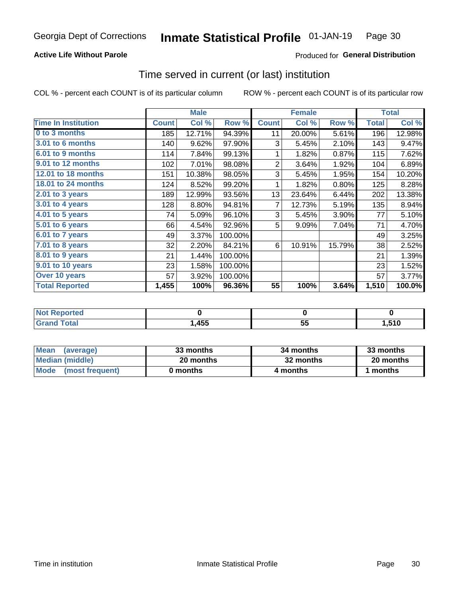### **Active Life Without Parole**

### **Produced for General Distribution**

# Time served in current (or last) institution

COL % - percent each COUNT is of its particular column

|                            |              | <b>Male</b> |         |                | <b>Female</b> | <b>Total</b> |              |        |
|----------------------------|--------------|-------------|---------|----------------|---------------|--------------|--------------|--------|
| <b>Time In Institution</b> | <b>Count</b> | Col %       | Row %   | <b>Count</b>   | Col %         | Row %        | <b>Total</b> | Col %  |
| 0 to 3 months              | 185          | 12.71%      | 94.39%  | 11             | 20.00%        | 5.61%        | 196          | 12.98% |
| <b>3.01 to 6 months</b>    | 140          | 9.62%       | 97.90%  | 3              | 5.45%         | 2.10%        | 143          | 9.47%  |
| 6.01 to 9 months           | 114          | 7.84%       | 99.13%  | 1              | 1.82%         | 0.87%        | 115          | 7.62%  |
| 9.01 to 12 months          | 102          | 7.01%       | 98.08%  | $\overline{2}$ | 3.64%         | 1.92%        | 104          | 6.89%  |
| <b>12.01 to 18 months</b>  | 151          | 10.38%      | 98.05%  | 3              | 5.45%         | 1.95%        | 154          | 10.20% |
| <b>18.01 to 24 months</b>  | 124          | 8.52%       | 99.20%  | 1              | 1.82%         | 0.80%        | 125          | 8.28%  |
| $2.01$ to 3 years          | 189          | 12.99%      | 93.56%  | 13             | 23.64%        | 6.44%        | 202          | 13.38% |
| 3.01 to 4 years            | 128          | 8.80%       | 94.81%  | 7              | 12.73%        | 5.19%        | 135          | 8.94%  |
| $4.01$ to 5 years          | 74           | 5.09%       | 96.10%  | 3              | 5.45%         | 3.90%        | 77           | 5.10%  |
| 5.01 to 6 years            | 66           | 4.54%       | 92.96%  | 5              | 9.09%         | 7.04%        | 71           | 4.70%  |
| 6.01 to 7 years            | 49           | 3.37%       | 100.00% |                |               |              | 49           | 3.25%  |
| $7.01$ to 8 years          | 32           | 2.20%       | 84.21%  | 6              | 10.91%        | 15.79%       | 38           | 2.52%  |
| 8.01 to 9 years            | 21           | 1.44%       | 100.00% |                |               |              | 21           | 1.39%  |
| 9.01 to 10 years           | 23           | 1.58%       | 100.00% |                |               |              | 23           | 1.52%  |
| Over 10 years              | 57           | 3.92%       | 100.00% |                |               |              | 57           | 3.77%  |
| <b>Total Reported</b>      | 1,455        | 100%        | 96.36%  | 55             | 100%          | 3.64%        | 1,510        | 100.0% |

| <b>Not Reported</b> |      |           |      |
|---------------------|------|-----------|------|
| Total               | ,455 | . .<br>JJ | ,510 |

| <b>Mean</b><br>(average) | 33 months | 34 months | 33 months |  |  |
|--------------------------|-----------|-----------|-----------|--|--|
| Median (middle)          | 20 months | 32 months | 20 months |  |  |
| Mode (most frequent)     | 0 months  | 4 months  | ∣ months  |  |  |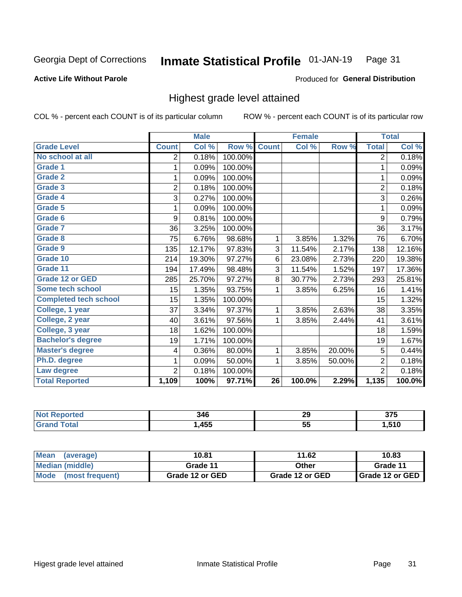#### Inmate Statistical Profile 01-JAN-19 Page 31

### **Active Life Without Parole**

### Produced for General Distribution

# Highest grade level attained

COL % - percent each COUNT is of its particular column

|                              |                | <b>Male</b> |         |                 | <b>Female</b> |        |                | <b>Total</b> |
|------------------------------|----------------|-------------|---------|-----------------|---------------|--------|----------------|--------------|
| <b>Grade Level</b>           | <b>Count</b>   | Col %       | Row %   | <b>Count</b>    | Col %         | Row %  | <b>Total</b>   | Col %        |
| No school at all             | 2              | 0.18%       | 100.00% |                 |               |        | $\overline{2}$ | 0.18%        |
| <b>Grade 1</b>               | 1              | 0.09%       | 100.00% |                 |               |        | 1              | 0.09%        |
| <b>Grade 2</b>               | 1              | 0.09%       | 100.00% |                 |               |        | 1              | 0.09%        |
| <b>Grade 3</b>               | $\overline{2}$ | 0.18%       | 100.00% |                 |               |        | $\overline{2}$ | 0.18%        |
| <b>Grade 4</b>               | 3              | 0.27%       | 100.00% |                 |               |        | 3              | 0.26%        |
| Grade 5                      | 1              | 0.09%       | 100.00% |                 |               |        | 1              | 0.09%        |
| Grade 6                      | 9              | 0.81%       | 100.00% |                 |               |        | 9              | 0.79%        |
| Grade 7                      | 36             | 3.25%       | 100.00% |                 |               |        | 36             | 3.17%        |
| Grade 8                      | 75             | 6.76%       | 98.68%  | 1               | 3.85%         | 1.32%  | 76             | 6.70%        |
| Grade 9                      | 135            | 12.17%      | 97.83%  | 3               | 11.54%        | 2.17%  | 138            | 12.16%       |
| Grade 10                     | 214            | 19.30%      | 97.27%  | 6               | 23.08%        | 2.73%  | 220            | 19.38%       |
| Grade 11                     | 194            | 17.49%      | 98.48%  | 3               | 11.54%        | 1.52%  | 197            | 17.36%       |
| <b>Grade 12 or GED</b>       | 285            | 25.70%      | 97.27%  | 8               | 30.77%        | 2.73%  | 293            | 25.81%       |
| Some tech school             | 15             | 1.35%       | 93.75%  | 1               | 3.85%         | 6.25%  | 16             | 1.41%        |
| <b>Completed tech school</b> | 15             | 1.35%       | 100.00% |                 |               |        | 15             | 1.32%        |
| College, 1 year              | 37             | 3.34%       | 97.37%  | 1               | 3.85%         | 2.63%  | 38             | 3.35%        |
| College, 2 year              | 40             | 3.61%       | 97.56%  | 1               | 3.85%         | 2.44%  | 41             | 3.61%        |
| College, 3 year              | 18             | 1.62%       | 100.00% |                 |               |        | 18             | 1.59%        |
| <b>Bachelor's degree</b>     | 19             | 1.71%       | 100.00% |                 |               |        | 19             | 1.67%        |
| <b>Master's degree</b>       | 4              | 0.36%       | 80.00%  | 1               | 3.85%         | 20.00% | 5              | 0.44%        |
| Ph.D. degree                 | 1              | 0.09%       | 50.00%  | 1               | 3.85%         | 50.00% | $\overline{2}$ | 0.18%        |
| Law degree                   | $\overline{2}$ | 0.18%       | 100.00% |                 |               |        | $\overline{2}$ | 0.18%        |
| <b>Total Reported</b>        | 1,109          | 100%        | 97.71%  | $\overline{26}$ | 100.0%        | 2.29%  | 1,135          | 100.0%       |

| NO<br>rtec | 346  | 29 | $- - -$<br>J1 J |
|------------|------|----|-----------------|
| υιαι       | ,455 | ູບ | .510            |

| <b>Mean</b><br>(average) | 10.81           | 11.62           | 10.83           |
|--------------------------|-----------------|-----------------|-----------------|
| Median (middle)          | Grade 11        | Other           | Grade 11        |
| Mode<br>(most frequent)  | Grade 12 or GED | Grade 12 or GED | Grade 12 or GED |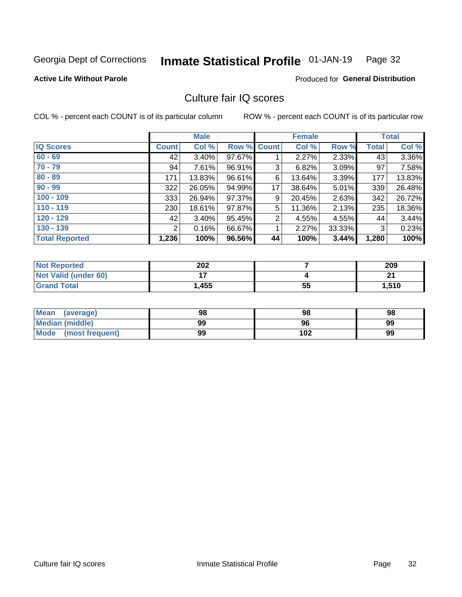#### Inmate Statistical Profile 01-JAN-19 Page 32

### **Active Life Without Parole**

### Produced for General Distribution

# Culture fair IQ scores

COL % - percent each COUNT is of its particular column

|                       |              | <b>Male</b> |                    |                | <b>Female</b> |          |              | <b>Total</b> |
|-----------------------|--------------|-------------|--------------------|----------------|---------------|----------|--------------|--------------|
| <b>IQ Scores</b>      | <b>Count</b> | Col %       | <b>Row % Count</b> |                | Col %         | Row %    | <b>Total</b> | Col %        |
| $60 - 69$             | 42           | $3.40\%$    | 97.67%             |                | 2.27%         | 2.33%    | 43           | 3.36%        |
| $70 - 79$             | 94           | 7.61%       | 96.91%             | 3              | 6.82%         | $3.09\%$ | 97           | 7.58%        |
| $80 - 89$             | 171          | 13.83%      | 96.61%             | 6              | 13.64%        | $3.39\%$ | 177          | 13.83%       |
| $90 - 99$             | 322          | 26.05%      | 94.99%             | 17             | 38.64%        | $5.01\%$ | 339          | 26.48%       |
| $100 - 109$           | 333          | 26.94%      | 97.37%             | 9              | 20.45%        | 2.63%    | 342          | 26.72%       |
| $110 - 119$           | 230          | 18.61%      | 97.87%             | 5              | 11.36%        | 2.13%    | 235          | 18.36%       |
| $120 - 129$           | 42           | 3.40%       | 95.45%             | $\overline{2}$ | 4.55%         | 4.55%    | 44           | 3.44%        |
| $130 - 139$           | 2            | 0.16%       | 66.67%             | 1              | 2.27%         | 33.33%   | 3            | 0.23%        |
| <b>Total Reported</b> | 1,236        | 100%        | 96.56%             | 44             | 100%          | 3.44%    | 1,280        | 100%         |

| <b>Not Reported</b>  | 202   |    | 209   |
|----------------------|-------|----|-------|
| Not Valid (under 60) |       |    | n.    |
| <b>Grand Total</b>   | 1,455 | 55 | 1,510 |

| Mean<br>(average)       | 98 | 98  | 98 |
|-------------------------|----|-----|----|
| <b>Median (middle)</b>  | 99 | 96  | 99 |
| Mode<br>(most frequent) | 99 | 102 | 99 |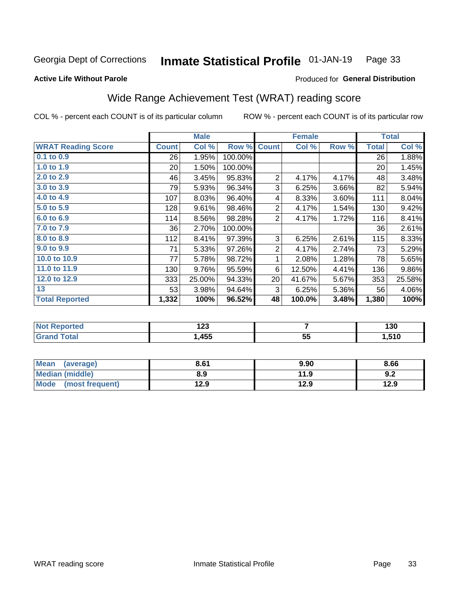#### Inmate Statistical Profile 01-JAN-19 Page 33

### **Active Life Without Parole**

### **Produced for General Distribution**

# Wide Range Achievement Test (WRAT) reading score

COL % - percent each COUNT is of its particular column

|                           |                 | <b>Male</b> |         |                | <b>Female</b> |       |              | <b>Total</b> |
|---------------------------|-----------------|-------------|---------|----------------|---------------|-------|--------------|--------------|
| <b>WRAT Reading Score</b> | <b>Count</b>    | Col %       | Row %   | <b>Count</b>   | Col %         | Row % | <b>Total</b> | Col %        |
| 0.1 to 0.9                | 26              | 1.95%       | 100.00% |                |               |       | 26           | 1.88%        |
| 1.0 to 1.9                | 20 <sup>°</sup> | 1.50%       | 100.00% |                |               |       | 20           | 1.45%        |
| 2.0 to 2.9                | 46              | 3.45%       | 95.83%  | $\overline{2}$ | 4.17%         | 4.17% | 48           | 3.48%        |
| 3.0 to 3.9                | 79              | 5.93%       | 96.34%  | 3              | 6.25%         | 3.66% | 82           | 5.94%        |
| 4.0 to 4.9                | 107             | 8.03%       | 96.40%  | 4              | 8.33%         | 3.60% | 111          | 8.04%        |
| 5.0 to 5.9                | 128             | 9.61%       | 98.46%  | $\overline{c}$ | 4.17%         | 1.54% | 130          | 9.42%        |
| 6.0 to 6.9                | 114             | 8.56%       | 98.28%  | $\overline{2}$ | 4.17%         | 1.72% | 116          | 8.41%        |
| 7.0 to 7.9                | 36              | 2.70%       | 100.00% |                |               |       | 36           | 2.61%        |
| 8.0 to 8.9                | 112             | 8.41%       | 97.39%  | 3              | 6.25%         | 2.61% | 115          | 8.33%        |
| 9.0 to 9.9                | 71              | 5.33%       | 97.26%  | $\overline{2}$ | 4.17%         | 2.74% | 73           | 5.29%        |
| 10.0 to 10.9              | 77              | 5.78%       | 98.72%  | 1              | 2.08%         | 1.28% | 78           | 5.65%        |
| 11.0 to 11.9              | 130             | 9.76%       | 95.59%  | 6              | 12.50%        | 4.41% | 136          | $9.86\%$     |
| 12.0 to 12.9              | 333             | 25.00%      | 94.33%  | 20             | 41.67%        | 5.67% | 353          | 25.58%       |
| 13                        | 53              | 3.98%       | 94.64%  | 3              | 6.25%         | 5.36% | 56           | 4.06%        |
| <b>Total Reported</b>     | 1,332           | 100%        | 96.52%  | 48             | 100.0%        | 3.48% | 1,380        | 100%         |
|                           |                 |             |         |                |               |       |              |              |
| Not Reported              |                 | 123         |         |                | 7             |       |              | 130          |

| .<br>u leu | -----<br>12J |         | 130               |
|------------|--------------|---------|-------------------|
| $\sim$     | ,455         | 55<br>◡ | <b>E40</b><br>1 U |
|            |              |         |                   |

| <b>Mean</b><br>(average) | 8.61 | 9.90 | 8.66 |
|--------------------------|------|------|------|
| <b>Median (middle)</b>   | 8.9  | 11.9 | 9.2  |
| Mode<br>(most frequent)  | 12.9 | 12.9 | 12.9 |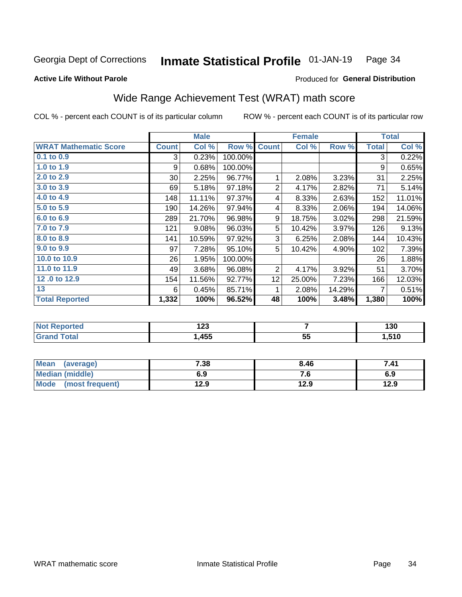#### Inmate Statistical Profile 01-JAN-19 Page 34

### **Active Life Without Parole**

### Produced for General Distribution

# Wide Range Achievement Test (WRAT) math score

COL % - percent each COUNT is of its particular column

|                              |                 | <b>Male</b> |         | <b>Female</b>   |        |          | <b>Total</b> |        |
|------------------------------|-----------------|-------------|---------|-----------------|--------|----------|--------------|--------|
| <b>WRAT Mathematic Score</b> | <b>Count</b>    | Col %       | Row %   | <b>Count</b>    | Col %  | Row %    | <b>Total</b> | Col %  |
| $0.1$ to $0.9$               | 3               | 0.23%       | 100.00% |                 |        |          | 3            | 0.22%  |
| 1.0 to 1.9                   | 9               | 0.68%       | 100.00% |                 |        |          | 9            | 0.65%  |
| 2.0 to 2.9                   | 30 <sup>°</sup> | 2.25%       | 96.77%  | 1               | 2.08%  | 3.23%    | 31           | 2.25%  |
| 3.0 to 3.9                   | 69              | 5.18%       | 97.18%  | $\overline{2}$  | 4.17%  | 2.82%    | 71           | 5.14%  |
| 4.0 to 4.9                   | 148             | 11.11%      | 97.37%  | 4               | 8.33%  | 2.63%    | 152          | 11.01% |
| 5.0 to 5.9                   | 190             | 14.26%      | 97.94%  | 4               | 8.33%  | 2.06%    | 194          | 14.06% |
| 6.0 to 6.9                   | 289             | 21.70%      | 96.98%  | 9               | 18.75% | $3.02\%$ | 298          | 21.59% |
| 7.0 to 7.9                   | 121             | 9.08%       | 96.03%  | 5               | 10.42% | 3.97%    | 126          | 9.13%  |
| 8.0 to 8.9                   | 141             | 10.59%      | 97.92%  | 3               | 6.25%  | 2.08%    | 144          | 10.43% |
| 9.0 to 9.9                   | 97              | 7.28%       | 95.10%  | 5               | 10.42% | 4.90%    | 102          | 7.39%  |
| 10.0 to 10.9                 | 26              | 1.95%       | 100.00% |                 |        |          | 26           | 1.88%  |
| 11.0 to 11.9                 | 49              | 3.68%       | 96.08%  | $\overline{2}$  | 4.17%  | 3.92%    | 51           | 3.70%  |
| 12.0 to 12.9                 | 154             | 11.56%      | 92.77%  | 12 <sub>2</sub> | 25.00% | 7.23%    | 166          | 12.03% |
| 13                           | 6               | 0.45%       | 85.71%  | 1               | 2.08%  | 14.29%   | 7            | 0.51%  |
| <b>Total Reported</b>        | 1,332           | 100%        | 96.52%  | 48              | 100%   | 3.48%    | 1,380        | 100%   |

| <b>Not Reported</b>          | ຳາາ<br>I ZJ |         | 130   |
|------------------------------|-------------|---------|-------|
| <b>Total</b><br><b>Grand</b> | ,455        | 55<br>◡ | 510,ا |

| <b>Mean</b><br>(average)       | 7.38 | 8.46 | 7.41 |
|--------------------------------|------|------|------|
| Median (middle)                | 6.9  | 7. U | 6.9  |
| <b>Mode</b><br>(most frequent) | 12.9 | 12.9 | 12.9 |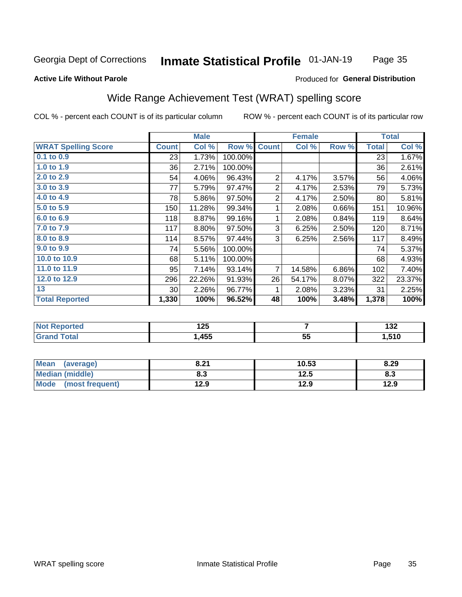#### Inmate Statistical Profile 01-JAN-19 Page 35

### **Active Life Without Parole**

### Produced for General Distribution

# Wide Range Achievement Test (WRAT) spelling score

COL % - percent each COUNT is of its particular column

|                            | <b>Male</b>     |        |         | <b>Female</b>  |                 |       | <b>Total</b> |        |
|----------------------------|-----------------|--------|---------|----------------|-----------------|-------|--------------|--------|
| <b>WRAT Spelling Score</b> | <b>Count</b>    | Col %  | Row %   | <b>Count</b>   | Col %           | Row % | <b>Total</b> | Col %  |
| 0.1 to 0.9                 | 23              | 1.73%  | 100.00% |                |                 |       | 23           | 1.67%  |
| 1.0 to 1.9                 | 36              | 2.71%  | 100.00% |                |                 |       | 36           | 2.61%  |
| $2.0$ to $2.9$             | 54              | 4.06%  | 96.43%  | 2              | 4.17%           | 3.57% | 56           | 4.06%  |
| 3.0 to 3.9                 | 77              | 5.79%  | 97.47%  | $\overline{2}$ | 4.17%           | 2.53% | 79           | 5.73%  |
| 4.0 to 4.9                 | 78              | 5.86%  | 97.50%  | 2              | 4.17%           | 2.50% | 80           | 5.81%  |
| $5.0$ to $5.9$             | 150             | 11.28% | 99.34%  | 1              | 2.08%           | 0.66% | 151          | 10.96% |
| 6.0 to 6.9                 | 118             | 8.87%  | 99.16%  | 1              | 2.08%           | 0.84% | 119          | 8.64%  |
| 7.0 to 7.9                 | 117             | 8.80%  | 97.50%  | 3              | 6.25%           | 2.50% | 120          | 8.71%  |
| 8.0 to 8.9                 | 114             | 8.57%  | 97.44%  | 3              | 6.25%           | 2.56% | 117          | 8.49%  |
| 9.0 to 9.9                 | 74              | 5.56%  | 100.00% |                |                 |       | 74           | 5.37%  |
| 10.0 to 10.9               | 68              | 5.11%  | 100.00% |                |                 |       | 68           | 4.93%  |
| 11.0 to $11.9$             | 95              | 7.14%  | 93.14%  | $\overline{7}$ | 14.58%          | 6.86% | 102          | 7.40%  |
| 12.0 to 12.9               | 296             | 22.26% | 91.93%  | 26             | 54.17%          | 8.07% | 322          | 23.37% |
| 13                         | 30 <sup>°</sup> | 2.26%  | 96.77%  | 1              | 2.08%           | 3.23% | 31           | 2.25%  |
| <b>Total Reported</b>      | 1,330           | 100%   | 96.52%  | 48             | 100%            | 3.48% | 1,378        | 100%   |
|                            |                 |        |         |                |                 |       |              |        |
| <b>Not Reported</b>        |                 | 125    |         | 7              |                 |       | 132          |        |
| <b>Grand Total</b>         |                 | 1,455  |         |                | $\overline{55}$ |       |              | 1,510  |

| <b>Mean</b><br>(average) | 8.21 | 10.53 | 8.29 |
|--------------------------|------|-------|------|
| <b>Median (middle)</b>   | 8.3  | 12.5  | ი.ა  |
| Mode (most frequent)     | 12.9 | 12.9  | 12.9 |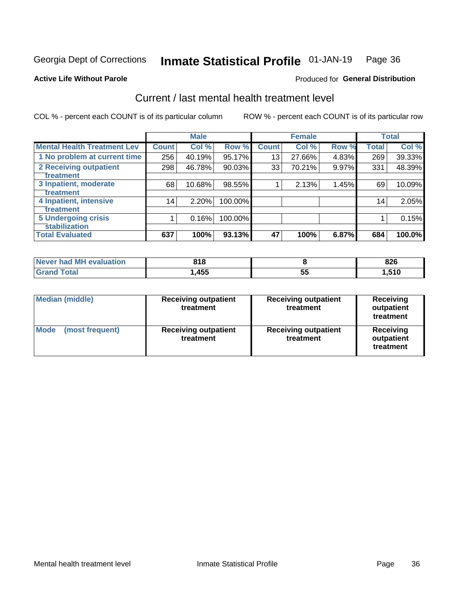#### Inmate Statistical Profile 01-JAN-19 Page 36

### **Active Life Without Parole**

### **Produced for General Distribution**

# Current / last mental health treatment level

COL % - percent each COUNT is of its particular column

|                                    |              | <b>Male</b> |           |              | <b>Female</b> |          |                 | <b>Total</b> |
|------------------------------------|--------------|-------------|-----------|--------------|---------------|----------|-----------------|--------------|
| <b>Mental Health Treatment Lev</b> | <b>Count</b> | Col %       | Row %     | <b>Count</b> | Col %         | Row %    | <b>Total</b>    | Col %        |
| 1 No problem at current time       | 256          | 40.19%      | 95.17%    | 13           | 27.66%        | 4.83%    | 269             | 39.33%       |
| 2 Receiving outpatient             | 298          | 46.78%      | $90.03\%$ | 33           | 70.21%        | $9.97\%$ | 331             | 48.39%       |
| <b>Treatment</b>                   |              |             |           |              |               |          |                 |              |
| 3 Inpatient, moderate              | 68           | 10.68%      | 98.55%    |              | 2.13%         | 1.45%    | 69              | 10.09%       |
| Treatment                          |              |             |           |              |               |          |                 |              |
| 4 Inpatient, intensive             | 14           | 2.20%       | 100.00%   |              |               |          | 14 <sub>1</sub> | 2.05%        |
| Treatment                          |              |             |           |              |               |          |                 |              |
| <b>5 Undergoing crisis</b>         |              | 0.16%       | 100.00%   |              |               |          |                 | 0.15%        |
| <b>stabilization</b>               |              |             |           |              |               |          |                 |              |
| <b>Total Evaluated</b>             | 637          | 100%        | 93.13%    | 47           | 100%          | 6.87%    | 684             | 100.0%       |

| Never had MH | 21 R  |          | 02C  |
|--------------|-------|----------|------|
| evaluation   | ' 1 0 |          | ozu  |
| <b>otal</b>  | ,455  | --<br>JJ | ,510 |

| <b>Median (middle)</b>  | <b>Receiving outpatient</b><br>treatment | <b>Receiving outpatient</b><br>treatment | <b>Receiving</b><br>outpatient<br>treatment |  |
|-------------------------|------------------------------------------|------------------------------------------|---------------------------------------------|--|
| Mode<br>(most frequent) | <b>Receiving outpatient</b><br>treatment | <b>Receiving outpatient</b><br>treatment | Receiving<br>outpatient<br>treatment        |  |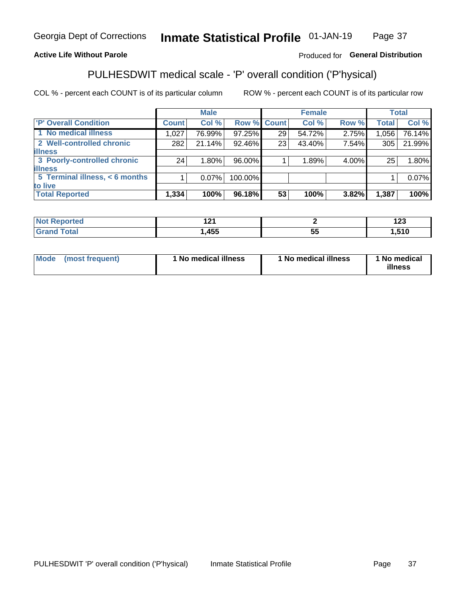#### Inmate Statistical Profile 01-JAN-19 Page 37

### **Active Life Without Parole**

### Produced for General Distribution

# PULHESDWIT medical scale - 'P' overall condition ('P'hysical)

COL % - percent each COUNT is of its particular column

|                                |              | <b>Male</b> |             |    | <b>Female</b> |       |              | <b>Total</b> |
|--------------------------------|--------------|-------------|-------------|----|---------------|-------|--------------|--------------|
| 'P' Overall Condition          | <b>Count</b> | Col %       | Row % Count |    | Col %         | Row % | <b>Total</b> | Col %        |
| 1 No medical illness           | 1,027        | 76.99%      | 97.25%      | 29 | 54.72%        | 2.75% | 1,056        | 76.14%       |
| 2 Well-controlled chronic      | 282          | 21.14%      | 92.46%      | 23 | 43.40%        | 7.54% | 305          | 21.99%       |
| <b>illness</b>                 |              |             |             |    |               |       |              |              |
| 3 Poorly-controlled chronic    | 24           | 1.80%       | 96.00%      |    | 1.89%         | 4.00% | 25           | 1.80%        |
| <b>illness</b>                 |              |             |             |    |               |       |              |              |
| 5 Terminal illness, < 6 months |              | $0.07\%$    | 100.00%     |    |               |       |              | 0.07%        |
| to live                        |              |             |             |    |               |       |              |              |
| <b>Total Reported</b>          | 1,334        | 100%        | 96.18%      | 53 | 100%          | 3.82% | 1,387        | 100%         |

| $\sim$             |          | ה הו<br>14J |
|--------------------|----------|-------------|
| <b>ARR</b><br>. JJ | --<br>J. | <b>E10</b>  |

| <b>Mode</b> | (most frequent) | 1 No medical illness | 1 No medical illness | 1 No medical<br>illness |
|-------------|-----------------|----------------------|----------------------|-------------------------|
|-------------|-----------------|----------------------|----------------------|-------------------------|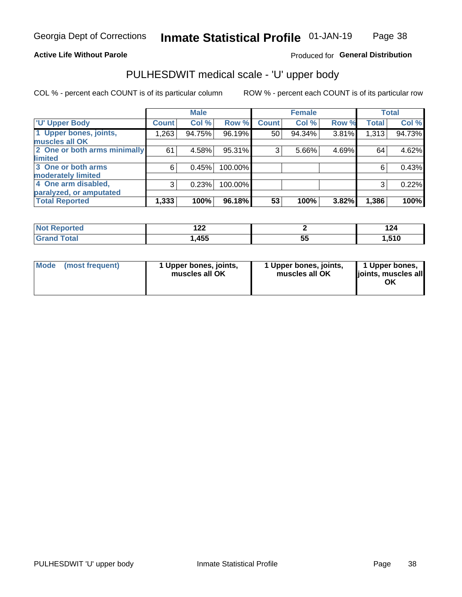### **Active Life Without Parole**

### Produced for General Distribution

# PULHESDWIT medical scale - 'U' upper body

COL % - percent each COUNT is of its particular column

|                              |              | <b>Male</b> |         |              | <b>Female</b> |       |              | <b>Total</b> |
|------------------------------|--------------|-------------|---------|--------------|---------------|-------|--------------|--------------|
| <b>'U' Upper Body</b>        | <b>Count</b> | Col %       | Row %   | <b>Count</b> | Col %         | Row % | <b>Total</b> | Col %        |
| 1 Upper bones, joints,       | 1,263        | 94.75%      | 96.19%  | 50           | 94.34%        | 3.81% | 1,313        | 94.73%       |
| muscles all OK               |              |             |         |              |               |       |              |              |
| 2 One or both arms minimally | 61           | 4.58%       | 95.31%  | 3            | 5.66%         | 4.69% | 64           | 4.62%        |
| limited                      |              |             |         |              |               |       |              |              |
| 3 One or both arms           | 6            | 0.45%       | 100.00% |              |               |       | 6            | 0.43%        |
| <b>moderately limited</b>    |              |             |         |              |               |       |              |              |
| 4 One arm disabled,          | 3            | 0.23%       | 100.00% |              |               |       | 3            | 0.22%        |
| paralyzed, or amputated      |              |             |         |              |               |       |              |              |
| <b>Total Reported</b>        | 1,333        | 100%        | 96.18%  | 53           | 100%          | 3.82% | 1,386        | 100%         |

| orted<br>NOT F<br>$\sim$ . The set of $\sim$ | ,<br>1 Ł Ł         |          | 124   |
|----------------------------------------------|--------------------|----------|-------|
| Total                                        | <b>A55</b><br>,4JJ | --<br>JJ | .,510 |

|  | Mode (most frequent) | 1 Upper bones, joints,<br>muscles all OK | 1 Upper bones, joints,<br>muscles all OK | 1 Upper bones,<br>ljoints, muscles all<br>ΟK |
|--|----------------------|------------------------------------------|------------------------------------------|----------------------------------------------|
|--|----------------------|------------------------------------------|------------------------------------------|----------------------------------------------|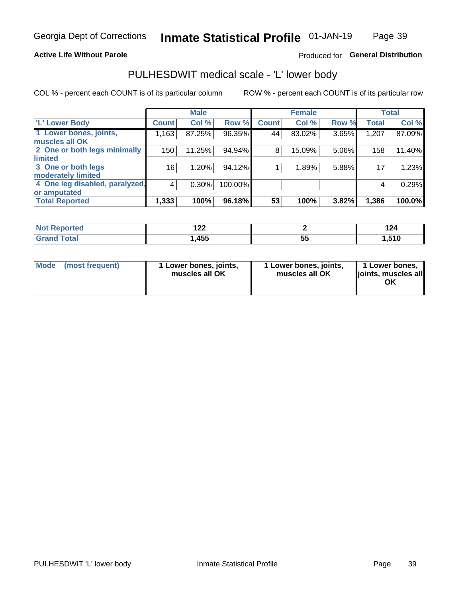### **Active Life Without Parole**

### Produced for General Distribution

# PULHESDWIT medical scale - 'L' lower body

COL % - percent each COUNT is of its particular column

|                                |              | <b>Male</b> |         |              | <b>Female</b> |       |              | <b>Total</b> |
|--------------------------------|--------------|-------------|---------|--------------|---------------|-------|--------------|--------------|
| 'L' Lower Body                 | <b>Count</b> | Col %       | Row %   | <b>Count</b> | Col %         | Row % | <b>Total</b> | Col %        |
| 1 Lower bones, joints,         | 1,163        | 87.25%      | 96.35%  | 44           | 83.02%        | 3.65% | 1,207        | 87.09%       |
| muscles all OK                 |              |             |         |              |               |       |              |              |
| 2 One or both legs minimally   | 150          | 11.25%      | 94.94%  | 8            | 15.09%        | 5.06% | 158          | 11.40%       |
| limited                        |              |             |         |              |               |       |              |              |
| 3 One or both legs             | 16           | 1.20%       | 94.12%  |              | 1.89%         | 5.88% | 17           | 1.23%        |
| moderately limited             |              |             |         |              |               |       |              |              |
| 4 One leg disabled, paralyzed, | 4            | 0.30%       | 100.00% |              |               |       | 4            | 0.29%        |
| or amputated                   |              |             |         |              |               |       |              |              |
| <b>Total Reported</b>          | 1,333        | 100%        | 96.18%  | 53           | 100%          | 3.82% | 1,386        | 100.0%       |

| <b>Not Reported</b>              | ,<br>$\epsilon$ |    | $\ddot{\phantom{1}}$<br>124 |
|----------------------------------|-----------------|----|-----------------------------|
| <b>Total</b><br><b>UI 41 I 4</b> | ,455            | vu | .,510                       |

| Mode | (most frequent) | 1 Lower bones, joints,<br>muscles all OK | 1 Lower bones, joints,<br>muscles all OK | 1 Lower bones,<br>ljoints, muscles all<br>OK |
|------|-----------------|------------------------------------------|------------------------------------------|----------------------------------------------|
|------|-----------------|------------------------------------------|------------------------------------------|----------------------------------------------|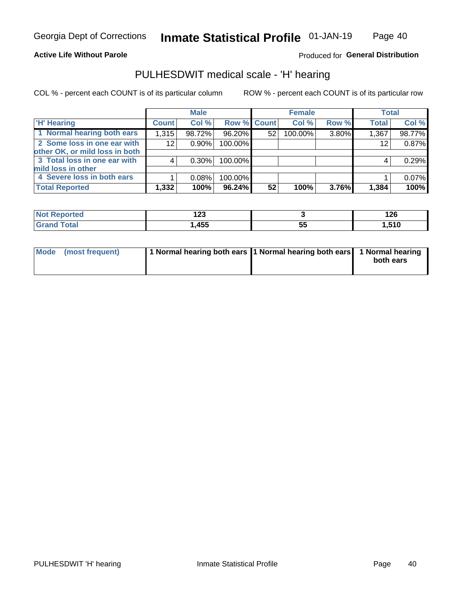Page 40

### **Active Life Without Parole**

### Produced for General Distribution

# PULHESDWIT medical scale - 'H' hearing

COL % - percent each COUNT is of its particular column

|                                |              | <b>Male</b> |                    |    | <b>Female</b> |       | <b>Total</b> |        |
|--------------------------------|--------------|-------------|--------------------|----|---------------|-------|--------------|--------|
| <b>H' Hearing</b>              | <b>Count</b> | Col %       | <b>Row % Count</b> |    | Col %         | Row % | <b>Total</b> | Col %  |
| 1 Normal hearing both ears     | 1,315        | 98.72%      | 96.20%             | 52 | 100.00%       | 3.80% | 1,367        | 98.77% |
| 2 Some loss in one ear with    | 12           | $0.90\%$    | 100.00%            |    |               |       | 12           | 0.87%  |
| other OK, or mild loss in both |              |             |                    |    |               |       |              |        |
| 3 Total loss in one ear with   | 4            | 0.30%       | 100.00%            |    |               |       | 4            | 0.29%  |
| mild loss in other             |              |             |                    |    |               |       |              |        |
| 4 Severe loss in both ears     |              | 0.08%       | 100.00%            |    |               |       |              | 0.07%  |
| <b>Total Reported</b>          | 1,332        | 100%        | 96.24%             | 52 | 100%          | 3.76% | 1,384        | 100%   |

|       | $\sim$<br>14J    |    | מרי<br>14V      |
|-------|------------------|----|-----------------|
| _____ | <b>AEE</b><br>יי | J, | <b>E40</b><br>. |

| Mode (most frequent) | 1 Normal hearing both ears 1 Normal hearing both ears 1 Normal hearing | both ears |
|----------------------|------------------------------------------------------------------------|-----------|
|                      |                                                                        |           |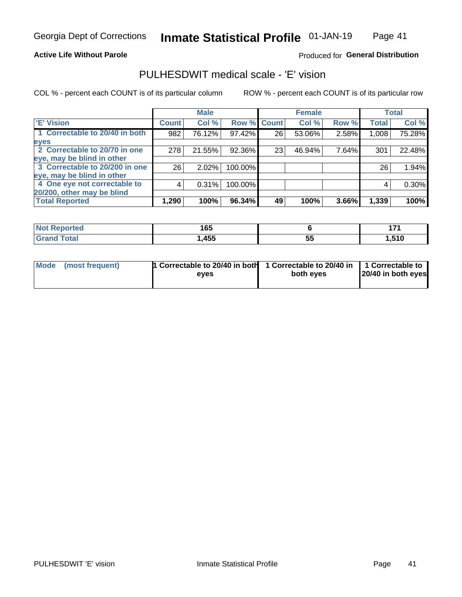### **Active Life Without Parole**

### Produced for General Distribution

# PULHESDWIT medical scale - 'E' vision

COL % - percent each COUNT is of its particular column

|                                |              | <b>Male</b> |             |    | <b>Female</b> |       |              | <b>Total</b> |
|--------------------------------|--------------|-------------|-------------|----|---------------|-------|--------------|--------------|
| <b>E' Vision</b>               | <b>Count</b> | Col %       | Row % Count |    | Col %         | Row % | <b>Total</b> | Col %        |
| 1 Correctable to 20/40 in both | 982          | 76.12%      | 97.42%      | 26 | 53.06%        | 2.58% | 1,008        | 75.28%       |
| eyes                           |              |             |             |    |               |       |              |              |
| 2 Correctable to 20/70 in one  | 278          | 21.55%      | 92.36%      | 23 | 46.94%        | 7.64% | 301          | 22.48%       |
| eye, may be blind in other     |              |             |             |    |               |       |              |              |
| 3 Correctable to 20/200 in one | 26           | $2.02\%$    | 100.00%     |    |               |       | 26           | 1.94%        |
| eye, may be blind in other     |              |             |             |    |               |       |              |              |
| 4 One eye not correctable to   | 4            | 0.31%       | 100.00%     |    |               |       | 4            | 0.30%        |
| 20/200, other may be blind     |              |             |             |    |               |       |              |              |
| <b>Total Reported</b>          | 1,290        | 100%        | $96.34\%$   | 49 | 100%          | 3.66% | 1,339        | 100%         |

| <b>Not Reported</b> | 1 C C |          | - -      |
|---------------------|-------|----------|----------|
|                     | טע    |          | -        |
| Total               | ,455  | --<br>ວະ | .<br>. . |

| Mode (most frequent) | 1 Correctable to 20/40 in both<br>eves | 1 Correctable to 20/40 in   1 Correctable to<br>both eves | 20/40 in both eyes |
|----------------------|----------------------------------------|-----------------------------------------------------------|--------------------|
|                      |                                        |                                                           |                    |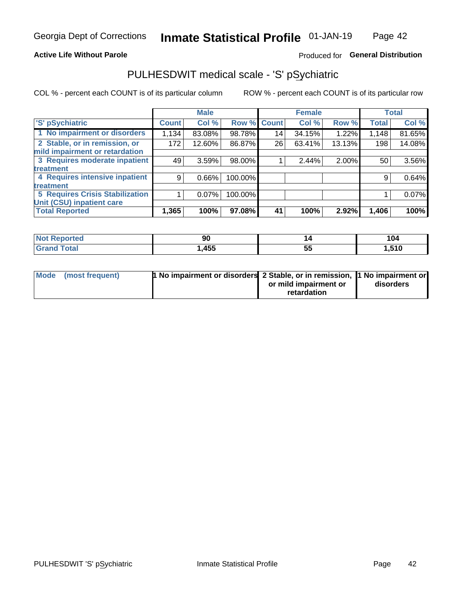### **Active Life Without Parole**

### Produced for General Distribution

# PULHESDWIT medical scale - 'S' pSychiatric

COL % - percent each COUNT is of its particular column

|                                 |              | <b>Male</b> |         |             | <b>Female</b> |        |              | <b>Total</b> |
|---------------------------------|--------------|-------------|---------|-------------|---------------|--------|--------------|--------------|
| 'S' pSychiatric                 | <b>Count</b> | Col %       |         | Row % Count | Col %         | Row %  | <b>Total</b> | Col %        |
| 1 No impairment or disorders    | 1,134        | 83.08%      | 98.78%  | 14          | 34.15%        | 1.22%  | 1,148        | 81.65%       |
| 2 Stable, or in remission, or   | 172          | 12.60%      | 86.87%  | 26          | 63.41%        | 13.13% | 198          | 14.08%       |
| mild impairment or retardation  |              |             |         |             |               |        |              |              |
| 3 Requires moderate inpatient   | 49           | 3.59%       | 98.00%  |             | 2.44%         | 2.00%  | 50           | 3.56%        |
| treatment                       |              |             |         |             |               |        |              |              |
| 4 Requires intensive inpatient  | 9            | 0.66%       | 100.00% |             |               |        | 9            | 0.64%        |
| <b>treatment</b>                |              |             |         |             |               |        |              |              |
| 5 Requires Crisis Stabilization |              | $0.07\%$    | 100.00% |             |               |        |              | $0.07\%$     |
| Unit (CSU) inpatient care       |              |             |         |             |               |        |              |              |
| <b>Total Reported</b>           | 1,365        | 100%        | 97.08%  | 41          | 100%          | 2.92%  | 1,406        | 100%         |

| norted<br>NO.<br>керо | Ju   | ız      | 104   |
|-----------------------|------|---------|-------|
| Total                 | ,455 | --<br>◡ | 1,510 |

| Mode (most frequent) | <b>1 No impairment or disorders</b> 2 Stable, or in remission, 11 No impairment or |                       |           |
|----------------------|------------------------------------------------------------------------------------|-----------------------|-----------|
|                      |                                                                                    | or mild impairment or | disorders |
|                      |                                                                                    | retardation           |           |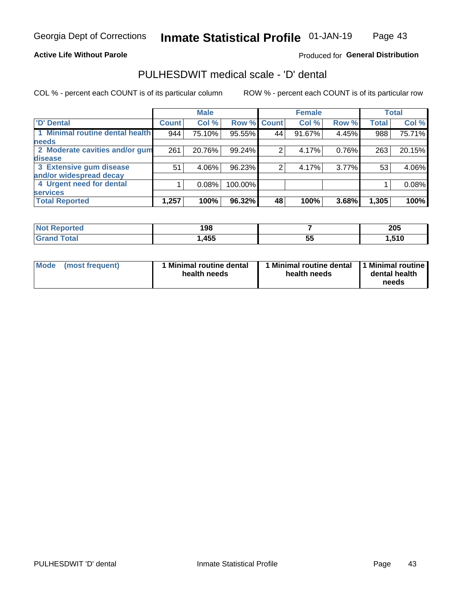Page 43

### **Active Life Without Parole**

### Produced for General Distribution

# PULHESDWIT medical scale - 'D' dental

COL % - percent each COUNT is of its particular column

|                                 |              | <b>Male</b> |         |              | <b>Female</b> |          |              | <b>Total</b> |
|---------------------------------|--------------|-------------|---------|--------------|---------------|----------|--------------|--------------|
| <b>D'</b> Dental                | <b>Count</b> | Col %       | Row %   | <b>Count</b> | Col %         | Row %    | <b>Total</b> | Col %        |
| 1 Minimal routine dental health | 944          | 75.10%      | 95.55%  | 44           | 91.67%        | 4.45%    | 988          | 75.71%       |
| <b>needs</b>                    |              |             |         |              |               |          |              |              |
| 2 Moderate cavities and/or gum  | 261          | 20.76%      | 99.24%  |              | 4.17%         | 0.76%    | 263          | 20.15%       |
| disease                         |              |             |         |              |               |          |              |              |
| 3 Extensive gum disease         | 51           | 4.06%       | 96.23%  | ⌒            | 4.17%         | $3.77\%$ | 53           | 4.06%        |
| and/or widespread decay         |              |             |         |              |               |          |              |              |
| 4 Urgent need for dental        |              | 0.08%       | 100.00% |              |               |          |              | 0.08%        |
| <b>services</b>                 |              |             |         |              |               |          |              |              |
| <b>Total Reported</b>           | 1,257        | 100%        | 96.32%  | 48           | 100%          | 3.68%    | 1,305        | 100%         |

| <b>Not Reported</b> | 198  |          | 205        |
|---------------------|------|----------|------------|
| Total               | ,455 | --<br>ວະ | -40<br>. . |

| Mode<br>(most frequent) | <b>Minimal routine dental</b><br>health needs | 1 Minimal routine dental<br>health needs | 1 Minimal routine<br>dental health<br>needs |
|-------------------------|-----------------------------------------------|------------------------------------------|---------------------------------------------|
|-------------------------|-----------------------------------------------|------------------------------------------|---------------------------------------------|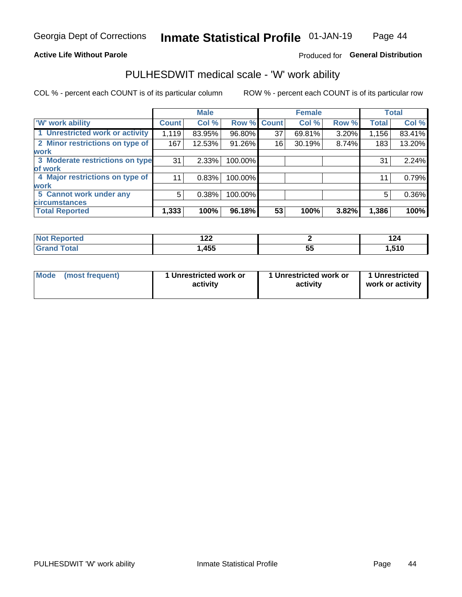### **Active Life Without Parole**

### Produced for General Distribution

# PULHESDWIT medical scale - 'W' work ability

COL % - percent each COUNT is of its particular column

|                                 |                    | <b>Male</b> |         |             | <b>Female</b> |       |              | <b>Total</b> |
|---------------------------------|--------------------|-------------|---------|-------------|---------------|-------|--------------|--------------|
| <b>W' work ability</b>          | Count <sup>'</sup> | Col %       |         | Row % Count | Col %         | Row % | <b>Total</b> | Col %        |
| 1 Unrestricted work or activity | 1,119              | 83.95%      | 96.80%  | 37          | 69.81%        | 3.20% | 1,156        | 83.41%       |
| 2 Minor restrictions on type of | 167                | 12.53%      | 91.26%  | 16          | 30.19%        | 8.74% | 183          | 13.20%       |
| <b>work</b>                     |                    |             |         |             |               |       |              |              |
| 3 Moderate restrictions on type | 31                 | 2.33%       | 100.00% |             |               |       | 31           | 2.24%        |
| lof work                        |                    |             |         |             |               |       |              |              |
| 4 Major restrictions on type of | 11                 | 0.83%       | 100.00% |             |               |       | 11           | 0.79%        |
| <b>work</b>                     |                    |             |         |             |               |       |              |              |
| 5 Cannot work under any         | 5                  | 0.38%       | 100.00% |             |               |       | 5            | 0.36%        |
| <b>circumstances</b>            |                    |             |         |             |               |       |              |              |
| <b>Total Reported</b>           | 1,333              | 100%        | 96.18%  | 53          | 100%          | 3.82% | 1,386        | 100%         |

| morted in    | ィっっ<br>17L |          | 144  |
|--------------|------------|----------|------|
| <b>Total</b> | ,455       | --<br>Ju | .510 |

| Mode (most frequent) | 1 Unrestricted work or | 1 Unrestricted work or | 1 Unrestricted   |
|----------------------|------------------------|------------------------|------------------|
|                      | activity               | activity               | work or activity |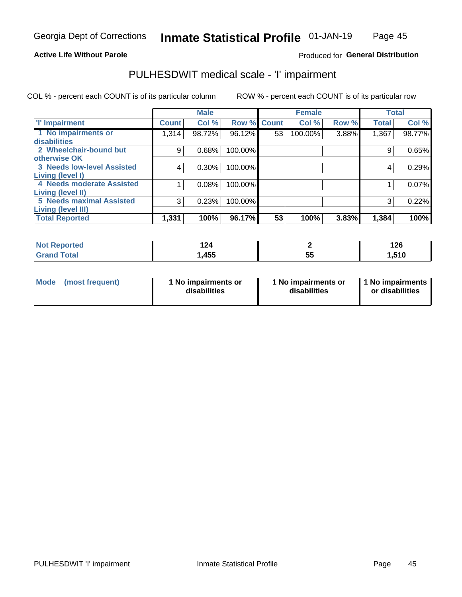### **Active Life Without Parole**

### **Produced for General Distribution**

# PULHESDWIT medical scale - 'I' impairment

COL % - percent each COUNT is of its particular column ROW % - percent each COUNT is of its particular row

|                                                              |              | <b>Male</b> |             |    | <b>Female</b> |       |              | <b>Total</b> |
|--------------------------------------------------------------|--------------|-------------|-------------|----|---------------|-------|--------------|--------------|
| <b>T' Impairment</b>                                         | <b>Count</b> | Col %       | Row % Count |    | Col %         | Row % | <b>Total</b> | Col %        |
| 1 No impairments or<br>disabilities                          | 1,314        | 98.72%      | 96.12%      | 53 | 100.00%       | 3.88% | 1,367        | 98.77%       |
| 2 Wheelchair-bound but                                       | 9            | 0.68%       | 100.00%     |    |               |       | 9            | 0.65%        |
| otherwise OK<br><b>3 Needs low-level Assisted</b>            | 4            | 0.30%       | 100.00%     |    |               |       | 4            | 0.29%        |
| Living (level I)<br>4 Needs moderate Assisted                |              | 0.08%       | 100.00%     |    |               |       |              | 0.07%        |
| Living (level II)                                            |              |             |             |    |               |       |              |              |
| <b>5 Needs maximal Assisted</b><br><b>Living (level III)</b> | 3            | 0.23%       | 100.00%     |    |               |       | 3            | 0.22%        |
| <b>Total Reported</b>                                        | 1,331        | 100%        | 96.17%      | 53 | 100%          | 3.83% | 1,384        | 100%         |

| orted | .<br>44 |          | 126  |
|-------|---------|----------|------|
|       | ,455    | --<br>JJ | ,510 |

| Mode | (most frequent) | 1 No impairments or<br>disabilities | 1 No impairments or<br>disabilities | 1 No impairments<br>or disabilities |
|------|-----------------|-------------------------------------|-------------------------------------|-------------------------------------|
|------|-----------------|-------------------------------------|-------------------------------------|-------------------------------------|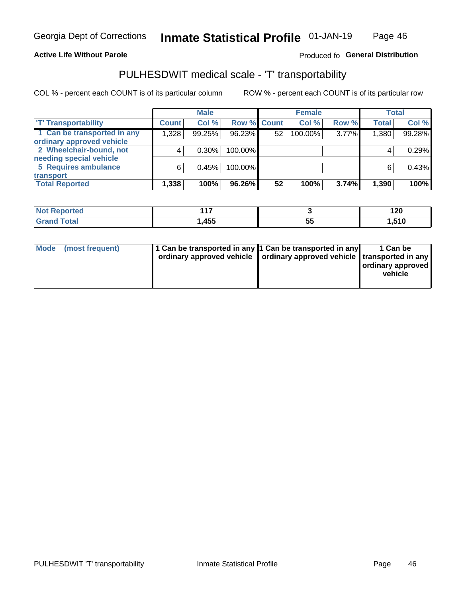### **Active Life Without Parole**

### Produced fo General Distribution

# PULHESDWIT medical scale - 'T' transportability

COL % - percent each COUNT is of its particular column

|                             |              | <b>Male</b> |             |                 | <b>Female</b> |       |              | <b>Total</b> |
|-----------------------------|--------------|-------------|-------------|-----------------|---------------|-------|--------------|--------------|
| <b>TT</b> Transportability  | <b>Count</b> | Col %       | Row % Count |                 | Col %         | Row % | <b>Total</b> | Col %        |
| 1 Can be transported in any | 1,328        | 99.25%      | 96.23%      | 52              | 100.00%       | 3.77% | 1,380        | 99.28%       |
| ordinary approved vehicle   |              |             |             |                 |               |       |              |              |
| 2 Wheelchair-bound, not     |              | $0.30\%$    | 100.00%     |                 |               |       |              | 0.29%        |
| needing special vehicle     |              |             |             |                 |               |       |              |              |
| 5 Requires ambulance        | ี            | 0.45%       | 100.00%     |                 |               |       |              | 0.43%        |
| transport                   |              |             |             |                 |               |       |              |              |
| <b>Total Reported</b>       | 1,338        | 100%        | 96.26%      | 52 <sub>1</sub> | 100%          | 3.74% | 1,390        | 100%         |

| <b>eported</b> | 447  |           | 120   |
|----------------|------|-----------|-------|
|                | ,455 | - -<br>JJ | 1,510 |

| Mode (most frequent) | 1 Can be transported in any 1 Can be transported in any | ordinary approved vehicle   ordinary approved vehicle   transported in any | 1 Can be<br>ordinary approved<br>vehicle |
|----------------------|---------------------------------------------------------|----------------------------------------------------------------------------|------------------------------------------|
|                      |                                                         |                                                                            |                                          |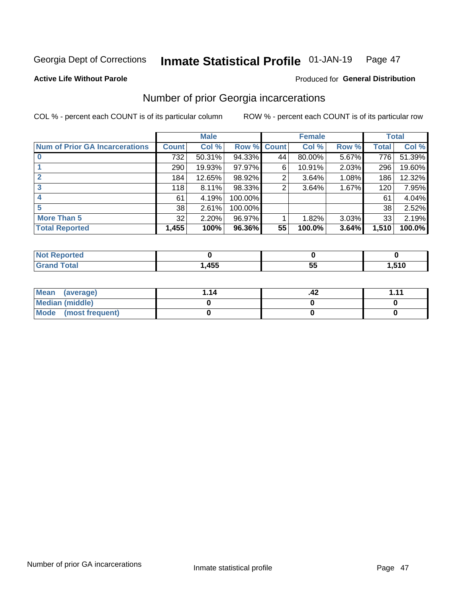#### Inmate Statistical Profile 01-JAN-19 Page 47

**Active Life Without Parole** 

### **Produced for General Distribution**

# Number of prior Georgia incarcerations

COL % - percent each COUNT is of its particular column

|                                       |              | <b>Male</b> |                    |    | <b>Female</b> |       |       | <b>Total</b> |
|---------------------------------------|--------------|-------------|--------------------|----|---------------|-------|-------|--------------|
| <b>Num of Prior GA Incarcerations</b> | <b>Count</b> | Col %       | <b>Row % Count</b> |    | Col %         | Row % | Total | Col %        |
|                                       | 732          | 50.31%      | 94.33%             | 44 | 80.00%        | 5.67% | 776   | 51.39%       |
|                                       | 290          | 19.93%      | 97.97%             | 6  | 10.91%        | 2.03% | 296   | 19.60%       |
|                                       | 184          | 12.65%      | 98.92%             | 2  | 3.64%         | 1.08% | 186   | 12.32%       |
| 3                                     | 118          | 8.11%       | 98.33%             | 2  | 3.64%         | 1.67% | 120   | 7.95%        |
|                                       | 61           | 4.19%       | 100.00%            |    |               |       | 61    | 4.04%        |
| 5                                     | 38           | 2.61%       | 100.00%            |    |               |       | 38    | 2.52%        |
| <b>More Than 5</b>                    | 32           | 2.20%       | 96.97%             |    | 1.82%         | 3.03% | 33    | 2.19%        |
| <b>Total Reported</b>                 | 1,455        | 100%        | 96.36%             | 55 | 100.0%        | 3.64% | 1,510 | 100.0%       |

| <b>eported</b><br>N. |                   |   |       |
|----------------------|-------------------|---|-------|
| <b>Fotal</b>         | <b>ARR</b><br>433 | ູ | .510، |

| Mean (average)         |  |  |
|------------------------|--|--|
| <b>Median (middle)</b> |  |  |
| Mode (most frequent)   |  |  |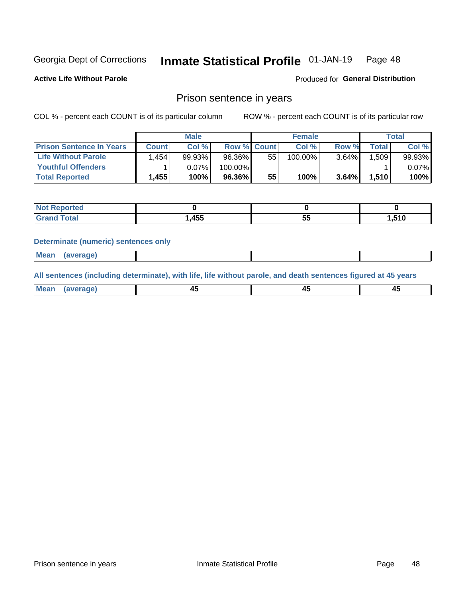#### Inmate Statistical Profile 01-JAN-19 Page 48

**Active Life Without Parole** 

Produced for General Distribution

### Prison sentence in years

COL % - percent each COUNT is of its particular column

ROW % - percent each COUNT is of its particular row

|                                 | <b>Male</b> |        |                    | <b>Female</b> |         |          | Total |        |
|---------------------------------|-------------|--------|--------------------|---------------|---------|----------|-------|--------|
| <b>Prison Sentence In Years</b> | Count l     | Col %  | <b>Row % Count</b> |               | Col %   | Row %    | Total | Col %  |
| <b>Life Without Parole</b>      | .454        | 99.93% | 96.36%             | 55            | 100.00% | $3.64\%$ | .509  | 99.93% |
| <b>Youthful Offenders</b>       |             | 0.07%  | 100.00%            |               |         |          |       | 0.07%  |
| <b>Total Reported</b>           | 1,455       | 100%   | 96.36%             | 55            | 100%    | 3.64%    | 1,510 | 100%   |

| ported       |      |           |                       |
|--------------|------|-----------|-----------------------|
| <b>cotal</b> | ,455 | <u>Ju</u> | E40<br>-<br>1 U<br>ن. |

### **Determinate (numeric) sentences only**

| Mean<br><b>CANG</b> |         |  |  |
|---------------------|---------|--|--|
|                     | 1112211 |  |  |

All sentences (including determinate), with life, life without parole, and death sentences figured at 45 years

| l Mea<br>'апе<br>.<br> | ᠇<br>$\sim$ | $\sim$ |  |
|------------------------|-------------|--------|--|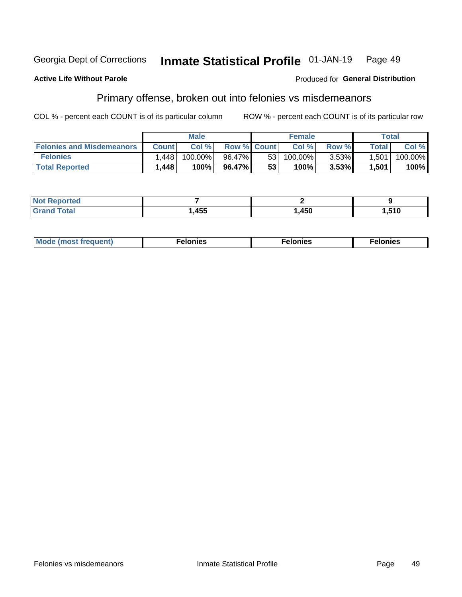#### Georgia Dept of Corrections Inmate Statistical Profile 01-JAN-19 Page 49

### **Active Life Without Parole**

### Produced for General Distribution

# Primary offense, broken out into felonies vs misdemeanors

COL % - percent each COUNT is of its particular column

|                                  | <b>Male</b>  |         |                    | <b>Female</b>   |         |          | Total              |         |
|----------------------------------|--------------|---------|--------------------|-----------------|---------|----------|--------------------|---------|
| <b>Felonies and Misdemeanors</b> | <b>Count</b> | Col%    | <b>Row % Count</b> |                 | Col%    | Row %    | Total <sub>1</sub> | Col %   |
| <b>Felonies</b>                  | .448         | 100.00% | 96.47%             | 53 <sub>1</sub> | 100.00% | $3.53\%$ | 1,501              | 100.00% |
| <b>Total Reported</b>            | 1,448        | $100\%$ | 96.47%             | 53              | 100%    | 3.53%    | 1,501              | 100%    |

| <b>Not Reported</b>          |      |      |                   |
|------------------------------|------|------|-------------------|
| <b>Total</b><br><b>Grand</b> | ,455 | ,450 | . 51C<br>ט ו ט. ו |

| <b>Mode</b><br>frequent)<br>nies<br>≧ (most tr.<br>. | onies<br>. | lonies<br>енл<br>____ |
|------------------------------------------------------|------------|-----------------------|
|------------------------------------------------------|------------|-----------------------|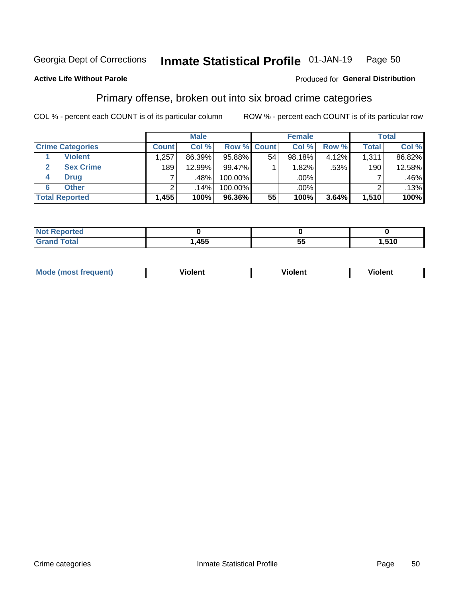#### Inmate Statistical Profile 01-JAN-19 Page 50

### **Active Life Without Parole**

### Produced for General Distribution

# Primary offense, broken out into six broad crime categories

COL % - percent each COUNT is of its particular column

|                         | <b>Male</b>  |        |         | <b>Female</b> |           |       | <b>Total</b> |        |
|-------------------------|--------------|--------|---------|---------------|-----------|-------|--------------|--------|
| <b>Crime Categories</b> | <b>Count</b> | Col %  |         | Row % Count   | Col %     | Row % | <b>Total</b> | Col %  |
| <b>Violent</b>          | .257         | 86.39% | 95.88%  | 54            | $98.18\%$ | 4.12% | 1,311        | 86.82% |
| <b>Sex Crime</b>        | 189          | 12.99% | 99.47%  |               | 1.82%     | .53%  | 190          | 12.58% |
| <b>Drug</b><br>4        |              | .48%   | 100.00% |               | .00%      |       |              | .46%   |
| <b>Other</b><br>6       | 2            | .14%   | 100.00% |               | .00%      |       | ⌒            | .13%   |
| <b>Total Reported</b>   | 1,455        | 100%   | 96.36%  | 55            | 100%      | 3.64% | 1,510        | 100%   |

| prtea<br><b>NOT REPO</b> |     |          |       |
|--------------------------|-----|----------|-------|
| Total                    | 455 | --<br>Ju | 1,510 |

| <b>Mode (most frequent)</b> |         |                | --             |
|-----------------------------|---------|----------------|----------------|
|                             | violent | <b>Violent</b> | <b>Violent</b> |
|                             |         |                |                |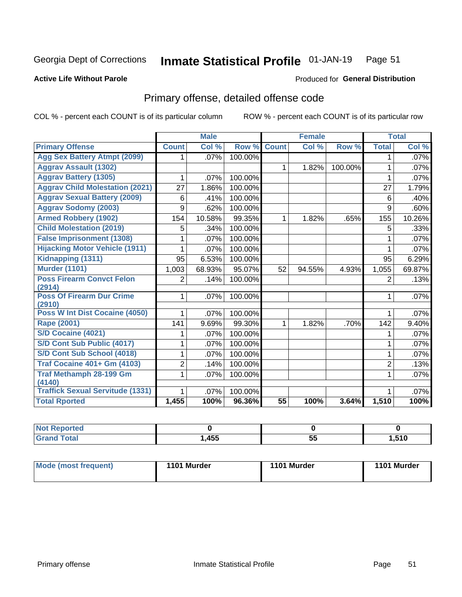#### **Inmate Statistical Profile 01-JAN-19** Page 51

### **Active Life Without Parole**

### **Produced for General Distribution**

# Primary offense, detailed offense code

COL % - percent each COUNT is of its particular column

|                                            |                | <b>Male</b> |         |                 | <b>Female</b> |         |                | <b>Total</b> |
|--------------------------------------------|----------------|-------------|---------|-----------------|---------------|---------|----------------|--------------|
| <b>Primary Offense</b>                     | <b>Count</b>   | Col %       | Row %   | <b>Count</b>    | Col %         | Row %   | <b>Total</b>   | Col %        |
| <b>Agg Sex Battery Atmpt (2099)</b>        | 1.             | .07%        | 100.00% |                 |               |         | 1.             | .07%         |
| <b>Aggrav Assault (1302)</b>               |                |             |         | $\mathbf{1}$    | 1.82%         | 100.00% | 1              | .07%         |
| <b>Aggrav Battery (1305)</b>               | 1              | .07%        | 100.00% |                 |               |         | 1              | .07%         |
| <b>Aggrav Child Molestation (2021)</b>     | 27             | 1.86%       | 100.00% |                 |               |         | 27             | 1.79%        |
| <b>Aggrav Sexual Battery (2009)</b>        | 6              | .41%        | 100.00% |                 |               |         | 6              | $.40\%$      |
| <b>Aggrav Sodomy (2003)</b>                | 9              | .62%        | 100.00% |                 |               |         | 9              | .60%         |
| <b>Armed Robbery (1902)</b>                | 154            | 10.58%      | 99.35%  | $\mathbf 1$     | 1.82%         | .65%    | 155            | 10.26%       |
| <b>Child Molestation (2019)</b>            | 5              | .34%        | 100.00% |                 |               |         | 5              | .33%         |
| <b>False Imprisonment (1308)</b>           |                | .07%        | 100.00% |                 |               |         | 1              | .07%         |
| <b>Hijacking Motor Vehicle (1911)</b>      | 1              | .07%        | 100.00% |                 |               |         | 1              | .07%         |
| Kidnapping (1311)                          | 95             | 6.53%       | 100.00% |                 |               |         | 95             | 6.29%        |
| <b>Murder (1101)</b>                       | 1,003          | 68.93%      | 95.07%  | 52              | 94.55%        | 4.93%   | 1,055          | 69.87%       |
| <b>Poss Firearm Convct Felon</b>           | $\overline{2}$ | .14%        | 100.00% |                 |               |         | $\overline{2}$ | .13%         |
| (2914)                                     |                |             |         |                 |               |         |                |              |
| <b>Poss Of Firearm Dur Crime</b><br>(2910) | $\mathbf{1}$   | .07%        | 100.00% |                 |               |         | 1              | .07%         |
| Poss W Int Dist Cocaine (4050)             | 1              | .07%        | 100.00% |                 |               |         | 1              | .07%         |
| <b>Rape (2001)</b>                         | 141            | 9.69%       | 99.30%  | $\mathbf{1}$    | 1.82%         | .70%    | 142            | 9.40%        |
| S/D Cocaine (4021)                         | 1              | .07%        | 100.00% |                 |               |         | 1              | .07%         |
| S/D Cont Sub Public (4017)                 | 1              | .07%        | 100.00% |                 |               |         | 1              | $.07\%$      |
| S/D Cont Sub School (4018)                 | 1              | .07%        | 100.00% |                 |               |         | 1              | $.07\%$      |
| <b>Traf Cocaine 401+ Gm (4103)</b>         | 2              | .14%        | 100.00% |                 |               |         | $\overline{2}$ | .13%         |
| <b>Traf Methamph 28-199 Gm</b>             | 1              | .07%        | 100.00% |                 |               |         | 1              | .07%         |
| (4140)                                     |                |             |         |                 |               |         |                |              |
| <b>Traffick Sexual Servitude (1331)</b>    | 1              | .07%        | 100.00% |                 |               |         | 1              | .07%         |
| <b>Total Rported</b>                       | 1,455          | 100%        | 96.36%  | $\overline{55}$ | 100%          | 3.64%   | 1,510          | 100%         |

| Reported     |      |                 |      |
|--------------|------|-----------------|------|
| <b>Total</b> | ,455 | --<br>. .<br>J, | .510 |

| Mode (most frequent) | 1101 Murder | 1101 Murder | 1101 Murder |
|----------------------|-------------|-------------|-------------|
|                      |             |             |             |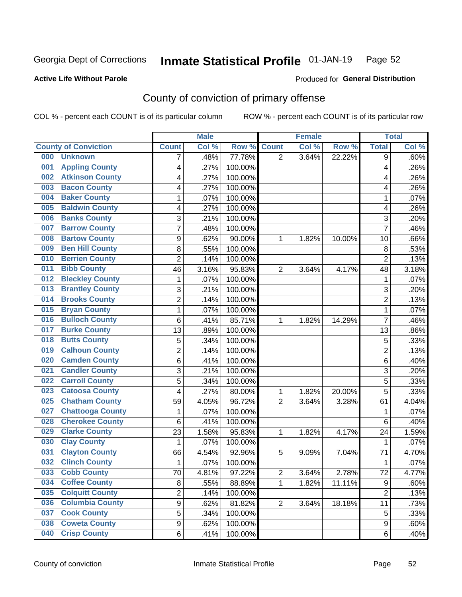#### Inmate Statistical Profile 01-JAN-19 Page 52

### **Active Life Without Parole**

### Produced for General Distribution

# County of conviction of primary offense

COL % - percent each COUNT is of its particular column

|                                |                | <b>Male</b> |         |                         | <b>Female</b> |        |                | <b>Total</b> |
|--------------------------------|----------------|-------------|---------|-------------------------|---------------|--------|----------------|--------------|
| <b>County of Conviction</b>    | <b>Count</b>   | Col %       | Row %   | <b>Count</b>            | Col %         | Row %  | <b>Total</b>   | Col %        |
| 000<br><b>Unknown</b>          | 7              | .48%        | 77.78%  | 2                       | 3.64%         | 22.22% | 9              | .60%         |
| <b>Appling County</b><br>001   | 4              | .27%        | 100.00% |                         |               |        | 4              | .26%         |
| <b>Atkinson County</b><br>002  | 4              | .27%        | 100.00% |                         |               |        | 4              | .26%         |
| <b>Bacon County</b><br>003     | 4              | .27%        | 100.00% |                         |               |        | 4              | .26%         |
| <b>Baker County</b><br>004     | 1              | .07%        | 100.00% |                         |               |        | 1              | .07%         |
| <b>Baldwin County</b><br>005   | 4              | .27%        | 100.00% |                         |               |        | 4              | .26%         |
| <b>Banks County</b><br>006     | 3              | .21%        | 100.00% |                         |               |        | 3              | .20%         |
| <b>Barrow County</b><br>007    | 7              | .48%        | 100.00% |                         |               |        | $\overline{7}$ | .46%         |
| <b>Bartow County</b><br>008    | 9              | .62%        | 90.00%  | 1                       | 1.82%         | 10.00% | 10             | .66%         |
| <b>Ben Hill County</b><br>009  | 8              | .55%        | 100.00% |                         |               |        | 8              | .53%         |
| <b>Berrien County</b><br>010   | $\overline{2}$ | .14%        | 100.00% |                         |               |        | $\overline{2}$ | .13%         |
| <b>Bibb County</b><br>011      | 46             | 3.16%       | 95.83%  | $\overline{2}$          | 3.64%         | 4.17%  | 48             | 3.18%        |
| <b>Bleckley County</b><br>012  | 1              | .07%        | 100.00% |                         |               |        | 1              | .07%         |
| <b>Brantley County</b><br>013  | 3              | .21%        | 100.00% |                         |               |        | 3              | .20%         |
| <b>Brooks County</b><br>014    | $\overline{2}$ | .14%        | 100.00% |                         |               |        | $\overline{2}$ | .13%         |
| <b>Bryan County</b><br>015     | 1              | .07%        | 100.00% |                         |               |        | 1              | .07%         |
| <b>Bulloch County</b><br>016   | 6              | .41%        | 85.71%  | 1                       | 1.82%         | 14.29% | $\overline{7}$ | .46%         |
| <b>Burke County</b><br>017     | 13             | .89%        | 100.00% |                         |               |        | 13             | .86%         |
| <b>Butts County</b><br>018     | 5              | .34%        | 100.00% |                         |               |        | 5              | .33%         |
| <b>Calhoun County</b><br>019   | $\overline{2}$ | .14%        | 100.00% |                         |               |        | $\overline{2}$ | .13%         |
| <b>Camden County</b><br>020    | 6              | .41%        | 100.00% |                         |               |        | 6              | .40%         |
| <b>Candler County</b><br>021   | 3              | .21%        | 100.00% |                         |               |        | 3              | .20%         |
| <b>Carroll County</b><br>022   | 5              | .34%        | 100.00% |                         |               |        | 5              | .33%         |
| <b>Catoosa County</b><br>023   | 4              | .27%        | 80.00%  | 1                       | 1.82%         | 20.00% | 5              | .33%         |
| <b>Chatham County</b><br>025   | 59             | 4.05%       | 96.72%  | $\overline{2}$          | 3.64%         | 3.28%  | 61             | 4.04%        |
| <b>Chattooga County</b><br>027 | 1              | .07%        | 100.00% |                         |               |        | 1              | .07%         |
| <b>Cherokee County</b><br>028  | 6              | .41%        | 100.00% |                         |               |        | 6              | .40%         |
| <b>Clarke County</b><br>029    | 23             | 1.58%       | 95.83%  | 1                       | 1.82%         | 4.17%  | 24             | 1.59%        |
| <b>Clay County</b><br>030      | 1              | .07%        | 100.00% |                         |               |        | $\mathbf 1$    | .07%         |
| <b>Clayton County</b><br>031   | 66             | 4.54%       | 92.96%  | 5                       | 9.09%         | 7.04%  | 71             | 4.70%        |
| <b>Clinch County</b><br>032    | 1              | .07%        | 100.00% |                         |               |        | 1              | .07%         |
| 033<br><b>Cobb County</b>      | 70             | 4.81%       | 97.22%  | $\overline{\mathbf{c}}$ | 3.64%         | 2.78%  | 72             | 4.77%        |
| <b>Coffee County</b><br>034    | 8              | .55%        | 88.89%  | 1                       | 1.82%         | 11.11% | 9              | .60%         |
| <b>Colquitt County</b><br>035  | $\overline{2}$ | .14%        | 100.00% |                         |               |        | $\overline{2}$ | .13%         |
| <b>Columbia County</b><br>036  | $\overline{9}$ | .62%        | 81.82%  | $\overline{2}$          | 3.64%         | 18.18% | 11             | .73%         |
| <b>Cook County</b><br>037      | 5              | .34%        | 100.00% |                         |               |        | 5              | .33%         |
| <b>Coweta County</b><br>038    | 9              | .62%        | 100.00% |                         |               |        | 9              | .60%         |
| <b>Crisp County</b><br>040     | 6              | .41%        | 100.00% |                         |               |        | 6              | .40%         |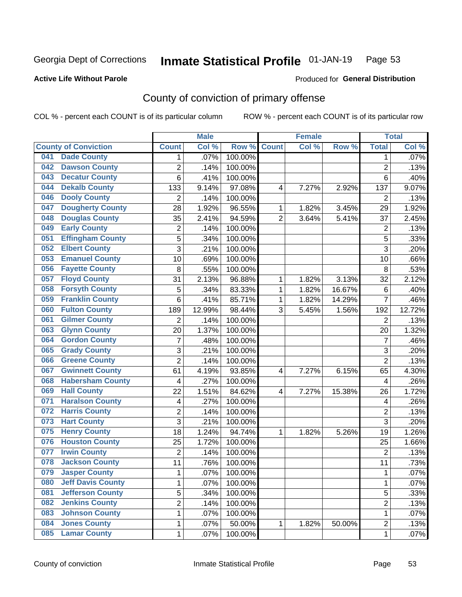#### Inmate Statistical Profile 01-JAN-19 Page 53

Produced for General Distribution

### **Active Life Without Parole**

# County of conviction of primary offense

COL % - percent each COUNT is of its particular column

|                                 |                         | <b>Male</b> |         |                | <b>Female</b> |        |                | <b>Total</b> |
|---------------------------------|-------------------------|-------------|---------|----------------|---------------|--------|----------------|--------------|
| <b>County of Conviction</b>     | <b>Count</b>            | Col %       | Row %   | <b>Count</b>   | Col %         | Row %  | <b>Total</b>   | Col %        |
| <b>Dade County</b><br>041       | 1                       | .07%        | 100.00% |                |               |        | 1              | .07%         |
| <b>Dawson County</b><br>042     | $\overline{c}$          | .14%        | 100.00% |                |               |        | $\overline{2}$ | .13%         |
| <b>Decatur County</b><br>043    | 6                       | .41%        | 100.00% |                |               |        | 6              | .40%         |
| <b>Dekalb County</b><br>044     | 133                     | 9.14%       | 97.08%  | 4              | 7.27%         | 2.92%  | 137            | 9.07%        |
| <b>Dooly County</b><br>046      | $\overline{2}$          | .14%        | 100.00% |                |               |        | $\overline{2}$ | .13%         |
| <b>Dougherty County</b><br>047  | 28                      | 1.92%       | 96.55%  | 1              | 1.82%         | 3.45%  | 29             | 1.92%        |
| <b>Douglas County</b><br>048    | 35                      | 2.41%       | 94.59%  | $\overline{2}$ | 3.64%         | 5.41%  | 37             | 2.45%        |
| <b>Early County</b><br>049      | $\mathbf 2$             | .14%        | 100.00% |                |               |        | $\overline{2}$ | .13%         |
| <b>Effingham County</b><br>051  | 5                       | .34%        | 100.00% |                |               |        | 5              | .33%         |
| <b>Elbert County</b><br>052     | 3                       | .21%        | 100.00% |                |               |        | 3              | .20%         |
| <b>Emanuel County</b><br>053    | 10                      | .69%        | 100.00% |                |               |        | 10             | .66%         |
| <b>Fayette County</b><br>056    | 8                       | .55%        | 100.00% |                |               |        | 8              | .53%         |
| <b>Floyd County</b><br>057      | 31                      | 2.13%       | 96.88%  | 1              | 1.82%         | 3.13%  | 32             | 2.12%        |
| <b>Forsyth County</b><br>058    | 5                       | .34%        | 83.33%  | 1              | 1.82%         | 16.67% | 6              | .40%         |
| <b>Franklin County</b><br>059   | 6                       | .41%        | 85.71%  | 1              | 1.82%         | 14.29% | $\overline{7}$ | .46%         |
| <b>Fulton County</b><br>060     | 189                     | 12.99%      | 98.44%  | 3              | 5.45%         | 1.56%  | 192            | 12.72%       |
| <b>Gilmer County</b><br>061     | $\overline{2}$          | .14%        | 100.00% |                |               |        | $\overline{2}$ | .13%         |
| <b>Glynn County</b><br>063      | 20                      | 1.37%       | 100.00% |                |               |        | 20             | 1.32%        |
| <b>Gordon County</b><br>064     | $\overline{7}$          | .48%        | 100.00% |                |               |        | $\overline{7}$ | .46%         |
| <b>Grady County</b><br>065      | 3                       | .21%        | 100.00% |                |               |        | 3              | .20%         |
| <b>Greene County</b><br>066     | $\overline{2}$          | .14%        | 100.00% |                |               |        | $\overline{2}$ | .13%         |
| <b>Gwinnett County</b><br>067   | 61                      | 4.19%       | 93.85%  | 4              | 7.27%         | 6.15%  | 65             | 4.30%        |
| <b>Habersham County</b><br>068  | 4                       | .27%        | 100.00% |                |               |        | 4              | .26%         |
| <b>Hall County</b><br>069       | 22                      | 1.51%       | 84.62%  | $\overline{4}$ | 7.27%         | 15.38% | 26             | 1.72%        |
| <b>Haralson County</b><br>071   | $\overline{\mathbf{4}}$ | .27%        | 100.00% |                |               |        | 4              | .26%         |
| <b>Harris County</b><br>072     | $\overline{c}$          | .14%        | 100.00% |                |               |        | $\overline{2}$ | .13%         |
| <b>Hart County</b><br>073       | $\overline{3}$          | .21%        | 100.00% |                |               |        | $\overline{3}$ | .20%         |
| <b>Henry County</b><br>075      | 18                      | 1.24%       | 94.74%  | 1              | 1.82%         | 5.26%  | 19             | 1.26%        |
| <b>Houston County</b><br>076    | 25                      | 1.72%       | 100.00% |                |               |        | 25             | 1.66%        |
| <b>Irwin County</b><br>077      | $\overline{2}$          | .14%        | 100.00% |                |               |        | $\overline{2}$ | .13%         |
| <b>Jackson County</b><br>078    | 11                      | .76%        | 100.00% |                |               |        | 11             | .73%         |
| 079<br><b>Jasper County</b>     | 1                       | .07%        | 100.00% |                |               |        | 1              | .07%         |
| <b>Jeff Davis County</b><br>080 | 1                       | .07%        | 100.00% |                |               |        | $\mathbf{1}$   | .07%         |
| <b>Jefferson County</b><br>081  | $\overline{5}$          | .34%        | 100.00% |                |               |        | 5              | .33%         |
| <b>Jenkins County</b><br>082    | $\overline{2}$          | .14%        | 100.00% |                |               |        | $\overline{2}$ | .13%         |
| <b>Johnson County</b><br>083    | 1                       | .07%        | 100.00% |                |               |        | 1              | .07%         |
| <b>Jones County</b><br>084      | 1                       | .07%        | 50.00%  | 1              | 1.82%         | 50.00% | $\overline{2}$ | .13%         |
| <b>Lamar County</b><br>085      | 1                       | .07%        | 100.00% |                |               |        | 1              | .07%         |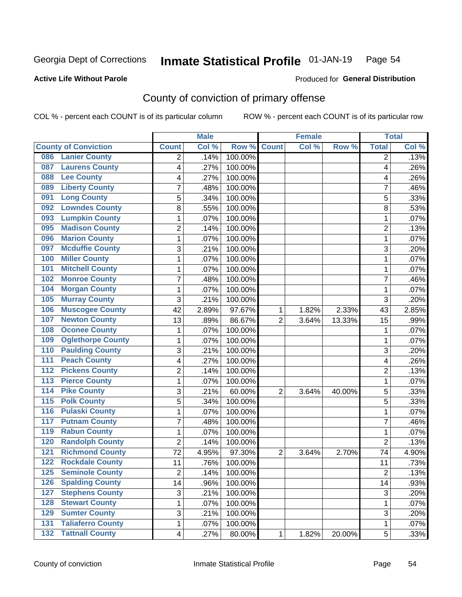#### Inmate Statistical Profile 01-JAN-19 Page 54

### **Active Life Without Parole**

# **Produced for General Distribution**

# County of conviction of primary offense

COL % - percent each COUNT is of its particular column

|                                              |                | <b>Male</b> |         |                | <b>Female</b> |        |                | <b>Total</b>       |
|----------------------------------------------|----------------|-------------|---------|----------------|---------------|--------|----------------|--------------------|
| <b>County of Conviction</b>                  | <b>Count</b>   | Col %       | Row %   | <b>Count</b>   | Col %         | Row %  | <b>Total</b>   | Col %              |
| <b>Lanier County</b><br>086                  | 2              | .14%        | 100.00% |                |               |        | $\overline{2}$ | .13%               |
| <b>Laurens County</b><br>087                 | 4              | .27%        | 100.00% |                |               |        | 4              | .26%               |
| <b>Lee County</b><br>088                     | 4              | .27%        | 100.00% |                |               |        | 4              | .26%               |
| <b>Liberty County</b><br>089                 | 7              | .48%        | 100.00% |                |               |        | 7              | .46%               |
| <b>Long County</b><br>091                    | 5              | .34%        | 100.00% |                |               |        | 5              | .33%               |
| <b>Lowndes County</b><br>092                 | 8              | .55%        | 100.00% |                |               |        | 8              | .53%               |
| <b>Lumpkin County</b><br>093                 | 1              | .07%        | 100.00% |                |               |        | $\mathbf{1}$   | .07%               |
| <b>Madison County</b><br>095                 | $\overline{2}$ | .14%        | 100.00% |                |               |        | $\overline{2}$ | .13%               |
| <b>Marion County</b><br>096                  | 1              | .07%        | 100.00% |                |               |        | $\mathbf{1}$   | .07%               |
| <b>Mcduffie County</b><br>097                | 3              | .21%        | 100.00% |                |               |        | 3              | .20%               |
| <b>Miller County</b><br>100                  | 1              | .07%        | 100.00% |                |               |        | 1              | .07%               |
| <b>Mitchell County</b><br>101                | 1              | .07%        | 100.00% |                |               |        | 1              | .07%               |
| <b>Monroe County</b><br>102                  | 7              | .48%        | 100.00% |                |               |        | $\overline{7}$ | .46%               |
| <b>Morgan County</b><br>104                  | 1              | .07%        | 100.00% |                |               |        | $\mathbf{1}$   | .07%               |
| <b>Murray County</b><br>105                  | 3              | .21%        | 100.00% |                |               |        | 3              | .20%               |
| <b>Muscogee County</b><br>106                | 42             | 2.89%       | 97.67%  | 1              | 1.82%         | 2.33%  | 43             | 2.85%              |
| <b>Newton County</b><br>107                  | 13             | .89%        | 86.67%  | $\overline{2}$ | 3.64%         | 13.33% | 15             | .99%               |
| <b>Oconee County</b><br>108                  | 1              | .07%        | 100.00% |                |               |        | 1              | .07%               |
| <b>Oglethorpe County</b><br>109              | 1              | .07%        | 100.00% |                |               |        | 1              | .07%               |
| <b>Paulding County</b><br>110                | 3              | .21%        | 100.00% |                |               |        | $\overline{3}$ | .20%               |
| <b>Peach County</b><br>111                   | 4              | .27%        | 100.00% |                |               |        | 4              | .26%               |
| <b>Pickens County</b><br>$\overline{112}$    | $\overline{2}$ | .14%        | 100.00% |                |               |        | $\overline{2}$ | .13%               |
| <b>Pierce County</b><br>$\overline{113}$     | 1              | .07%        | 100.00% |                |               |        | $\mathbf{1}$   | .07%               |
| <b>Pike County</b><br>$\overline{114}$       | 3              | .21%        | 60.00%  | $\overline{2}$ | 3.64%         | 40.00% | 5              | .33%               |
| <b>Polk County</b><br>$\overline{115}$       | 5              | .34%        | 100.00% |                |               |        | 5              | .33%               |
| <b>Pulaski County</b><br>$\overline{116}$    | 1              | .07%        | 100.00% |                |               |        | $\mathbf{1}$   | .07%               |
| <b>Putnam County</b><br>117                  | $\overline{7}$ | .48%        | 100.00% |                |               |        | $\overline{7}$ | .46%               |
| <b>Rabun County</b><br>119                   | 1              | .07%        | 100.00% |                |               |        | 1              | .07%               |
| <b>Randolph County</b><br>120                | $\overline{2}$ | .14%        | 100.00% |                |               |        | $\overline{2}$ | .13%               |
| <b>Richmond County</b><br>121                | 72             | 4.95%       | 97.30%  | $\overline{2}$ | 3.64%         | 2.70%  | 74             | 4.90%              |
| <b>Rockdale County</b><br>122                | 11             | .76%        | 100.00% |                |               |        | 11             | .73%               |
| 125<br><b>Seminole County</b>                | 2              | .14%        | 100.00% |                |               |        | 2              | .13%               |
| <b>Spalding County</b><br>126                | 14             | .96%        | 100.00% |                |               |        | 14             | .93%               |
| <b>Stephens County</b><br>127                | 3              | .21%        | 100.00% |                |               |        | 3              | .20%               |
| <b>Stewart County</b><br>128                 | 1              | .07%        | 100.00% |                |               |        | $\mathbf 1$    | .07%               |
| <b>Sumter County</b><br>129                  | 3              | .21%        | 100.00% |                |               |        | 3              | .20%               |
| <b>Taliaferro County</b><br>$\overline{131}$ | 1              | .07%        | 100.00% |                |               |        | $\mathbf 1$    | .07%               |
| <b>132 Tattnall County</b>                   | 4              | .27%        | 80.00%  | 1              | 1.82%         | 20.00% | $\overline{5}$ | $\overline{.}33\%$ |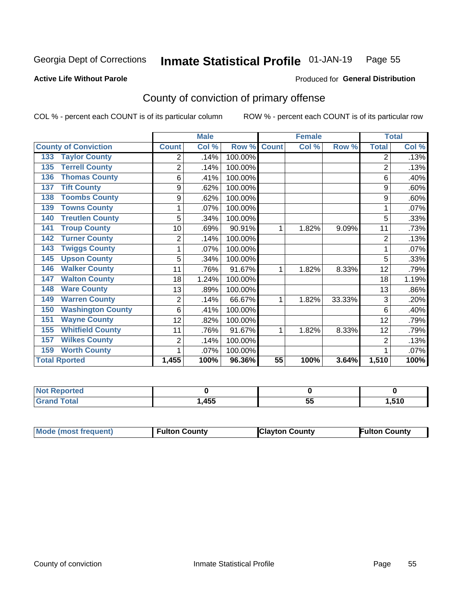#### Inmate Statistical Profile 01-JAN-19 Page 55

**Active Life Without Parole** 

### Produced for General Distribution

# County of conviction of primary offense

COL % - percent each COUNT is of its particular column

|                                 |                | <b>Male</b> |         |              | <b>Female</b> |        |                | <b>Total</b> |
|---------------------------------|----------------|-------------|---------|--------------|---------------|--------|----------------|--------------|
| <b>County of Conviction</b>     | <b>Count</b>   | Col %       | Row %   | <b>Count</b> | Col %         | Row %  | <b>Total</b>   | Col %        |
| <b>Taylor County</b><br>133     | 2              | .14%        | 100.00% |              |               |        | 2              | .13%         |
| <b>Terrell County</b><br>135    | $\overline{2}$ | .14%        | 100.00% |              |               |        | 2              | .13%         |
| <b>Thomas County</b><br>136     | 6              | .41%        | 100.00% |              |               |        | 6              | .40%         |
| <b>Tift County</b><br>137       | 9              | .62%        | 100.00% |              |               |        | 9              | .60%         |
| <b>Toombs County</b><br>138     | 9              | .62%        | 100.00% |              |               |        | 9              | .60%         |
| <b>Towns County</b><br>139      | 1              | .07%        | 100.00% |              |               |        | 1              | .07%         |
| <b>Treutlen County</b><br>140   | 5              | .34%        | 100.00% |              |               |        | 5              | .33%         |
| <b>Troup County</b><br>141      | 10             | .69%        | 90.91%  | 1            | 1.82%         | 9.09%  | 11             | .73%         |
| <b>Turner County</b><br>142     | $\overline{2}$ | .14%        | 100.00% |              |               |        | $\overline{2}$ | .13%         |
| <b>Twiggs County</b><br>143     |                | .07%        | 100.00% |              |               |        |                | .07%         |
| <b>Upson County</b><br>145      | 5              | .34%        | 100.00% |              |               |        | 5              | .33%         |
| <b>Walker County</b><br>146     | 11             | .76%        | 91.67%  | 1            | 1.82%         | 8.33%  | 12             | .79%         |
| <b>Walton County</b><br>147     | 18             | 1.24%       | 100.00% |              |               |        | 18             | 1.19%        |
| <b>Ware County</b><br>148       | 13             | .89%        | 100.00% |              |               |        | 13             | .86%         |
| <b>Warren County</b><br>149     | $\overline{2}$ | .14%        | 66.67%  | 1            | 1.82%         | 33.33% | 3              | .20%         |
| <b>Washington County</b><br>150 | 6              | .41%        | 100.00% |              |               |        | 6              | .40%         |
| <b>Wayne County</b><br>151      | 12             | .82%        | 100.00% |              |               |        | 12             | .79%         |
| <b>Whitfield County</b><br>155  | 11             | .76%        | 91.67%  | 1            | 1.82%         | 8.33%  | 12             | .79%         |
| <b>Wilkes County</b><br>157     | 2              | .14%        | 100.00% |              |               |        | 2              | .13%         |
| <b>Worth County</b><br>159      | 1              | .07%        | 100.00% |              |               |        |                | .07%         |
| <b>Total Rported</b>            | 1,455          | 100%        | 96.36%  | 55           | 100%          | 3.64%  | 1,510          | 100%         |

| ---<br>тео |      |           |            |
|------------|------|-----------|------------|
| $\sim$     | .45F | - -<br>J, | <b>E40</b> |

| Mode (most frequent)<br><b>Clayton County</b><br>Fulton County<br><b>Fulton County</b> |
|----------------------------------------------------------------------------------------|
|----------------------------------------------------------------------------------------|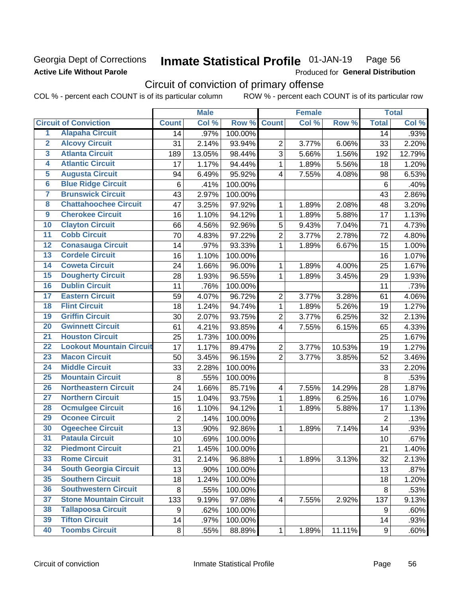## Georgia Dept of Corrections **Active Life Without Parole**

### Inmate Statistical Profile 01-JAN-19 Page 56

Produced for General Distribution

# Circuit of conviction of primary offense

COL % - percent each COUNT is of its particular column ROW % - percent each COUNT is of its particular row

|                         |                                 |                  | <b>Male</b> |         |                         | <b>Female</b> |        |                | <b>Total</b> |
|-------------------------|---------------------------------|------------------|-------------|---------|-------------------------|---------------|--------|----------------|--------------|
|                         | <b>Circuit of Conviction</b>    | <b>Count</b>     | Col %       | Row %   | <b>Count</b>            | Col %         | Row %  | <b>Total</b>   | Col %        |
| 1                       | <b>Alapaha Circuit</b>          | 14               | .97%        | 100.00% |                         |               |        | 14             | .93%         |
| $\overline{2}$          | <b>Alcovy Circuit</b>           | 31               | 2.14%       | 93.94%  | $\overline{2}$          | 3.77%         | 6.06%  | 33             | 2.20%        |
| $\overline{\mathbf{3}}$ | <b>Atlanta Circuit</b>          | 189              | 13.05%      | 98.44%  | 3                       | 5.66%         | 1.56%  | 192            | 12.79%       |
| 4                       | <b>Atlantic Circuit</b>         | 17               | 1.17%       | 94.44%  | 1                       | 1.89%         | 5.56%  | 18             | 1.20%        |
| 5                       | <b>Augusta Circuit</b>          | 94               | 6.49%       | 95.92%  | $\overline{4}$          | 7.55%         | 4.08%  | 98             | 6.53%        |
| $\overline{\bf{6}}$     | <b>Blue Ridge Circuit</b>       | $\,6$            | .41%        | 100.00% |                         |               |        | 6              | .40%         |
| 7                       | <b>Brunswick Circuit</b>        | 43               | 2.97%       | 100.00% |                         |               |        | 43             | 2.86%        |
| $\overline{\mathbf{8}}$ | <b>Chattahoochee Circuit</b>    | 47               | 3.25%       | 97.92%  | 1                       | 1.89%         | 2.08%  | 48             | 3.20%        |
| $\overline{9}$          | <b>Cherokee Circuit</b>         | 16               | 1.10%       | 94.12%  | 1                       | 1.89%         | 5.88%  | 17             | 1.13%        |
| 10                      | <b>Clayton Circuit</b>          | 66               | 4.56%       | 92.96%  | 5                       | 9.43%         | 7.04%  | 71             | 4.73%        |
| $\overline{11}$         | <b>Cobb Circuit</b>             | 70               | 4.83%       | 97.22%  | $\overline{2}$          | 3.77%         | 2.78%  | 72             | 4.80%        |
| $\overline{12}$         | <b>Conasauga Circuit</b>        | 14               | .97%        | 93.33%  | 1                       | 1.89%         | 6.67%  | 15             | 1.00%        |
| 13                      | <b>Cordele Circuit</b>          | 16               | 1.10%       | 100.00% |                         |               |        | 16             | 1.07%        |
| 14                      | <b>Coweta Circuit</b>           | 24               | 1.66%       | 96.00%  | 1                       | 1.89%         | 4.00%  | 25             | 1.67%        |
| 15                      | <b>Dougherty Circuit</b>        | 28               | 1.93%       | 96.55%  | 1                       | 1.89%         | 3.45%  | 29             | 1.93%        |
| 16                      | <b>Dublin Circuit</b>           | 11               | .76%        | 100.00% |                         |               |        | 11             | .73%         |
| 17                      | <b>Eastern Circuit</b>          | 59               | 4.07%       | 96.72%  | $\overline{2}$          | 3.77%         | 3.28%  | 61             | 4.06%        |
| $\overline{18}$         | <b>Flint Circuit</b>            | 18               | 1.24%       | 94.74%  | 1                       | 1.89%         | 5.26%  | 19             | 1.27%        |
| 19                      | <b>Griffin Circuit</b>          | 30               | 2.07%       | 93.75%  | $\mathbf 2$             | 3.77%         | 6.25%  | 32             | 2.13%        |
| $\overline{20}$         | <b>Gwinnett Circuit</b>         | 61               | 4.21%       | 93.85%  | 4                       | 7.55%         | 6.15%  | 65             | 4.33%        |
| $\overline{21}$         | <b>Houston Circuit</b>          | 25               | 1.73%       | 100.00% |                         |               |        | 25             | 1.67%        |
| $\overline{22}$         | <b>Lookout Mountain Circuit</b> | 17               | 1.17%       | 89.47%  | $\overline{2}$          | 3.77%         | 10.53% | 19             | 1.27%        |
| 23                      | <b>Macon Circuit</b>            | 50               | 3.45%       | 96.15%  | $\overline{2}$          | 3.77%         | 3.85%  | 52             | 3.46%        |
| $\overline{24}$         | <b>Middle Circuit</b>           | 33               | 2.28%       | 100.00% |                         |               |        | 33             | 2.20%        |
| $\overline{25}$         | <b>Mountain Circuit</b>         | 8                | .55%        | 100.00% |                         |               |        | 8              | .53%         |
| 26                      | <b>Northeastern Circuit</b>     | 24               | 1.66%       | 85.71%  | $\overline{4}$          | 7.55%         | 14.29% | 28             | 1.87%        |
| $\overline{27}$         | <b>Northern Circuit</b>         | 15               | 1.04%       | 93.75%  | 1                       | 1.89%         | 6.25%  | 16             | 1.07%        |
| 28                      | <b>Ocmulgee Circuit</b>         | 16               | 1.10%       | 94.12%  | 1                       | 1.89%         | 5.88%  | 17             | 1.13%        |
| 29                      | <b>Oconee Circuit</b>           | $\overline{2}$   | .14%        | 100.00% |                         |               |        | $\overline{2}$ | .13%         |
| 30                      | <b>Ogeechee Circuit</b>         | 13               | .90%        | 92.86%  | 1                       | 1.89%         | 7.14%  | 14             | .93%         |
| $\overline{31}$         | <b>Pataula Circuit</b>          | 10               | .69%        | 100.00% |                         |               |        | 10             | .67%         |
| 32                      | <b>Piedmont Circuit</b>         | 21               | 1.45%       | 100.00% |                         |               |        | 21             | 1.40%        |
| 33                      | <b>Rome Circuit</b>             | 31               | 2.14%       | 96.88%  | $\mathbf{1}$            | 1.89%         | 3.13%  | 32             | 2.13%        |
| 34                      | <b>South Georgia Circuit</b>    | 13               | .90%        | 100.00% |                         |               |        | 13             | .87%         |
| 35                      | <b>Southern Circuit</b>         | 18               | 1.24%       | 100.00% |                         |               |        | 18             | 1.20%        |
| 36                      | <b>Southwestern Circuit</b>     | 8                | .55%        | 100.00% |                         |               |        | 8              | .53%         |
| 37                      | <b>Stone Mountain Circuit</b>   | 133              | 9.19%       | 97.08%  | $\overline{\mathbf{4}}$ | 7.55%         | 2.92%  | 137            | 9.13%        |
| 38                      | <b>Tallapoosa Circuit</b>       | $\boldsymbol{9}$ | .62%        | 100.00% |                         |               |        | 9              | .60%         |
| 39                      | <b>Tifton Circuit</b>           | 14               | .97%        | 100.00% |                         |               |        | 14             | .93%         |
| 40                      | <b>Toombs Circuit</b>           | 8                | .55%        | 88.89%  | 1                       | 1.89%         | 11.11% | 9              | .60%         |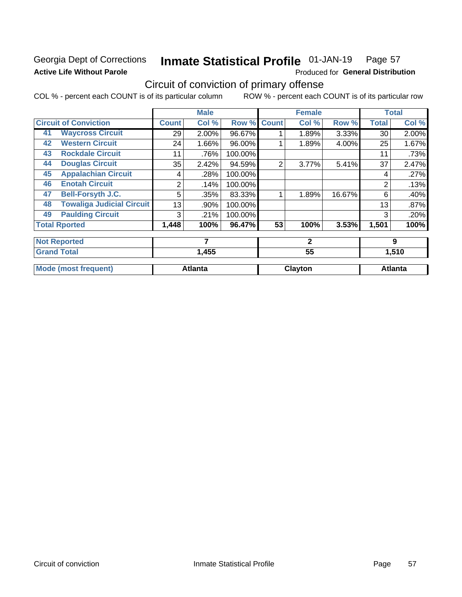# Georgia Dept of Corrections **Active Life Without Parole**

### **Inmate Statistical Profile 01-JAN-19** Page 57

Produced for General Distribution

# Circuit of conviction of primary offense

COL % - percent each COUNT is of its particular column ROW % - percent each COUNT is of its particular row

|    |                                  |              | <b>Male</b>    |         |                | <b>Female</b> |        |              | <b>Total</b>   |
|----|----------------------------------|--------------|----------------|---------|----------------|---------------|--------|--------------|----------------|
|    | <b>Circuit of Conviction</b>     | <b>Count</b> | Col %          | Row %   | <b>Count</b>   | Col %         | Row %  | <b>Total</b> | Col%           |
| 41 | <b>Waycross Circuit</b>          | 29           | 2.00%          | 96.67%  |                | 1.89%         | 3.33%  | 30           | 2.00%          |
| 42 | <b>Western Circuit</b>           | 24           | 1.66%          | 96.00%  |                | 1.89%         | 4.00%  | 25           | 1.67%          |
| 43 | <b>Rockdale Circuit</b>          | 11           | .76%           | 100.00% |                |               |        | 11           | .73%           |
| 44 | <b>Douglas Circuit</b>           | 35           | 2.42%          | 94.59%  | $\overline{2}$ | 3.77%         | 5.41%  | 37           | 2.47%          |
| 45 | <b>Appalachian Circuit</b>       | 4            | .28%           | 100.00% |                |               |        | 4            | .27%           |
| 46 | <b>Enotah Circuit</b>            | 2            | .14%           | 100.00% |                |               |        | 2            | .13%           |
| 47 | <b>Bell-Forsyth J.C.</b>         | 5            | .35%           | 83.33%  |                | 1.89%         | 16.67% | 6            | .40%           |
| 48 | <b>Towaliga Judicial Circuit</b> | 13           | .90%           | 100.00% |                |               |        | 13           | .87%           |
| 49 | <b>Paulding Circuit</b>          | 3            | .21%           | 100.00% |                |               |        | 3            | .20%           |
|    | <b>Total Rported</b>             | 1,448        | 100%           | 96.47%  | 53             | 100%          | 3.53%  | 1,501        | 100%           |
|    | <b>Not Reported</b>              |              | 7              |         | $\mathbf{2}$   |               |        | 9            |                |
|    | <b>Grand Total</b>               |              | 1,455          |         |                | 55            |        |              | 1,510          |
|    | <b>Mode (most frequent)</b>      |              | <b>Atlanta</b> |         |                | Clayton       |        |              | <b>Atlanta</b> |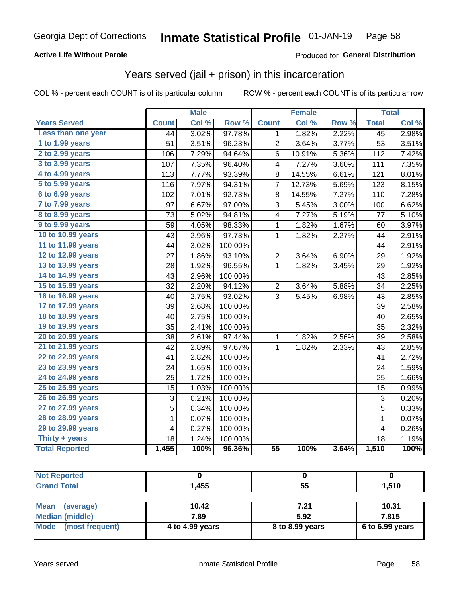### **Active Life Without Parole**

### Produced for General Distribution

# Years served (jail + prison) in this incarceration

COL % - percent each COUNT is of its particular column

|                        |                 | <b>Male</b> |                  |                 | <b>Female</b> |       |                 | <b>Total</b> |
|------------------------|-----------------|-------------|------------------|-----------------|---------------|-------|-----------------|--------------|
| <b>Years Served</b>    | <b>Count</b>    | Col %       | Row <sup>%</sup> | <b>Count</b>    | Col %         | Row % | <b>Total</b>    | Col %        |
| Less than one year     | $\overline{44}$ | 3.02%       | 97.78%           | 1               | 1.82%         | 2.22% | $\overline{45}$ | 2.98%        |
| 1 to 1.99 years        | 51              | 3.51%       | 96.23%           | 2               | 3.64%         | 3.77% | 53              | 3.51%        |
| 2 to 2.99 years        | 106             | 7.29%       | 94.64%           | 6               | 10.91%        | 5.36% | 112             | 7.42%        |
| 3 to 3.99 years        | 107             | 7.35%       | 96.40%           | 4               | 7.27%         | 3.60% | 111             | 7.35%        |
| 4 to 4.99 years        | 113             | 7.77%       | 93.39%           | 8               | 14.55%        | 6.61% | 121             | 8.01%        |
| 5 to 5.99 years        | 116             | 7.97%       | 94.31%           | 7               | 12.73%        | 5.69% | 123             | 8.15%        |
| 6 to 6.99 years        | 102             | 7.01%       | 92.73%           | 8               | 14.55%        | 7.27% | 110             | 7.28%        |
| 7 to 7.99 years        | 97              | 6.67%       | 97.00%           | 3               | 5.45%         | 3.00% | 100             | 6.62%        |
| <b>8 to 8.99 years</b> | 73              | 5.02%       | 94.81%           | 4               | 7.27%         | 5.19% | 77              | 5.10%        |
| 9 to 9.99 years        | 59              | 4.05%       | 98.33%           | $\mathbf{1}$    | 1.82%         | 1.67% | 60              | 3.97%        |
| 10 to 10.99 years      | 43              | 2.96%       | 97.73%           | $\mathbf 1$     | 1.82%         | 2.27% | 44              | 2.91%        |
| 11 to 11.99 years      | 44              | 3.02%       | 100.00%          |                 |               |       | 44              | 2.91%        |
| 12 to 12.99 years      | 27              | 1.86%       | 93.10%           | $\overline{c}$  | 3.64%         | 6.90% | 29              | 1.92%        |
| 13 to 13.99 years      | 28              | 1.92%       | 96.55%           | 1               | 1.82%         | 3.45% | 29              | 1.92%        |
| 14 to 14.99 years      | 43              | 2.96%       | 100.00%          |                 |               |       | 43              | 2.85%        |
| 15 to 15.99 years      | $\overline{32}$ | 2.20%       | 94.12%           | $\overline{2}$  | 3.64%         | 5.88% | 34              | 2.25%        |
| 16 to 16.99 years      | 40              | 2.75%       | 93.02%           | 3               | 5.45%         | 6.98% | 43              | 2.85%        |
| 17 to 17.99 years      | 39              | 2.68%       | 100.00%          |                 |               |       | 39              | 2.58%        |
| 18 to 18.99 years      | 40              | 2.75%       | 100.00%          |                 |               |       | 40              | 2.65%        |
| 19 to 19.99 years      | 35              | 2.41%       | 100.00%          |                 |               |       | 35              | 2.32%        |
| 20 to 20.99 years      | 38              | 2.61%       | 97.44%           | 1               | 1.82%         | 2.56% | 39              | 2.58%        |
| 21 to 21.99 years      | 42              | 2.89%       | 97.67%           | 1               | 1.82%         | 2.33% | 43              | 2.85%        |
| 22 to 22.99 years      | 41              | 2.82%       | 100.00%          |                 |               |       | 41              | 2.72%        |
| 23 to 23.99 years      | 24              | 1.65%       | 100.00%          |                 |               |       | 24              | 1.59%        |
| 24 to 24.99 years      | 25              | 1.72%       | 100.00%          |                 |               |       | 25              | 1.66%        |
| 25 to 25.99 years      | 15              | 1.03%       | 100.00%          |                 |               |       | 15              | 0.99%        |
| 26 to 26.99 years      | 3               | 0.21%       | 100.00%          |                 |               |       | $\mathbf{3}$    | 0.20%        |
| 27 to 27.99 years      | $\overline{5}$  | 0.34%       | 100.00%          |                 |               |       | $\overline{5}$  | 0.33%        |
| 28 to 28.99 years      | $\mathbf 1$     | 0.07%       | 100.00%          |                 |               |       | $\mathbf 1$     | 0.07%        |
| 29 to 29.99 years      | 4               | 0.27%       | 100.00%          |                 |               |       | 4               | 0.26%        |
| Thirty + years         | 18              | 1.24%       | 100.00%          |                 |               |       | 18              | 1.19%        |
| <b>Total Reported</b>  | 1,455           | 100%        | 96.36%           | $\overline{55}$ | 100%          | 3.64% | 1,510           | 100%         |

| <b>Not Reported</b> |                 |      |                                              |
|---------------------|-----------------|------|----------------------------------------------|
| <b>Grand Total</b>  | 1,455           | 55   | 1,510                                        |
|                     |                 |      |                                              |
| $\sim$ $\sim$       | $\overline{10}$ | $ -$ | $\overline{1}$ $\overline{2}$ $\overline{3}$ |

| ⊺Mean<br>(average)      | 10.42           | 721             | 10.31           |
|-------------------------|-----------------|-----------------|-----------------|
| Median (middle)         | 7.89            | 5.92            | 7.815           |
| Mode<br>(most frequent) | 4 to 4.99 years | 8 to 8.99 years | 6 to 6.99 years |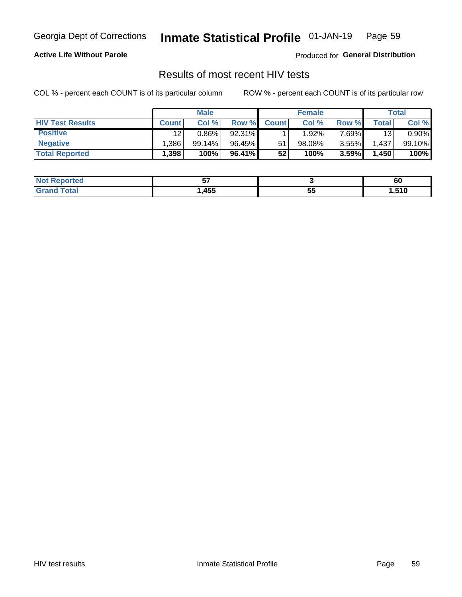#### Inmate Statistical Profile 01-JAN-19 Page 59

### **Active Life Without Parole**

Produced for General Distribution

# Results of most recent HIV tests

COL % - percent each COUNT is of its particular column

|                         | <b>Male</b>       |          |                 | <b>Female</b> |        |          | Total |        |
|-------------------------|-------------------|----------|-----------------|---------------|--------|----------|-------|--------|
| <b>HIV Test Results</b> | <b>Count</b>      | Col %    | Row %I          | <b>Count</b>  | Col %  | Row %    | Total | Col %  |
| <b>Positive</b>         | 12                | $0.86\%$ | 92.31%          |               | 1.92%  | $7.69\%$ | 13    | 0.90%  |
| <b>Negative</b>         | .386              | 99.14%   | 96.45%          | 51            | 98.08% | $3.55\%$ | 1,437 | 99.10% |
| <b>Total Reported</b>   | .398 <sup>1</sup> | 100%     | 96.41% <b>I</b> | 52            | 100%   | 3.59%    | 1,450 | 100%   |

| :ported<br>I NOT     | --<br>v. |             | 60    |
|----------------------|----------|-------------|-------|
| 'otal<br>. Gr $\sim$ | ,455     | --<br><br>◡ | 1,510 |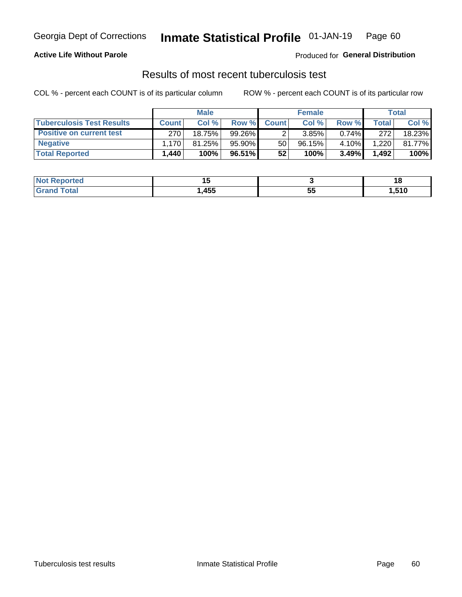# Georgia Dept of Corrections **Inmate Statistical Profile** 01-JAN-19 Page 60

### **Active Life Without Parole**

Produced for **General Distribution**

# Results of most recent tuberculosis test

COL % - percent each COUNT is of its particular column ROW % - percent each COUNT is of its particular row

|                                  | <b>Male</b>  |        |           | <b>Female</b> |        |          | Total          |        |
|----------------------------------|--------------|--------|-----------|---------------|--------|----------|----------------|--------|
| <b>Tuberculosis Test Results</b> | <b>Count</b> | Col %  | Row %I    | <b>Count</b>  | Col %  | Row %    | <b>Total</b> I | Col %  |
| <b>Positive on current test</b>  | 270          | 18.75% | $99.26\%$ |               | 3.85%  | $0.74\%$ | 272            | 18.23% |
| <b>Negative</b>                  | l 170 l      | 81.25% | 95.90%    | 50            | 96.15% | 4.10%    | 1,220          | 81.77% |
| <b>Total Reported</b>            | 440. ا       | 100%   | 96.51% I  | 52            | 100%   | 3.49%    | 1,492          | 100%   |

| <b>Not Reported</b> |      |          | . с   |
|---------------------|------|----------|-------|
| <b>Tota</b><br>.C.  | ,455 | --<br>JJ | 510،، |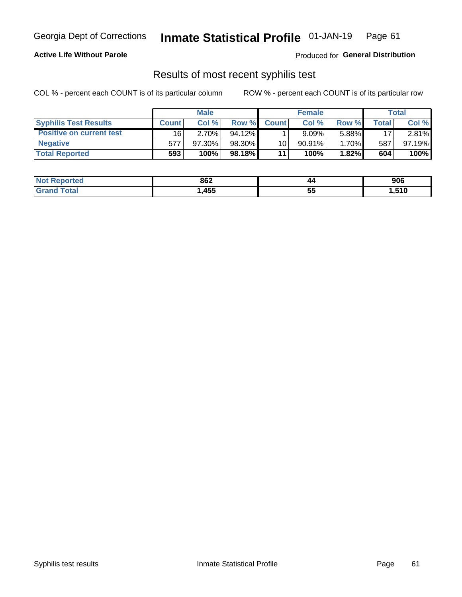# Georgia Dept of Corrections **Inmate Statistical Profile** 01-JAN-19 Page 61

### **Active Life Without Parole**

Produced for **General Distribution**

# Results of most recent syphilis test

COL % - percent each COUNT is of its particular column ROW % - percent each COUNT is of its particular row

|                                 | <b>Male</b>  |           |           | <b>Female</b> |           |       | Total |        |
|---------------------------------|--------------|-----------|-----------|---------------|-----------|-------|-------|--------|
| <b>Syphilis Test Results</b>    | <b>Count</b> | Col%      | Row %     | <b>Count</b>  | Col%      | Row % | Total | Col %  |
| <b>Positive on current test</b> | 16'          | $2.70\%$  | $94.12\%$ |               | 9.09%     | 5.88% | 17    | 2.81%  |
| <b>Negative</b>                 | 577          | $97.30\%$ | 98.30%    | 10            | $90.91\%$ | 1.70% | 587   | 97.19% |
| <b>Total Reported</b>           | 593          | 100%      | 98.18%    | 11            | 100%      | 1.82% | 604   | 100%   |

| <b>Not Reported</b>    | 862  | 44       | 906   |
|------------------------|------|----------|-------|
| <b>Total</b><br>'Grand | ,455 | 44<br>JJ | 510,ا |